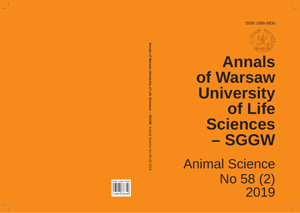ISSN 1898-8830



2019

# **Annals of Warsaw University of Life Sciences – SGGW** Animal Science No 58 (2)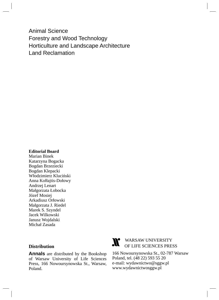Animal Science Forestry and Wood Technology Horticulture and Landscape Architecture Land Reclamation

#### **Editorial Board**

Marian Binek Katarzyna Bogacka Bogdan Brzeziecki Bogdan Klepacki Włodzimierz Kluciński Anna Kołłajtis-Dołowy Andrzej Lenart Małgorzata Łobocka Józef Mosiej Arkadiusz Orłowski Małgorzata J. Riedel Marek S. Szyndel Jacek Wilkowski Janusz Wojdalski Michał Zasada

# **Distribution**

**Annals** are distributed by the Bookshop of Warsaw University of Life Sciences Press, 166 Nowoursynowska St., Warsaw, Poland.



# WARSAW UNIVERSITY OF LIFE SCIENCES PRESS

166 Nowoursynowska St., 02-787 Warsaw Poland, tel. (48 22) 593 55 20 e-mail: wydawnictwo@sggw.pl www.wydawnictwosggw.pl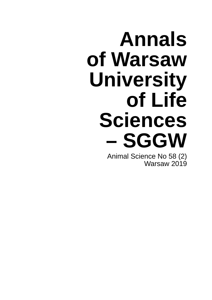# **Annals of Warsaw University of Life Sciences – SGGW**

Animal Science No 58 (2) Warsaw 2019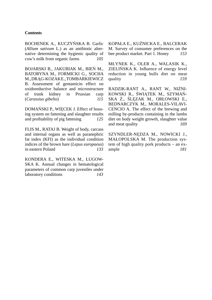#### **Contents**

BOCHENEK A., KUCZYŃSKA B. Garlic (*Allium sativum* L.) as an antibiotic alternative determining the hygienic quality of cow's milk from organic farms *105*

BOJARSKI B., JAKUBIAK M., BIEŃ M., BATORYNA M., FORMICKI G., SOCHA M., DRAG-KOZAKE., TOMBARKIEWICZ B. Assessment of gentamicin effect on oxidoreductive balance and microstructure of trunk kidney in Prussian carp (*Carassius gibelio*) *115*

DOMAŃSKI P., WIĘCEK J. Effect of housing system on fattening and slaughter results and profitability of pig fattening *125* 

FLIS M., RATAJ B. Weight of body, carcass and internal organs as well as paranephric fat index (KFI) as the individual condition indices of the brown hare (*Lepus europaeus*) in eastern Poland *133*

KONDERA E., WITESKA M., ŁUGOW-SKA K. Annual changes in hematological parameters of common carp juveniles under laboratory conditions *143* KOPAŁA E., KUŹNICKA E., BALCERAK M. Survey of consumer preferences on the bee product market. Part 1. Honey *153*

MŁYNEK K., OLER A., WALASIK K., ZIELIŃSKA K. Influence of energy level reduction in young bulls diet on meat quality *159* 

RADZIK-RANT A., RANT W., NIŻNI-KOWSKI R., ŚWIĄTEK M., SZYMAŃ-SKA Ż., ŚLĘZAK M., ORŁOWSKI E., BEDNARCZYK M., MORALES-VILAVI-CENCIO A. The effect of the brewing and milling by-products containing in the lambs diet on body weight growth, slaughter value and meat quality *169*

SZYNDLER-NĘDZA M., NOWICKI J., MAŁOPOLSKA M. The production system of high quality pork products – an example *181*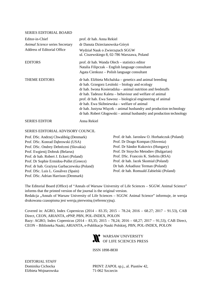#### SERIES EDITORIAL BOARD

| Editor-in-Chief                 | prof. dr hab. Anna Rekiel                                                                                                                                                                                                                                                                                                                                                                                                                                                                             |
|---------------------------------|-------------------------------------------------------------------------------------------------------------------------------------------------------------------------------------------------------------------------------------------------------------------------------------------------------------------------------------------------------------------------------------------------------------------------------------------------------------------------------------------------------|
| Animal Science series Secretary | dr Danuta Dzierżanowska-Góryń                                                                                                                                                                                                                                                                                                                                                                                                                                                                         |
| Address of Editorial Office     | Wydział Nauk o Zwierzętach SGGW<br>ul. Ciszewskiego 8, 02-786 Warszawa, Poland                                                                                                                                                                                                                                                                                                                                                                                                                        |
| <b>EDITORS</b>                  | prof. dr hab. Wanda Olech – statistics editor<br>Natalia Filipczak – English language consultant<br>Agata Cienkusz – Polish language consultant                                                                                                                                                                                                                                                                                                                                                       |
| <b>THEME EDITORS</b>            | dr hab. Elżbieta Michalska – genetics and animal breeding<br>dr hab. Grzegorz Lesiński – biology and ecology<br>dr hab. Iwona Kosieradzka – animal nutrition and feedstuffs<br>dr hab. Tadeusz Kaleta – behaviour and welfare of animal<br>prof. dr hab. Ewa Sawosz – biological engineering of animal<br>dr hab. Ewa Skibniewska – welfare of animal<br>dr hab. Justyna Więcek – animal husbandry and production technology<br>dr hab. Robert Głogowski – animal husbandry and production technology |
| <b>SERIES EDITOR</b>            | Anna Rekiel                                                                                                                                                                                                                                                                                                                                                                                                                                                                                           |

#### SERIES EDITORIAL ADVISORY COUNCIL

Prof. DSc. Andrzej Chwalibóg (Denmark) Prof. DSc. Konrad Dąbrowski (USA) Prof. DSc. Ondrey Debréceni (Slovakia) Prof. Ewgienij Dobruk (Belarus) Prof. dr hab. Robert J. Eckert (Poland) Prof. Dr Sophie Ermidou-Pollet (Greece) Prof. dr hab. Grażyna Garbaczewska (Poland) Prof. DSc. Luis L. Gosálvez (Spain) Prof. DSc. Adrian Harrison (Denmark)

Prof. dr hab. Jarosław O. Horbańczuk (Poland) Prof. Dr Drago Kompan (Slovenia) Prof. Dr Sándor Kukovics (Hungary) Prof. Dr Stoycho Metodiev (Bulgarian) Prof. DSc. Francois K. Siebrits (RSA) Prof. dr hab. Jacek Skomiał (Poland) Dr hab. Arkadiusz Terman (Poland) Prof. dr hab. Romuald Zabielski (Poland)

The Editorial Board (Office) of "Annals of Warsaw University of Life Sciences - SGGW. Animal Science" informs that the printed version of the journal is the original version.

Redakcja "Annals of Warsaw University of Life Sciences – SGGW. Animal Science" informuje, że wersja drukowana czasopisma jest wersją pierwotną (referencyjną).

Covered in: AGRO, Index Copernicus (2014 – 83.35; 2015 – 78.24; 2016 – 68.27; 2017 – 91.53), CAB Direct, CEON, ARIANTA, ePNP, PBN, POL-INDEX, POLON Bazy: AGRO, Index Copernicus (2014 – 83,35; 2015 – 78,24; 2016 – 68,27; 2017 – 91,53), CAB Direct, CEON – Biblioteka Nauki, ARIANTA, e-Publikacje Nauki Polskiej, PBN, POL-INDEX, POLON



ISSN 1898-8830

EDITORIAL STAFF Elżbieta Wojnarowska 71-062 Szczecin

Dominika Cichocka PRINT: ZAPOL sp.j., al. Piastów 42,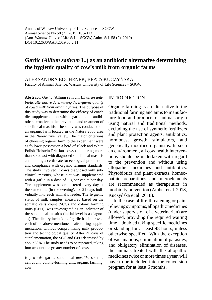Annals of Warsaw University of Life Sciences – SGGW Animal Science No 58 (2), 2019: 105–113 (Ann. Warsaw Univ. of Life Sci. – SGGW, Anim. Sci. 58 (2), 2019) DOI 10.22630/AAS.2019.58.2.11

# **Garlic (***Allium sativum* **L.) as an antibiotic alternative determining the hygienic quality of cow's milk from organic farms**

ALEKSANDRA BOCHENEK, BEATA KUCZYŃSKA Faculty of Animal Science, Warsaw University of Life Sciences – SGGW

**Abstract:** *Garlic (*Allium sativum *L.) as an antibiotic alternative determining the hygienic quality of cow's milk from organic farms.* The purpose of this study was to determine the efficacy of cow's diet supplementation with a garlic as an antibiotic alternative in the prevention and treatment of subclinical mastitis. The study was conducted on an organic farm located in the Natura 2000 area in the Narew river valley. The major criterions of choosing organic farm to the experiment were as follows: possession a herd of Black and White Polish Holstein-Friesian cows (numbering more than 30 cows) with diagnosed subclinical mastitis and holding a certificate for ecological production and compliance with organic farming standards. The study involved 7 cows diagnosed with subclinical mastitis, whose diet was supplemented with a garlic in a dose of 5 g/per capita/per day. The supplement was administered every day at the same time (in the evening), for 21 days individually into each animal's feeder. The hygienic status of milk samples, measured based on the somatic cells count (SCC) and colony forming units (CFU), was investigated as an indicator of the subclinical mastitis (initial level is a diagnosis). The dietary inclusion of garlic has improved each of the above-mentioned traits during supplementation, without compromising milk production and technological quality. After 21 days of supplementation, the SCC and CFU decreased by about 60%. The study needs to be repeated, taking into account the greater number of cows.

*Key words*: garlic, subclinical *mastitis*, somatic cell count, colony-forming unit, organic farming, cow

#### INTRODUCTION

Organic farming is an alternative to the traditional farming and aims to manufacture food and products of animal origin using natural and traditional methods, excluding the use of synthetic fertilizers and plant protection agents, antibiotics, hormones, growth stimulators, and genetically modified organisms. In such an environment, all cow health interventions should be undertaken with regard to the prevention and without using allopathic medicines and antibiotics. Phytobiotics and plant extracts, homeopathic preparations, and microelements are recommended as therapeutics in morbidity prevention (Amber et al. 2018, Kuczyńska et al. 2018).

In the case of life-threatening or painrelieving symptoms, allopathic medicines (under supervision of a veterinarian) are allowed, providing the required waiting time – doubled taking specific medicines or standing for at least 48 hours, unless otherwise specified. With the exception of vaccinations, elimination of parasites, and obligatory elimination of diseases, the animals treated with the allopathic medicines twice or more times a year, will have to be included into the conversion program for at least 6 months.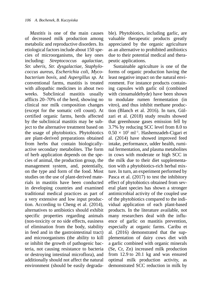*Mastitis* is one of the main causes of decreased milk production among metabolic and reproductive disorders. Its etiological factors include about 150 species of microorganisms, the key ones including: *Streptococcus agalactiae, Str. uberis, Str. dysgalactiae, Staphylococcus aureus, Escherichia coli, Mycobacterium bovis,* and *Aspergillus sp.* At conventional farms, mastitis is treated with allopathic medicines in about two weeks. Subclinical mastitis usually afflicts 20–70% of the herd, showing no clinical nor milk composition changes (except for the somatic cell count). At certified organic farms, herds affected by the subclinical mastitis may be subject to the alternative treatment based on the usage of phytobiotics. Phytobiotics are plant-derived preparations obtained from herbs that contain biologicallyactive secondary metabolites. The form of herb application depends on the species of animal, the production group, the management system, and, potentially, on the type and form of the food. Most studies on the use of plant-derived materials in mastitis have been conducted in developing countries and examined traditional medical practices as part of a very extensive and low input production. According to Cheng et al. (2014), alternatives to antibiotics should exhibit specific properties regarding animals (non-toxicity or no side effects, easiness of elimination from the body, stability in feed and in the gastrointestinal tract) and microorganisms (the ability to kill or inhibit the growth of pathogenic bacteria, not causing resistance to bacteria or destroying intestinal microflora), and additionally should not affect the natural environment (should be easily degradable). Phytobiotics, including garlic, are valuable therapeutic products greatly appreciated by the organic agriculture as an alternative to prohibited antibiotics due to their potential medical and therapeutic applications.

Sustainable agriculture is one of the forms of organic production having the least negative impact on the natural environment. For instance products containing capsules with garlic oil (combined with cinnamaldehyde) have been shown to modulate rumen fermentation (in vitro), and thus inhibit methane production (Blanch et al. 2016). In turn, Gülzari et al. (2018) study results showed that greenhouse gases emission fell by 3.7% by reducing SCC level from 8.0 to  $0.50 \times 10^5$  ml<sup>-1</sup>. Hashemzadeh-Cigari et al. (2014) have showed improved feed intake, performance, udder health, ruminal fermentation, and plasma metabolites in cows with moderate or high SCC in the milk due to their diet supplementation with a phytobiotics-rich herbal mixture. In turn, an experiment performed by Pasca et al. (2017) to test the inhibitory effect of phytobiotics obtained from several plant species has shown a stronger antimicrobial activity of the coupled use of the phytobiotics compared to the individual application of each plant-based products. In the literature available, not many researchers deal with the influence of garlic on mastitis prevention, especially at organic farms. Caribu et al. (2016) demonstrated that the supplementation of dairy cows diet with a garlic combined with organic minerals (Se, Cr, Zn) increased milk production from 12.9 to 20.1 kg and was ensured optimal milk production activity, as demonstrated SCC reduction in milk by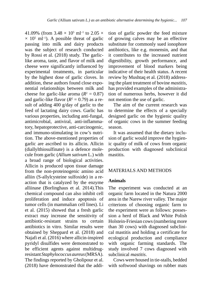41.09% (from  $3.48 \times 10^5$  ml<sup>-1</sup> to 2.05  $\times$  $\times$  10<sup>5</sup> ml<sup>-1</sup>). A possible threat of garlic passing into milk and dairy products was the subject of research conducted by Rossi et al. (2018) study. The garliclike aroma, taste, and flavor of milk and cheese were significantly influenced by experimental treatments, in particular by the highest dose of garlic cloves. In addition, these authors found close exponential relationships between milk and cheese for garlic-like aroma  $(R^2 = 0.87)$ and garlic-like flavor  $(R^2 = 0.79)$  as a result of adding 400 g/day of garlic to the feed of lactating dairy cows. Garlic has various properties, including anti-fungal, antimicrobial, antiviral, anti-inflammatory, hepatoprotective, anti-carcinogenic, and immuno-stimulating in cow's nutrition. The above-mentioned properties of garlic are ascribed to its allicin. Allicin (diallylthiosulfinate) is a defence molecule from garlic (*Allium sativum* L.) with a broad range of biological activities. Allicin is produced upon tissue damage from the non-proteinogenic amino acid alliin (S-allylcysteine sulfoxide) in a reaction that is catalyzed by the enzyme alliinase (Borlinghaus et al. 2014).This chemical compound can also inhibit cell proliferation and induce apoptosis of tumor cells (in mammalian cell lines). Li et al. (2015) showed that a fresh garlic extract may increase the sensitivity of antibiotic-resistant strains to certain antibiotics in vitro. Similar results were obtained by Sheppard et al. (2018) and Najafi et al. (2016) where allicin-inspired pyridyl disulfides were demonstrated to be efficient agents against multidrugresistant *Staphylococcus aureus* (MRSA). The findings reported by Gholipour et al. (2018) have demonstrated that the addition of garlic powder the feed mixture of growing calves may be an effective substitute for commonly sued ionophore antibiotics, like e.g. monensin, and that it contributes to the increased nutrient digestibility, growth performance, and improvement of blood markers being indicative of their health status. A recent review by Mushtaq et al. (2018) addressing the plant treatment of bovine *mastitis,*  has provided examples of the administration of numerous herbs, however it did not mention the use of garlic.

The aim of the current research was to determine the effects of a specially designed garlic on the hygienic quality of organic cows in the summer feeding season.

It was assumed that the dietary inclusion of garlic would improve the hygienic quality of milk of cows from organic production with diagnosed subclinical mastitis.

#### MATERIALS AND METHODS

#### **Animals**

The experiment was conducted at an organic farm located in the Natura 2000 area in the Narew river valley. The major criterions of choosing organic farm to the experiment were as follows: possession a herd of Black and White Polish Holstein-Friesian cows (numbering more than 30 cows) with diagnosed subclinical mastitis and holding a certificate for ecological production and compliance with organic farming standards. The study involved 7 cows diagnosed with subclinical *mastitis*.

Cows were housed in tie-stalls, bedded with softwood shavings on rubber mats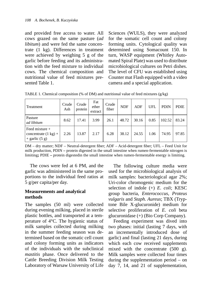and provided free access to water. All cows grazed on the same pasture (*ad libitum*) and were fed the same concentrate (1 kg). Differences in treatment were achieved by weighing 5 g of the garlic before feeding and its administration with the feed mixture to individual cows. The chemical composition and nutritional value of feed mixtures presented Table 1.

Sciences (WULS), they were analyzed for the somatic cell count and colony forming units. Cytological quality was determined using Somacount 150. In turn, WASP equipment (Whitley Automated Spiral Plate) was used to distribute microbiological cultures on Petri dishes. The level of CFU was established using Counter mat Flash equipped with a video camera and a special application.

| Treatment                                                            | Crude<br>Ash | Crude<br>protein | Fat<br>ether<br>extract | Crude<br>fiber | <b>NDF</b> | ADF   | UFL  | <b>PDIN</b> | <b>PDIE</b> |
|----------------------------------------------------------------------|--------------|------------------|-------------------------|----------------|------------|-------|------|-------------|-------------|
| Pasture<br>ad libitum                                                | 8.62         | 17.41            | 3.99                    | 26.1           | 48.72      | 30.16 | 0.85 | 102.52      | 83.24       |
| Feed mixture +<br>concentrate $(1 \text{ kg}) +$<br>$+$ garlic (5 g) | 2.26         | 13.87            | 2.17                    | 6.28           | 38.12      | 24.55 | 1.06 | 74.95       | 97.85       |

TABLE 1. Chemical composition (% of DM) and nutritional value of feed mixtures ( $g/kg$ )

DM – dry matter; NDF – Neutral-detergent fiber; ADF – Acid-detergent fiber; UFL – Feed Unit for milk production, PDIN **–** protein digested in the small intestine when rumen-fermentable nitrogen is limiting**;** PDIE **–** protein digestedin the small intestine when rumen-fermentable energy is limiting.

The cows were fed at 6 PM, and the garlic was administered in the same proportions to the individual feed ratios at 5 g/per capita/per day.

#### **Measurements and analytical methods**

The samples (50 ml) were collected during evening milking, placed in sterile plastic bottles, and transported at a temperature of 4°C. The hygienic status of milk samples collected during milking in the summer feeding season was determined based on the somatic cell count and colony forming units as indicators of the individuals with the subclinical *mastitis* phase. Once delivered to the Cattle Breeding Division Milk Testing Laboratory of Warsaw University of Life

The following culture media were used for the microbiological analysis of milk samples: bacteriological agar 2%; Uri-color chromogenic medium for the selection of indole (+) *E*. *coli*; KESC group bacteria, *Enterococcus*, *Proteus vulgaris* and *Staph. Aureus*; TBX (Tryptone Bile X-glucuronide) medium for selective proliferation of *E*. *coli* beta glucuronidase (+) (Bio Corp Company).

Feeding experiment was dived into two phases: initial (lasting 7 days, with an incrementally introduced dose of garlic) and final (lasting 21 days, during which each cow received supplements mixed with the concentrate (500 g). Milk samples were collected four times during the supplementation period – on day 7, 14, and 21 of supplementation,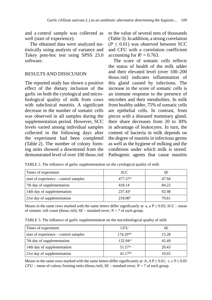and a control sample was collected as well (start of experience).

The obtained data were analyzed statistically using analysis of variance and Tukey post-hoc test using SPSS 23.0 software.

#### RESULTS AND DISSCUSION

The reported study has shown a positive effect of the dietary inclusion of the garlic on both the cytological and microbiological quality of milk from cows with subclinical *mastitis*. A significant decrease in the number of somatic cells was observed in all samples during the supplementation period. However, SCC levels varied among individual samples collected in the following days after the experiment had been completed (Table 2). The number of colony forming units showed a downtrend from the demonstrated level of over 100 thous./ml to the value of several tens of thousands (Table 3). In addition, a strong correlation  $(P \leq 0.01)$  was observed between SCC and CFU with a correlation coefficient accounting for  $R^2 = 0.763$ .

The score of somatic cells reflects the status of health of the milk udder and their elevated level (over 100–200 thous./ml) indicates inflammation of this gland caused by infections. The increase in the score of somatic cells is an immune response to the presence of microbes and their metabolites. In milk from healthy udder, 75% of somatic cells are epithelial cells. In contrast, from pieces with a diseased mammary gland, their share decreases from 20 to 30% in advantage of leukocytes. In turn, the content of bacteria in milk depends on the degree of mastitis in infectious germs as well as the hygiene of milking and the conditions under which milk is stored. Pathogenic agents that cause mastitis

| TABLE 2. The influence of garlic supplementation on the cytological quality of milk |  |  |  |  |  |  |
|-------------------------------------------------------------------------------------|--|--|--|--|--|--|
|                                                                                     |  |  |  |  |  |  |
|                                                                                     |  |  |  |  |  |  |
|                                                                                     |  |  |  |  |  |  |

| Times of experiment                   | SCC                    | SЕ    |
|---------------------------------------|------------------------|-------|
| start of experience – control samples | $477.57$ <sup>ab</sup> | 47.94 |
| 7th day of supplementation            | 418.14                 | 84.22 |
| 14th day of supplementation           | $237.43^a$             | 92.98 |
| 21st day of supplementation           | 218.00 <sup>b</sup>    | 70.61 |

Means in the same rows marked with the same letters differ significantly at: a, a  $P \le 0.05$ ;  $SCC$  – mean of somatic cell count (thous./ml);  $SE$  – standard error;  $N = 7$  of each group.

TABLE 3. The influence of garlic supplementation on the microbiological quality of milk

| Times of experiment                   | <b>CFU</b>           | SЕ    |
|---------------------------------------|----------------------|-------|
| start of experience – control samples | 174.29AB             | 15.28 |
| 7th day of supplementation            | 132.94 <sup>cd</sup> | 45.49 |
| 14th day of supplementation           | 51.57 <sup>Ac</sup>  | 20.43 |
| 21st day of supplementation           | 41 17 <sup>Bd</sup>  | 10.65 |

Means in the same rows marked with the same letters differ significantly at: A, A P  $\leq$  0.01; c, c P  $\leq$  0.05  $CFU$  – mean of colony forming units (thous./ml);  $SE$  – standard error;  $N = 7$  of each group.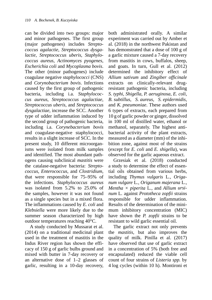can be divided into two groups: major and minor pathogenes. The first group (major pathogenes) includes *Streptococcus agalactie*, *Streptococcus dysgalactie*, *Streptococcus uberis*, *Staphylococcus aureus*, *Actinomyces pyogenes*, *Escherichia coli* and *Mycoplasma bovis*. The other (minor pathogenes) include coagulase negative *staphylococci* (CNS) and *Corynobacterium bovis*. Infections caused by the first group of pathogenic bacteria, including i.a. *Staphylococcus aureus*, *Streptococcus agalactiae*, *Streptococcus uberis*, and *Streptococcus dysgalactiae*, increase the SCC. Another type of udder inflammation induced by the second group of pathogenic bacteria, including i.a. *Corynebacterium bovis* and coagulase-negative staphylococci, results in a slight increase of SCC. In the present study, 10 different microorganisms were isolated from milk samples and identified. The most abundant pathogens causing subclinical *mastitis* were the catalase-negative bacteria: *Streptococcus*, *Enterococcus*, and *Clostridium,*  that were responsible for 75–95% of the infections. *Staphylococcus aureus*  was isolated from 5.2% to 25.0% of the samples, however it was not found as a single species but in a mixed flora. The inflammations caused by *E. coli* and *Klebsiella* were more likely due to the summer season characterized by high outdoor temperatures reaching 40°C.

A study conducted by Mussarat et al. (2014) on a traditional medicinal plant used in the treatment of mastitis in the Indus River region has shown the efficacy of 150 g of garlic bulbs ground and mixed with butter in 7-day recovery or an alternative dose of 1–2 glasses of garlic, resulting in a 10-day recovery, both administrated orally. A similar experiment was carried out by Amber et al. (2018) in the northwest Pakistan and has demonstrated that a dose of 100 g of a garlic mixture caused a 7-day recovery from mastitis in cows, buffalos, sheep, and goats. In turn, Gull et al. (2012) determined the inhibitory effect of *Allium sativum* and *Zingiber officinale* extracts on clinically-relevant drugresistant pathogenic bacteria, including *S. typhi*, *Shigella*, *P. aeruginosa*, *E. coli*, *B. subtillus*, *S. aureus*, *S. epidermidis*, and *K. pneumoniae*. These authors used 6 types of extracts, each prepared from 10 g of garlic powder or ginger, dissolved in 100 ml of distilled water, ethanol or methanol, separately. The highest antibacterial activity of the plant extracts, measured as a diameter (mm) of the inhibition zone, against most of the strains (except for *E. coli* and *E. shigella*), was observed for the garlic aqueous extract.

Grzesiak et al. (2018) conducted a study to determine the effect of essential oils obtained from various herbs, including *Thymus vulgaris* L*.*, *Origanum vulgare* L*.*, *Origanum majerana* L*.*, *Mentha × piperita* L*.*, and *Allium ursinum* L*.* against *Prototheca zopfii* strains responsible for udder inflammation. Results of the determination of the minimum inhibitory concentration (MIC) have shown the *P. zopfii* strains to be resistant to wild garlic essential oil.

The garlic extract not only prevents the *mastitis,* but also improves the quality of milk. Pinilla et al. (2017) have observed that use of garlic extract in a concentration of 5% (both free and encapsulated) reduced the viable cell count of four strains of *Listeria spp.* by 4 log cycles (within 10 h). Montironi et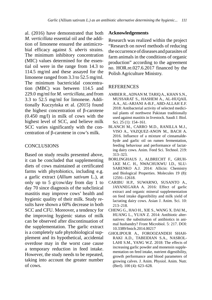al. (2016) have demonstrated that both *M. verticillata* essential oil and the addition of limonene ensured the antimicrobial efficacy against *S. uberis* strains. The minimum inhibitory concentration (MIC) values determined for the essential oil were in the range from 14.3 to 114.5 mg/ml and these assayed for the limonene ranged from 3.3 to 52.5 mg/ml. The minimum bactericidal concentration (MBC) was between 114.5 and 229.0 mg/ml for *M. verticillata*, and from 3.3 to 52.5 mg/ml for limonene. Additionally Kuczyńska et al. (2015) found the highest concentration of β-carotene (0.450 mg/l) in milk of cows with the highest level of SCC, and believe milk SCC varies significantly with the concentration of β-carotene in cow's milk.

# **CONCLUSIONS**

Based on study results presented above, it can be concluded that supplementing diets of cows maintained at certificated farms with phytobiotics, including e.g. a garlic extract (*Allium sativum* L.), at only up to 5 g/cow/day from day 1 to day 70 since diagnosis of the subclinical mastitis may improve cows' health and hygienic quality of their milk. Study results have shown a 60% decrease in both SCC and CFU. Moreover, a tendency for the improving hygienic status of milk can be observed after discontinuation of the supplementation. The garlic extract is a completely safe phytobiological supplement and its hypothetical, accidental overdose may in the worst case cause a temporary reduction in feed intake. However, the study needs to be repeated, taking into account the greater number of cows.

#### **Acknowledgements**

Research was realized within the project "Research on novel methods of reducing the occurrence of diseases and parasites of farm animals in the conditions of organic production" according to the agreement no. HOR.re.027.6.2017 financed by the Polish Agriculture Ministry.

#### REFERENCES

- AMBER R., ADNAN M. TARIQ A., KHAN S.N., MUSSARAT S., HASHEM A., AL-HUQAIL A.A., AL-ARJANI A-B.F., ABD-ALLAH E.F. 2018: Antibacterial activity of selected medicinal plants of northwest Pakistan traditionally used against mastitis in livestock. Saudi J. Biol. Sci. 25 (1): 154–161.
- BLANCH M., CARRO M.D., RANILLA M.J., VISO A., VAZQUEZ-ANON M., BACH A. 2016. Influence of a mixture of cinnamaldehyde and garlic oil on rumen fermentation, feeding behaviour and performance of lactating dairy cows. Anim. Feed Sci. Technol. 219: 313–323.
- BORLINGHAUS J., ALBRECHT F., GRUH-LKE M.C. H., NWACHUKWU I.D., SLU-SARENKO A.J. 2014: Allicin: Chemistry and Biological Properties. Molecules 19 (8): 12591–12618.
- CARIBU H.P., SUWARNO, SUSANTO A., JAYANEGARA A. 2016: Effect of garlic extract and organic mineral supplementation on feed intake digestibility and milk yield of lactating dairy cows. Asian J. Anim. Sci. 10: 213–218.
- CHENG G., HAO H., XIE S., WANG X. DAI M., HUANG L., YUAN Z. 2014: Antibiotic alternatives: the substitution of antibiotics in animal husbandry? Front Microbiol. 5: 217. DOI: 10.3389/fmicb.2014.00217
- GHOLIPOUR A., FOROOZANDEH SHAH-RAKI A.D., TABEIDIAN S.A., NASROL-LAHI S.M., YANG W.Z. 2018: The effects of increasing garlic powder and monensin supplementation on feed intake, nutrient digestibility, growth performance and blood parameters of growing calves. J. Anim. Physiol. Anim. Nutr. (Berl). 100 (4): 623–628.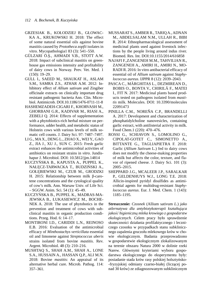- GRZESIAK B., KOŁODZIEJ B., GŁOWAC-KA A., KRUKOWSKI H. 2018: The effect of some natural essential oils against bovine mastitis caused by *Prototheca zopfii* isolates in vitro. Mycopathologia1 83 (3): 541–550.
- GÜLZARI Ö.Ş., AHMADI V.B., STOTT A.W. 2018: Impact of subclinical mastitis on greenhouse gas emissions intensity and profitability of dairy cows in Norway. Prev. Vet. Med. 1 (150): 19–29.
- GULL I., SAEED M., SHAUKAT H., ASLAM S.M., SAMRA Z.S., ATHAR A.M. 2012: Inhibitory effect of *Allium sativum* and Zingiber officinale extracts on clinically important drug resistant pathogenic bacteria Ann. Clin. Microbiol. Antimicrob. DOI.10.1186/1476-0711-11-8
- HASHEMZADEH-CIGARI F., KHORVASH M., GHORBANI G.R., KADIVAR M., RIASI A., ZEBELI Q. 2014: Effects of supplementation with a phytobiotics-rich herbal mixture on performance, udder health, and metabolic status of Holstein cows with various levels of milk somatic cell counts. J. Dairy Sci. 97: 7487–7497.
- LI G., MA X., DENG L., ZHAO X., WEI Y., GAO Z., JIA J., XU J., SUN C. 2015: Fresh garlic extract enhances the antimicrobial activities of antibiotics on resistant strains in *vitro*. Jundishapur J. Microbiol. DOI: 10.5812/jjm.14814
- KUCZYŃSKA B., KAPUSTA A., PUPPEL K., NAŁĘCZ-TARWACKA T., BUDZIŃSKI A., GOŁĘBIEWSKI M., CZUB M., GRODZKI H. 2015: Relationship between milk β-carotene concentrations and the cytological quality of cow's milk. Ann. Warsaw Univ. of Life Sci. – SGGW. Anim. Sci. 54 (1): 45–49.
- KUCZYŃSKA B., PUPPEL K., MADRAS-MA-JEWSKA B., ŁUKASIEWICZ M., BOCHE-NEK A. 2018: The use of phytobotics in the prevention and treatment of cows with subclinical mastitis in organic production conditions. Przeg. Hod. 6: 14–17.
- MONTIRONI I.D., CARIDDI L.N., REINOSO E.B. 2016: Evaluation of the antimicrobial efficacy of *Minthostachys verticillata* essential oil and limonene against *Streptococcus uberis* strains isolated from bovine *mastitis*. Rev. Argent. Microbiol. 48 (3): 210–216.
- MUSHTAQ S., SHAH A.M., SHAH A., LONE S.A., HUSSAIN A., HASSAN Q.P., ALI M.N. 2018: Bovine *mastitis*: An appraisal of its alternative herbal cure. Microb. Pathog. 114: 357–361.
- MUSSARAT S., AMBER R., TARIQ A., ADNAN M., ABDELSALAM N.M., ULLAH R., BIBI R. 2014: Ethnopharmacological assessment of medicinal plants used against livestock infections by the people living around indus river. Biomed. Res. Int. DOI:10.1155/2014/616858
- NAJAFI F.,ZANGENEH M.M., TAHVILIAN R., ZANGENEH A., AMIRI H., AMIRI N., MO-RADI R. 2016: In vitro antibacterial efficacy of essential oil of *Allium sativum* against *Staphylococcus aureus*. IJPPR 8 (12): 2039–2043.
- PASCA C., MĂRGHITAS L., DEZMIREAN D., BOBIS O., BONTA V., CHIRILĂ F., MATEI I., FIT N. 2017: Medicinal plants based products tested on pathogens isolated from *mastitis* milk. Molecules. DOI: 10.3390/molecules 22091473
- PINILLA C.M., NOREÑA C.P., BRANDELLI A. 2017: Development and characterization of phosphatidylcholine nanovesicles, containing garlic extract, with antilisterial activity in milk. Food Chem.1 (220): 470–476.
- ROSSI G., SCHIAVON S., LOMOLINO G., CIPOLAT-GOTET C., SIMONETTO A., BITTANTE G., TAGLIAPIETRA F. 2018: Garlic (*Allium Sativum* L*.*) fed to dairy cows does not modify the cheese-making properties of milk but affects the color, texture, and flavor of ripened cheese. J. Dairy Sci. 101 (3): 2005–2015.
- SHEPPARD J.G., MCALEER J.P., SARALKAR P., GELDENHUYS W.J., LONG T.E. 2018: Allicin-inspired pyridyl disulfides as antimicrobial agents for multidrug-resistant *Staphylococcus aureus*. Eur. J. Med. Chem. 1 (143): 1185–1195.

**Streszczenie:** *Czosnek* (Allium sativum *L.*) *jako atlernatywa dla antybiotykoterapii kształtująca jakość higieniczną mleka krowiego z gospodarstw ekologicznych.* Celem pracy było sprawdzenie skuteczności działania profilaktycznego i leczniczego czosnku w przypadkach stanu subklinicznego zapalenia gruczołu mlekowego krów w chowie ekologicznym. Badania przeprowadzono w gospodarstwie ekologicznym zlokalizowanym na terenie obszaru Natura 2000 w dolinie rzeki Narew. Głównymi kryteriami wyboru gospodarstwa ekologicznego do eksperymentu były: posiadanie stada krów rasy polskiej holsztyńsko- -fryzyjskiej odmiany czarno-białej (liczącej ponad 30 krów) ze zdiagnozowanym subklinicznym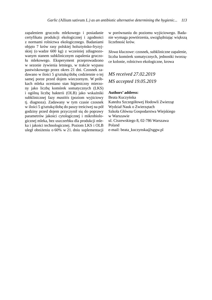zapaleniem gruczołu mlekowego i posiadanie certyfikatu produkcji ekologicznej i zgodności z normami rolnictwa ekologicznego. Badaniami objęto 7 krów rasy polskiej holsztyńsko-fryzyjskiej (o wadze 600 kg) z wcześniej zdiagnozowanym stanem subklinicznym zapalenia gruczołu mlekowego. Eksperyment przeprowadzono w sezonie żywienia letniego, w trakcie wypasu pastwiskowego przez okres 21 dni. Czosnek zadawano w ilości 5 g/sztukę/dobę codziennie o tej samej porze przed dojem wieczornym. W próbkach mleka oceniano stan higieniczny mierzony jako liczbę komórek somatycznych (LKS) i ogólną liczbę bakterii (OLB) jako wskaźniki subklinicznej fazy *mastitis* (poziom wyjściowy tj. diagnoza). Zadawany w tym czasie czosnek w ilości 5 g/sztukę/dobę do paszy treściwej na pół godziny przed dojem przyczynił się do poprawy parametrów jakości cytologicznej i mikrobiologicznej mleka, bez uszczerbku dla produkcji mleka i jakości technologicznej. Poziom LKS i OLB uległ obniżeniu o 60% w 21. dniu suplementacji w porównaniu do poziomu wyjściowego. Badanie wymaga powtórzenia, uwzględniając większą liczebność krów.

*Słowa kluczowe*: czosnek, subkliniczne zapalenie, liczba komórek somatycznych, jednostki tworzące kolonie, rolnictwo ekologiczne, krowa

*MS received 27.02.2019 MS accepted 19.05.2019*

#### **Authors' address:**

Beata Kuczyńska Katedra Szczegółowej Hodowli Zwierząt Wydział Nauk o Zwierzętach Szkoła Główna Gospodarstwa Wiejskiego w Warszawie ul. Ciszewskiego 8, 02-786 Warszawa Poland e-mail: beata\_kuczynska@sggw.pl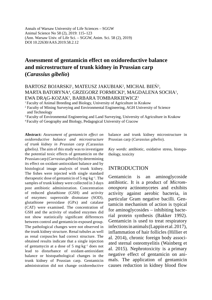Annals of Warsaw University of Life Sciences – SGGW Animal Science No 58 (2), 2019: 115–123 (Ann. Warsaw Univ. of Life Sci. – SGGW, Anim. Sci. 58 (2), 2019) DOI 10.22630/AAS.2019.58.2.12

# **Assessment of gentamicin effect on oxidoreductive balance and microstructure of trunk kidney in Prussian carp (***Carassius gibelio***)**

#### BARTOSZ BOJARSKI<sup>1</sup>, MATEUSZ JAKUBIAK<sup>2</sup>, MICHAŁ BIEŃ<sup>3</sup>, MARTA BATORYNA<sup>4</sup>, GRZEGORZ FORMICKI<sup>4</sup>, MAGDALENA SOCHA<sup>1</sup>, EWA DRĄG-KOZAK<sup>1</sup>, BARBARA TOMBARKIEWICZ<sup>1</sup>

1 Faculty of Animal Breeding and Biology, University of Agriculture in Krakow

2 Faculty of Mining Surveying and Environmental Engineering, AGH University of Science and Technology

3 Faculty of Environmental Engineering and Land Surveying, University of Agriculture in Krakow

4 Faculty of Geography and Biology, Pedagogical University of Cracow

**Abstract:** *Assessment of gentamicin effect on oxidoreductive balance and microstructure of trunk kidney in Prussian carp (*Carassius gibelio*).* The aim of this study was to investigate the potential toxic effects of gentamicin on the Prussian carp (*Carrasius gibelio*) by determining its effect on oxidant-antioxidant balance and by histological image analysis of trunk kidney. The fishes were injected with single standard therapeutic dose of gentamicin of 5 mg·kg–1. The samples of trunk kidney were collected in 3 days post antibiotic administration. Concentration of reduced glutathione (GSH) and activity of enzymes: superoxide dismutase (SOD), glutathione peroxidase (GPx) and catalase (CAT) were examined. The concentration of GSH and the activity of studied enzymes did not show statistically significant differences between control and gentamicin-exposed group. The pathological changes were not observed in the trunk kidney structure. Renal tubules as well as renal corpuscles had correct structure. The obtained results indicate that a single injection of gentamycin at a dose of 5 mg·kg–1 does not lead to disturbance of oxidant-antioxidant balance or histopathological changes in the trunk kidney of Prussian carp. Gentamicin administration did not change oxidoreductive balance and trunk kidney microstructure in Prussian carp (*Carassius gibelio*).

*Key words*: antibiotic, oxidative stress, histopathology, toxicity

#### **INTRODUCTION**

Gentamicin is an aminoglycoside antibiotic. It is a product of *Micromonospora* actinomycetes and exhibits activity against aerobic bacteria, in particular Gram negative bacilli. Gentamicin mechanism of action is typical for aminoglycosides – inhibiting bacterial protein synthesis (Bakker 1992). Gentamicin is used to treat respiratory infections in animals (Lappin et al. 2017), inflammation of hair follicles (Hillier et al. 2014), chronic foreign body associated sternal osteomyelitis (Wainberg et al. 2015). Nephrotoxicity is a primary negative effect of gentamicin on animals. The application of gentamicin causes reduction in kidney blood flow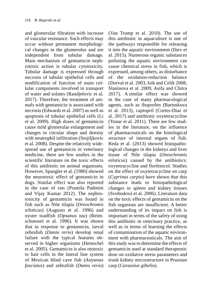and glomerular filtration with increase of vascular resistance. Such effects may occur without permanent morphological changes in the glomerulus and are independent from tubular damage. Main mechanism of gentamicin nephrotoxic action is tubular cytotoxicity. Tubular damage is expressed through necrosis of tubular epithelial cells and modification of function of main cellular components involved in transport of water and solutes (Randjelovic et al. 2017). Therefore, the treatment of animals with gentamicin is associated with necrosis (Edwards et al. 2007) as well as apoptosis of tubular epithelial cells (Li et al. 2009). High doses of gentamicin cause mild glomerular enlargement and changes in circular shape and density with neutrophil infiltration (Stojiljkovic et al. 2008). Despite the relatively widespread use of gentamicin in veterinary medicine, there are few studies in the scientific literature on the toxic effects of this antibiotic on animal organisms. However, Spangler et al. (1980) showed the neurotoxic effect of gentamicin in dogs. Similar effect was also reported in the case of rats (Pramila Padmini and Vijay Kumar 2012). The nephrotoxicity of gentamicin was found in fish such as Nile tilapia (*Oreochromis niloticus*) (Augusto et al. 1996) and oyster toadfish (*Opsanus tau*) (Reimschuessel et al. 1996). It was shown that in response to gentamicin, larval zebrafish (*Danio rerio*) develop renal failure with the typical features observed in higher organisms (Hentschel et al. 2005). Gentamicin is also ototoxic to hair cells in the lateral line system of Mexican blind cave fish (*Astyanax fasciatus*) and zebrafish (*Danio rerio*) (Van Trump et al. 2010). The use of this antibiotic in aquaculture is one of the pathways responsible for releasing it into the aquatic environment (Iliev et al. 2015). Numerous organic substances polluting the aquatic environment can cause chemical stress in fish, which is expressed, among others, as disturbance of the oxidation-reduction balance (Dorval et al. 2003, Isik and Celik 2008, Slaninova et al. 2009, Asifa and Chitra 2017). A similar effect was showed in the case of many pharmacological agents, such as ibuprofen (Bartoskova et al. 2013), captopril (Cortes-Diaz et al. 2017) and antibiotic oxytetracycline (Yonar et al. 2011). There are few studies in the literature, on the influence of pharmaceuticals on the histological structure of internal organs of fish. Reda et al. (2013) showed histopathological changes in the kidneys and liver tissue of Nile tilapia (*Oreochromis niloticus*) caused by the antibiotics: oxytetracycline and florfenicol. Studies on the effect of oxytetracycline on carp (*Cyprinus carpio*) have shown that this substance leads to histopathological changes in spleen and kidney tissues (Svobodová et al. 2006). Literature data on the toxic effects of gentamicin on the fish organism are insufficient. A better understanding of its impact on fish is important in terms of the safety of using this antibiotic in veterinary practice, as well as in terms of learning the effects of contamination of the aquatic environment with pharmaceuticals. The aim of this study was to determine the effects of gentamicin used at standard therapeutic dose on oxidative stress parameters and trunk kidney microstructure in Prussian carp (*Carassius gibelio*).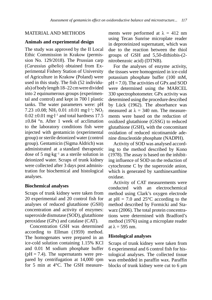# MATERIAL AND METHODS

#### **Animals and experimental design**

The study was approved by the II Local Ethic Commission in Krakow (permission No. 129/2018). The Prussian carp (*Carassius gibelio*) obtained from Experimental Fishery Station of University of Agriculture in Krakow (Poland) were used in this study. The fish (52 individuals) of body length 18–22 cm were divided into 2 equinumerous groups (experimental and control) and kept in 700 l plastic tanks. The water parameters were: pH 7.23  $\pm$ 0.08; NH<sub>3</sub> 0.01  $\pm$ 0.01 mg·l<sup>-1</sup>; NO<sub>2</sub>  $0.02 \pm 0.01$  mg·l<sup>-1</sup> and total hardness 17.5  $\pm 0.84$  °n. After 1 week of acclimation to the laboratory conditions fish were injected with gentamicin (experimental group) or sterile deionized water (control group). Gentamicin (Sigma Aldrich) was administrated at a standard therapeutic dose of 5 mg·kg−<sup>1</sup> as a sterile solution in deionized water. Scraps of trunk kidney were collected after 3 days post administration for biochemical and histological analyses.

# **Biochemical analyses**

Scraps of trunk kidney were taken from 20 experimental and 20 control fish for analyses of reduced glutathione (GSH) concentration and activity of enzymes: superoxide dismutase (SOD), glutathione peroxidase (GPx) and catalase (CAT).

Concentration GSH was determined according to Ellman (1959) method. The homogenates were prepared in an ice-cold solution containing 1.15% KCl and 0.01 M sodium phosphate buffer  $(pH = 7.4)$ . The supernatants were prepared by centrifugation at 14,000 rpm for 5 min at 4°C. The GSH measurements were performed at  $\lambda = 412$  nm using Tecan Sunrise microplate reader in deproteinized supernatant, which was due to the reaction between the thiol groups of GSH and 5,50-dithiobis-(2 nitrobenzoic acid) (DTNB).

For the analyses of enzyme activity, the tissues were homogenized in ice-cold potassium phosphate buffer (100 mM,  $pH = 7.0$ ). The activities of GPx and SOD were determined using the MARCEL 330 spectrophotometer. GPx activity was determined using the procedure described by Lück (1962). The absorbance was measured at  $\lambda = 340$  nm. The measurements were based on the reduction of oxidized glutathione (GSSG) to reduced glutathione (GSH), with the concomitant oxidation of reduced nicotinamide adenine dinucleotide phosphate (NADPH).

Activity of SOD was analysed according to the method described by Kono (1978). The assay is based on the inhibiting influence of SOD on the reduction of cytochrome C by the superoxide anion, which is generated by xanthinexanthine oxidase.

Activity of CAT measurements were conducted with an electrochemical method using Clark's oxygen electrode at  $pH = 7.0$  and  $25^{\circ}$ C according to the method described by Formicki and Stawarz (2006). The total protein concentrations were determined with Bradford's method (1976) using a microplate reader at  $\lambda = 595$  nm.

# **Histological analyses**

Scraps of trunk kidney were taken from 6 experimental and 6 control fish for histological analyses. The collected tissue was embedded in paraffin wax. Paraffin blocks of trunk kidney were cut to 6 μm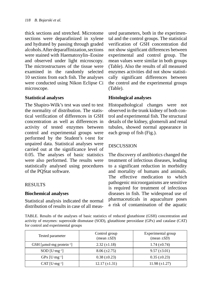thick sections and stretched. Microtome sections were deparafinized in xylene and hydrated by passing through graded alcohols. After deparaffinization, sections were stained with Haematoxylin–Eosine and observed under light microscopy. The mictrostructures of the tissue were examined in the randomly selected 10 sections from each fish. The analyses were conducted using Nikon Eclipse Ci microscope.

# **Statistical analyses**

The Shapiro-Wilk's test was used to test the normality of distribution. The statistical verification of differences in GSH concentration as well as differences in activity of tested enzymes between control and experimental groups were performed by the Student's t-test for unpaired data. Statistical analyses were carried out at the significance level of 0.05. The analyses of basic statistics were also performed. The results were statistically analysed using procedures of the PQStat software.

# RESULTS

# **Biochemical analyses**

Statistical analysis indicated the normal distribution of results in case of all measured parameters, both in the experimental and the control groups. The statistical verification of GSH concentration did not show significant differences between experimental and control group. The mean values were similar in both groups (Table). Also the results of all measured enzymes activities did not show statistically significant differences between the control and the experimental groups (Table).

# **Histological analyses**

Histopathological changes were not observed in the trunk kidney of both control and experimental fish. The structural details of the kidney, glomeruli and renal tubules, showed normal appearance in each group of fish (Fig.).

# DISCUSSION

The discovery of antibiotics changed the treatment of infectious diseases, leading to a significant reduction in morbidity and mortality of humans and animals. The effective medication to which pathogenic microorganisms are sensitive is required for treatment of infectious diseases in fish. The widespread use of pharmaceuticals in aquaculture poses a risk of contamination of the aquatic

TABLE. Results of the analyses of basic statistics of reduced glutathione (GSH) concentration and activity of enzymes: superoxide dismutase (SOD), glutathione peroxidase (GPx) and catalase (CAT) for control and experimental groups

| Tested parameter                     | Control group<br>$(\text{mean} \pm SD)$ | Experimental group<br>(mean $\pm SD$ ) |
|--------------------------------------|-----------------------------------------|----------------------------------------|
| GSH [µmol·mg protein <sup>-1</sup> ] | $2.32 \ (\pm 1.18)$                     | 1.74 $(\pm 0.74)$                      |
| $SOD$ [U $\cdot$ mg <sup>-1</sup> ]  | $8.06 \ (\pm 2.75)$                     | $9.57 \ (\pm 3.01)$                    |
| $GPX$ [U $\cdot$ mg <sup>-1</sup> ]  | $0.38 \ (\pm 0.23)$                     | $0.35 \ (\pm 0.23)$                    |
| $CAT$ $[U·mg-1]$                     | $12.17 \ (\pm 1.31)$                    | 11.98 $(\pm 1.27)$                     |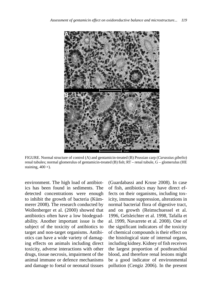

FIGURE. Normal structure of control (A) and gentamicin-treated (B) Prussian carp (*Carassius gibelio*) renal tubules; normal glomerulus of gentamicin-treated  $(B)$  fish;  $RT$  – renal tubule,  $G$  – glomerulus (HE staining,  $400 \times$ ).

environment. The high load of antibiotics has been found in sediments. The detected concentrations were enough to inhibit the growth of bacteria (Kümmerer 2008). The research conducted by Wollenberger et al. (2000) showed that antibiotics often have a low biodegradability. Another important issue is the subject of the toxicity of antibiotics to target and non-target organisms. Antibiotics can have a wide variety of damaging effects on animals including direct toxicity, adverse interactions with other drugs, tissue necrosis, impairment of the animal immune or defence mechanisms and damage to foetal or neonatal tissues (Guardabassi and Kruse 2008). In case of fish, antibiotics may have direct effects on their organisms, including toxicity, immune suppression, alterations in normal bacterial flora of digestive tract, and on growth (Reimschuessel et al. 1996, Gelsleichter et al. 1998, Tafalla et al. 1999, Navarrete et al. 2008). One of the significant indicators of the toxicity of chemical compounds is their effect on the histological state of internal organs, including kidney. Kidney of fish receives the largest proportion of postbranchial blood, and therefore renal lesions might be a good indicator of environmental pollution (Cengiz 2006). In the present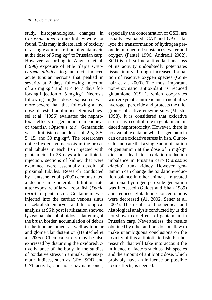study, histopathological changes in *Carassius gibelio* trunk kidney were not found. This may indicate lack of toxicity of a single administration of gentamycin at the dose of 5 mg $\cdot$ kg<sup>-1</sup> to Prussian carp. However, according to Augusto et al. (1996) exposure of Nile tilapia *Oreochromis niloticus* to gentamicin induced acute tubular necrosis that peaked in severity at 2 days following injection of 25 mg·kg<sup>-1</sup> and at 4 to 7 days following injection of 5 mg·kg<sup>-1</sup>. Necrosis following higher dose exposures was more severe than that following a low dose of tested antibiotics. Reimschuessel et al. (1996) evaluated the nephrotoxic effects of gentamicin in kidneys of toadfish (*Opsanus tau*). Gentamicin was administered at doses of 2.5, 3.5, 5, 15, and 50 mg $\text{kg}^{-1}$ . The researchers noticed extensive necrosis in the proximal tubules in each fish injected with gentamicin. In 28 days after antibiotic injection, sections of kidney that were examined were essentially devoid of proximal tubules. Research conducted by Hentschel et al. (2005) demonstrated a decline in glomerular filtration rate after exposure of larval zebrafish (*Danio rerio*) to gentamicin. Gentamicin was injected into the cardiac venous sinus of zebrafish embryos and histological analysis at 96 h post fertilization showed lysosomal phospholipidosis, flattening of the brush border, accumulation of debris in the tubular lumen, as well as tubular and glomerular distention (Hentschel et al. 2005). Chemical stress may be also expressed by disturbing the oxidoreductive balance of the body. In the studies of oxidative stress in animals, the enzymatic indices, such as GPx, SOD and CAT activity, and non-enzymatic ones, especially the concentration of GSH, are usually evaluated. CAT and GPx catalyze the transformation of hydrogen peroxide into neutral substances: water and oxygen (Fantel 1996, Andreoli 2002). SOD is a first-line antioxidant and loss of its activity undoubtedly potentiates tissue injury through increased formation of reactive oxygen species (Comhair et al. 2000). The most important non-enzymatic antioxidant is reduced glutathione (GSH), which cooperates with enzymatic antioxidants to neutralize hydrogen peroxide and protects the thiol groups of active enzyme sites (Meister 1998). It is considered that oxidative stress has a central role in gentamicin induced nephrotoxicity. However, there is no available data on whether gentamicin can cause oxidative stress in fish. Our results indicate that a single administration of gentamicin at the dose of 5 mg·kg<sup>-1</sup> did not lead to oxidation-reduction imbalance in Prussian carp (*Carassius gibelio*) trunk kidney. However, gentamicin can change the oxidation-reduction balance in other animals. In treated rats renal hydrogen peroxide generation was increased (Guidet and Shah 1989) and reduced glutathione concentrations were decreased (Ali 2002, Sener et al. 2002). The results of biochemical and histological analysis conducted by us did not show toxic effects of gentamicin in Prussian carp. Nevertheless, the results obtained by other authors do not allow to make unambiguous conclusions on the toxicity of this antibiotic to fish. Further research that will take into account the influence of factors such as fish species and the amount of antibiotic dose, which probably have an influence on possible toxic effects, is needed.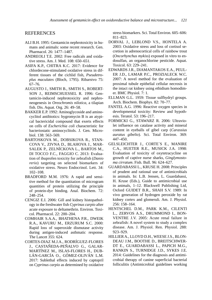#### REFERENCES

- ALI B.H. 1995: Gentamicin nephrotoxicity in humans and animals: some recent research. Gen. Pharmacol. 26: 1477–1487.
- ANDREOLI T.E. 2002: Free radicals and oxidative stress. Am. J. Med. 108: 650–651.
- ASIFA K.P., CHITRA K.C. 2017: Evidence for chlordecone-stimulated oxidative stress in different tissues of the cichlid fish, *Pseudetroplus maculates* (Bloch, 1795). Ribarstvo 75: 67–76.
- AUGUSTO J., SMITH B., SMITH S., ROBERT-SON J., REIMSCHUESSEL R. 1996: Gentamicin-induced nephrotoxicity and nephroneogenesis in *Oreochromis nilotica*, a tilapian fish. Dis. Aquat. Org. 26: 49–58.
- BAKKER E.P. 1992: Aminoglycoside and aminocyclitol antibiotics: hygromycin B is an atypical bactericidal compound that exerts effects on cells of *Escherichia coli* characteristic for bacteriostatic aminocyclitols. J. Gen. Microbiol. 138: 563–569.
- BARTOSKOVA M., DOBSIKOVA R., STAN-COVA V., ZIVNA D., BLAHOVA J., MAR-SALEK P., ZELNÍCKOVA L., BARTOS M., DI TOCCO F.C., FAGGIO C. 2013: Evaluation of ibuprofen toxicity for zebrafish (*Danio rerio*) targeting on selected biomarkers of oxidative stress. Neuro Endocrinol. Lett. 34: 102–108.
- BRADFORD M.M. 1976: A rapid and sensitive method for the quantitation of microgram quantities of protein utilizing the principle of protein-dye binding. Anal. Biochem. 72: 248–254.
- CENGIZ E.I. 2006: Gill and kidney histopathology in the freshwater fish *Cyprinus carpio* after acute exposure to deltamethrin. Environ. Toxicol. Pharmacol. 22: 200–204.
- COMHAIR S.A.A., BHATHENA P.R., DWEIK R.A., KAVURU M., ERZURUM S.C. 2000: Rapid loss of superoxide dismutase activity during antigen-induced asthmatic response. The Lancet 355: 624.
- CORTES-DIAZ M.J.A., RODRÍGUEZ-FLORES J., CASTAÑEDA-PEÑALVO G., GALAR-MARTÍNEZ M., ISLAS-FLORES H., DUB-LÁN-GARCÍA O., GÓMEZ-OLIVÁN L.M. 2017: Sublethal effects induced by captopril on *Cyprinus carpio* as determined by oxidative

stress biomarkers. Sci. Total Environ. 605–606: 811–823.

- DORVAL J., LEBLOND V.S., HONTELA A. 2003: Oxidative stress and loss of cortisol secretion in adrenocortical cells of rainbow trout (*Oncorhynchus mykiss*) exposed in vitro to endosulfan, an organochlorine pesticide. Aquat. Toxicol. 63: 229–241.
- EDWARDS J.R., DIAMANTAKOS E.A., PEUL-ER J.D., LAMAR P.C., PROZIALECK W.C. 2007: A novel method for the evaluation of proximal tubule epithelial cellular necrosis in the intact rat kidney using ethidium homodimer. BMC Physiol. 7: 1.
- ELLMAN G.L. 1959: Tissue sulfhydryl groups. Arch. Biochem. Biophys. 82: 70–77.
- FANTEL A.G. 1996: Reactive oxygen species in developmental toxicity: Review and hypothesis. Teratol. 53: 196–217.
- FORMICKI G., STAWARZ R. 2006: Ultraviolet influence on catalase activity and mineral content in eyeballs of gibel carp (*Carassius auratus gibelio*). Sci. Total Environ. 369: 447–450.
- GELSLEICHTER J., CORTE´S E., MANIRE C.A., HUETER R.E., MUSICK J.A. 1998: Evaluation of toxicity of oxytetracycline on growth of captive nurse sharks, *Ginglymostoma cirratum*. Fish. Bull. 96: 624–627.
- GUARDABASSI L., KRUSE H. 2008: Principles of prudent and rational use of antimicrobials in animals. In: L.B. Jensen, L. Guardabassi, H. Kruse (Eds.), Guide to antimicrobial use in animals, 1–12. Blackwell Publishing Ltd, Oxford GUIDET B.R., SHAH S.V. 1989: In vivo generation of hydrogen peroxide by rat kidney cortex and glomeruli. Am. J. Physiol. 256: 158–164.
- HENTSCHEL D.M., PARK K.M., CILENTI L., ZERVOS A.S., DRUMMOND I., BON-VENTRE J.V. 2005: Acute renal failure in zebrafish: A novel system to study a complex disease. Am. J. Physiol. Ren. Physiol. 288: 923–929.
- HILLIER A., LLOYD D.H., WEESE J.S., BLON-DEAU J.M., BOOTHE D., BREITSCHWER-DT E., GUARDABASSI L., PAPICH M.G., RANKIN S., TURNIDGE J.D., SYKES J.E. 2014: Guidelines for the diagnosis and antimicrobial therapy of canine superficial bacterial folliculitis (Antimicrobial guidelines working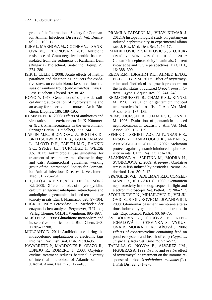group of the International Society for Companion Animal Infectious Diseases). Vet. Dermatol. 25: 163–175.

- ILIEV I., MARHOVA M., GOCHEV V., TSANK-OVA M., TRIFONOVA S. 2015: Antibiotic resistance of Gram-negative benthic bacteria isolated from the sediments of Kardzhali Dam (Bulgaria). Biotechnol. Biotechnol. Equip. 29: 274–280.
- ISIK I., CELIK I. 2008: Acute effects of methyl parathion and diazinon as inducers for oxidative stress on certain biomarkers in various tissues of rainbow trout (*Oncorhynchus mykiss*). Pest. Biochem. Physiol. 92: 38–42.
- KONO Y. 1978: Generation of superoxide radical during autoxidation of hydroxylamine and an assay for superoxide dismutase. Arch. Biochem. Biophys. 186: 189–195.
- KÜMMERER K. 2008: Effects of antibiotics and virustatics in the environment. In: K. Kümmerer (Ed.), Pharmaceuticals in the environment, Springer Berlin – Heidelberg, 223–244.
- LAPPIN M.R., BLONDEAU J., BOOTHE D., BREITSCHWERDT E.B., GUARDABASSI L., LLOYD D.H., PAPICH M.G., RANKIN S.C., SYKES J.E., TURNIDGE J., WEESE J.S. 2017: Antimicrobial use guidelines for treatment of respiratory tract disease in dogs and cats: Antimicrobial guidelines working group of the International Society for Companion Animal Infectious Diseases. J. Vet. Intern. Med. 31: 279–294.
- LI J., LI Q.X., XIE X.F., AO Y., TIE C.R., SONG R.J. 2009: Differential roles of dihydropyridine calcium antagonist nifedipine, nitrendipine and amlodipine on gentamicin-induced renal tubular toxicity in rats. Eur. J. Pharmacol. 620: 97–104.
- LÜCK H. 1962: Peroxidase. In: Methoden der enzymatischen analyse. Bergmeyer, H.U. ed.; Verlag Chemie, GMBH: Weinheim, 895–897.
- MEISTER A. 1998: Glutathione metabolism and its selective modification. J. Biol. Chem. 263: 17205–17208.
- MULCAHY D. 2011: Antibiotic use during the intracoelomic implantation of electronic tags into fish. Rev. Fish Biol. Fish. 21: 83–96.
- NAVARRETE P., MARDONES P., OPAZO R., ESPEJO R., ROMERO J. 2008: Oxytetracycline treatment reduces bacterial diversity of intestinal microbiota of Atlantic salmon. J. Aquat. Anim. Health 20: 177–183.
- PRAMILA PADMINI M., VIJAY KUMAR J. 2012: A histopathological study on gentamycin induced nephrotoxicity in experimental albino rats. J. Res. Med. Den. Sci. 1: 14–17.
- RANDJELOVIC P., VELJKOVIC S., STOJILJK-OVIC N., SOKOLOVIC D., ILIC I. 2017: Gentamicin nephrotoxicity in animals: Current knowledge and future perspectives. EXCLI J., 16: 388–399.
- REDA R.M., IBRAHIM R.E., AHMED E.N.G., EL-BOUHY Z.M. 2013: Effect of oxytetracycline and florfenicol as growth promoters on the health status of cultured *Oreochromis niloticus*. Egypt. J. Aquat. Res. 39: 241–248.
- REIMSCHUESSEL R., CHAMIE S.J., KINNEL M. 1996: Evaluation of gentamicin induced nephrotoxicosis in toadfish. J. Am. Vet. Med. Assoc. 209: 137–139.
- REIMSCHUESSEL R., CHAMIE S.J., KINNEL M. 1996: Evaluation of gentamicin-induced nephrotoxicosis in toadfish. J. Am. Vet. Med. Assoc. 209: 137–139.
- SENER G., SEHIRLI A.O., ALTUNBAS H.Z., ERSOY Y., PASKALOGLU K., ARBAK S., AYANOGLU-DULGER G. 2002: Melatonin protects against gentamicininduced nephrotoxicity in rats. J. Pin. Res. 32: 231–236.
- SLANINOVA A., SMUTNA M., MODRA H., SVOBODOVA Z. 2009: A review: Oxidative stress in fish induced by pesticides. Neuro Endocrinol. Lett. 30: 2–12.
- SPANGLER W.L., ADELMAN R.D., CONZEL-MAN J.R., ISHIZAKI G. 1980: Gentamicin nephrotoxicity in the dog: sequential light and electron microscopy. Vet. Pathol. 17: 206–217.
- STOJILJKOVIC N., MIHAILOVIC D., VELJK-OVIC S., STOILJKOVIC M., JOVANOVIC I. 2008: Glomerular basement membrane alterations induced by gentamicin administration in rats. Exp. Toxicol. Pathol. 60: 69–75.
- SVOBODOVÁ Z., SUDOVÁ E., NEPE-JCHALOVÁ L., ČERVINKA S., VYKUS-OVÁ B., MODRÁ H., KOLÁŘOVÁ J. 2006: Effects of oxytetracycline containing feed on pond ecosystem and health of carp (*Cyprinus carpio* L.). Acta Vet. Brno 75: 571–577.
- TAFALLA C., NOVOA B., ALVAREZ J.M., FIGUERAS A. 1999: *In vivo* and *in vitro* effect of oxytetracycline treatment on the immune response of turbot, *Scophthalmus maximus* (L.). J. Fish Dis. 22: 271–276.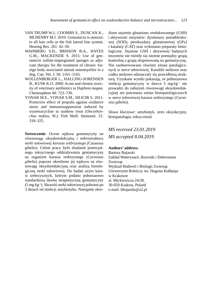- VAN TRUMP W.J., COOMBS S., DUNCAN K., MCHENRY M.J. 2010: Gentamicin is ototoxic to all hair cells in the fish lateral line system. Hearing Res. 261: 42–50.
- WAINBERG S.H., BRISSON B.A., HAYES G.M., MACKENZIE S. 2015: Use of gentamicin sulfate-impregnated sponges as adjuvant therapy for the treatment of chronic foreign body associated sternal osteomyelitis in a dog. Can. Vet. J. 56: 1161–1165.
- WOLLENBERGER L., HALLING-SORENSEN B., KUSK K.O. 2000: Acute and chronic toxicity of veterinary antibiotics to *Daphnia magna*. Chemosphere 40: 723–730.
- YONAR M.E., YONAR S.M., SILICIB S. 2011: Protective effect of propolis against oxidative stress and immunosuppression induced by oxytetracycline in rainbow trout (*Oncorhynchus mykiss*, W.). Fish Shell. Immunol. 31: 318–325.

**Streszczenie**. *Ocena wpływu gentamycyny na równowagę oksydoredukcyjną i mikrostrukturę nerki tułowiowej karasia srebrzystego (*Carassius gibelio*).* Celem pracy było zbadanie potencjalnego toksycznego oddziaływania gentamycyny na organizm karasia srebrzystego (*Carassius gibelio*) poprzez określenie jej wpływu na równowagę oksydoredukcyjną oraz analizę histologiczną nerki tułowiowej. Do badań użyto karasi srebrzysztych, którym podano jednorazowo standardową dawkę terapeutyczną gentamycyny (5 mg·kg-1). Skrawki nerki tułowiowej pobrano po 3 dniach od iniekcji antybiotyku. Następnie okre-

ślono stężenie glutationu zredukowanego (GSH) i aktywność enzymów: dysmutazy ponadtlenkowej (SOD), peroksydazy glutationowej (GPx) i katalazy (CAT) oraz wykonano preparaty histologiczne. Stężenie GSH i aktywność badanych enzymów nie różniły się istotnie pomiędzy grupą kontrolną a grupą eksponowaną na gentamycynę. Nie zaobserwowano również zmian patologicznych w nerce tułowiowej. Kanaliki nerkowe oraz ciałka nerkowe odznaczały się prawidłową strukturą. Uzyskane wyniki pokazują, że jednorazowa iniekcja gentamycyny w dawce 5 mg·kg–1 nie prowadzi do zaburzeń równowagi oksydoredukcyjnej ani powstania zmian histopatologicznych w nerce tułowiowej karasia srebrzystego (*Carassius gibelio*).

*Słowa kluczowe*: antybiotyk, stres oksydacyjny, histopatologia, toksyczność

*MS received 23.01.2019 MS accepted 8.04.2019*

#### **Authors' address:**

Bartosz Bojarski Zakład Weterynarii, Rozrodu i Dobrostanu Zwierząt Wydział Hodowli i Biologii Zwierząt Uniwersytet Rolniczy im. Hugona Kołłątaja w Krakowie al. Mickiewicza 24/28, 30-059 Krakow, Poland e-mail: bbojarski@o2.pl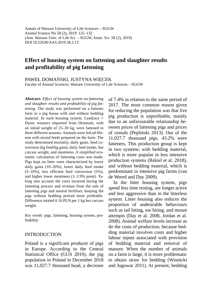Annals of Warsaw University of Life Sciences – SGGW Animal Science No 58 (2), 2019: 125–132 (Ann. Warsaw Univ. of Life Sci. – SGGW, Anim. Sci. 58 (2), 2019) DOI 10.22630/AAS.2019.58.2.13

# **Effect of housing system on fattening and slaughter results and profitability of pig fattening**

PAWEŁ DOMAŃSKI, JUSTYNA WIĘCEK

Faculty of Animal Sciences, Warsaw University of Life Sciences – SGGW

**Abstract:** *Effect of housing system on fattening*  and slaughter results and profitability of pig fat*tening.* The study was performed on a fattener farm in a pig house with and without bedding material. In each housing system, Landrace  $\times$ Duroc weaners imported from Denmark, with an initial weight of 25–30 kg, were fattened in three different seasons. Animals were fed *ad libitum* with mixed feeds prepared on the farm. The study determined mortality, daily gains, feed conversion (kg feed/kg gain), daily feed intake, hot carcass weight, and meatiness. A simplified economic calculation of fattening costs was made. Pigs kept on litter were characterized by lower daily gains (10–20%), lower daily feed intake  $(5-10\%)$ , less efficient feed conversion  $(5\%)$ , and higher lower meatiness (1–2.9% point). Taking into account the costs incurred during the fattening process and revenue from the sale of fattening pigs and natural fertilizer, keeping the pigs without bedding proved more profitable. Difference totaled 0.16 PLN per 1 kg hot carcass weight.

*Key words*: pigs, fattening, housing system, profitability

#### INTRODUCTION

Poland is a significant producer of pigs in Europe. According to the Central Statistical Office (GUS 2019), the pig population in Poland in December 2018 was 11,027.7 thousand head, a decrease of 7.4% in relation to the same period of 2017. The most common reason given for reducing the population was that live pig production is unprofitable, mainly due to an unfavourable relationship between prices of fattening pigs and prices of cereals (Pepliński 2013). Out of the 11,027.7 thousand pigs, 43.2% were fatteners. This production group is kept in two systems: with bedding material, which is more popular in less intensive production systems (Rekiel et al. 2018), and without bedding material, which is predominant in intensive pig farms (van de Weerd and Day 2009).

In the litter housing system, pigs spend less time resting, are longer active and less aggressive than in the litterless system. Litter housing also reduces the proportion of undesirable behaviours such as tail biting, ear biting, and mount attempts (Day et al. 2008, Jordan et al. 2008). Animal welfare levels increase as do the costs of production, because bedding material involves costs and higher labour inputs associated with provision of bedding material and removal of manure. When the number of animals on a farm is large, it is more problematic to obtain straw for bedding (Winnicki and Jugowar 2011). At present, bedding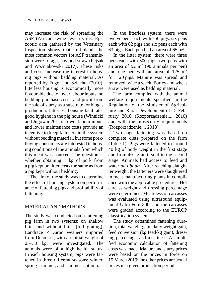may increase the risk of spreading the ASF (African swine fever) virus. Epizootic data gathered by the Veterinary Inspection shows that in Poland, the most common vectors for ASF transmission were forage, hay and straw (Pejsak and Woźniakowski 2017). These risks and costs increase the interest in housing pigs without bedding material. As reported by Fugol and Szlachta (2010), litterless housing is economically more favourable due to lower labour inputs, no bedding purchase costs, and profit from the sale of slurry as a substrate for biogas production. Litterless housing facilitates good hygiene in the pig house (Winnicki and Jugowar 2011). Lower labour inputs and lower maintenance costs provide an incentive to keep fatteners in the system without bedding material, but some porkbuying consumers are interested in housing conditions of the animals from which this meat was sourced. The question is whether obtaining 1 kg of pork from a pig kept on litter costs the same as from a pig kept without bedding.

The aim of the study was to determine the effect of housing system on performance of fattening pigs and profitability of fattening.

# MATERIAL AND METHODS

The study was conducted on a fattening pig farm in two systems: on shallow litter and without litter (full grating). Landrace  $\times$  Duroc weaners imported from Denmark, with an initial weight of 25–30 kg, were investigated. The animals were of a high health status. In each housing system, pigs were fattened in three different seasons: winter, spring–summer, and summer–autumn.

In the litterless system, there were twelve pens each with 750 pigs: six pens each with 62 pigs and six pens each with 63 pigs. Each pen had an area of 65 m2 .

In the litter system, there were three pens each with 300 pigs: two pens with an area of 92 m2 (90 animals per pen) and one pen with an area of  $125 \text{ m}^2$ for 120 pigs. Manure was spread and removed twice a week. Barley and wheat straw were used as bedding material.

The farm complied with the animal welfare requirements specified in the Regulation of the Minister of Agriculture and Rural Development of 15 February 2010 (Rozporządzenie..., 2010) and with the biosecurity requirements (Rozporządzenie..., 2018).

Two-stage fattening was based on complete diets prepared on the farm (Table 1). Pigs were fattened to around 40 kg of body weight in the first stage and from 40 kg until sold in the second stage. Animals had access to feed and water *ad libitum*. After reaching slaughter weight, the fatteners were slaughtered in meat manufacturing plants in compliance with the applicable procedures. Hot carcass weight and dressing percentage were determined. Meatiness of carcasses was evaluated using ultrasound equipment Ultra-Fom 300, and the carcasses were graded according to the EUROP classification system.

The study determined fattening duration, total weight gain, daily weight gain, feed conversion (kg feed/kg gain), dressing percentage, and meatiness. A simplified economic calculation of fattening costs was made. Manure and slurry prices were based on the prices in force on 15 March 2019; the other prices are actual prices in a given production period.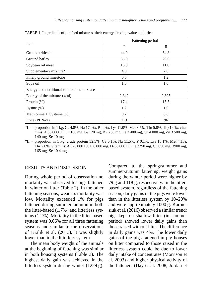|                                             | Fattening period |         |  |  |  |
|---------------------------------------------|------------------|---------|--|--|--|
| Item                                        | I                | П       |  |  |  |
| Ground triticale                            | 44.0             | 64.8    |  |  |  |
| Ground barley                               | 35.0             | 20.0    |  |  |  |
| Soybean oil meal                            | 15.0             | 11.0    |  |  |  |
| Supplementary mixture*                      | 4.0              | 2.0     |  |  |  |
| Finely ground limestone                     | 0.5              | 1.2     |  |  |  |
| Soya oil                                    | 1.5              | 1.0     |  |  |  |
| Energy and nutritional value of the mixture |                  |         |  |  |  |
| Energy of the mixture (kcal)                | 2 3 4 2          | 2 3 9 5 |  |  |  |
| Protein $(\%)$                              | 17.4             | 15.5    |  |  |  |
| Lysine $(\%)$                               | 1.2              | 1.0     |  |  |  |
| Methionine + Cysteine $(\%)$                | 0.7              | 0.6     |  |  |  |
| Price (PLN/dt)                              | 113              | 96      |  |  |  |

TABLE 1. Ingredients of the feed mixtures, their energy, feeding value and price

 $*I$  – proportion in 1 kg: Ca 4.8%, Na 17.0%, P 4.0%, Lys 11.0%, Met 3.5%, Thr 5.0%, Trp 1.0%; vitamins: A 35 0000 IU, E 100 mg, B<sub>2</sub> 120 mg, B<sub>12</sub> 750 mg; Fe 3 400 mg, Cu 4 000 mg, Zn 3 500 mg, I 40 mg, Se 10 mg.

 $*$ II – proportion in 1 kg: crude protein 32.5%, Ca 6.1%, Na 11.5%, P 0.1%, Lys 18.1%, Met 4.1%, Thr 7.0%: vitamins: A 325 000 IU, E 6 000 mg, D3 65 000 IU; Fe 3250 mg, Cu 650 mg, 3900 mg, I 65 mg, Se 10.4 mg.

#### RESULTS AND DISCUSSION

During whole period of observation no mortality was observed for pigs fattened in winter on litter (Table 2). In the other fattening seasons, weaners mortality was low. Mortality exceeded 1% for pigs fattened during summer–autumn in both the litter-based (1.7%) and litterless systems (1.2%). Mortality in the litter-based system was 0.66% for all three fattening seasons and similar to the observations of Kralik et al. (2013), it was slightly lower than in the litterless system.

The mean body weight of the animals at the beginning of fattening was similar in both housing systems (Table 3). The highest daily gain was achieved in the litterless system during winter (1229 g). Compared to the spring/summer and summer/autumn fattening, weight gains during the winter period were higher by 79 g and 118 g, respectively. In the litterbased system, regardless of the fattening season, daily gains of the pigs were lower than in the litterless system by 10–20% and were approximately 1000 g. Karpiesiuk et al. (2016) observed a similar trend: pigs kept on shallow litter (in summer period) showed lower daily gains than those raised without litter. The difference in daily gains was 4%. The lower daily gains of the pigs fattened in pig houses on litter compared to those raised in the litterless system could be due to lower daily intake of concentrates (Morrison et al. 2003) and higher physical activity of the fatteners (Day et al. 2008, Jordan et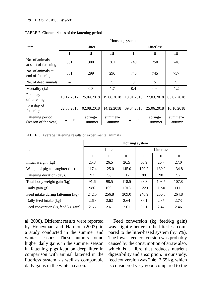|                                          | Housing system |                      |                    |            |                      |                    |  |  |  |
|------------------------------------------|----------------|----------------------|--------------------|------------|----------------------|--------------------|--|--|--|
| <b>Item</b>                              |                | Litter               |                    | Litterless |                      |                    |  |  |  |
|                                          | I              | П                    | Ш                  | I          | H                    | Ш                  |  |  |  |
| No. of animals<br>at start of fattening  | 301            | 300                  | 301                | 749        | 750                  | 746                |  |  |  |
| No. of animals at<br>end of fattening    | 301            | 299                  | 296                | 746        | 745                  | 737                |  |  |  |
| No. of dead animals                      |                | 1                    | 5                  | 3          | 5                    | 9                  |  |  |  |
| Mortality (%)                            |                | 0.3                  | 1.7                | 0.4        | 0.6                  | 1.2                |  |  |  |
| First day<br>of fattening                | 19.12.2017     | 25.04.2018           | 19.08.2018         | 19.01.2018 | 27.03.2018           | 05.07.2018         |  |  |  |
| Last day of<br>fattening                 | 22.03.2018     | 02.08.2018           | 14.12.2018         | 09.04.2018 | 25.06.2018           | 10.10.2018         |  |  |  |
| Fattening period<br>(season of the year) | winter         | $spring-$<br>-summer | summer-<br>-autumn | winter     | $spring-$<br>-summer | summer-<br>-autumn |  |  |  |

TABLE 2. Characteristics of the fattening period

TABLE 3. Average fattening results of experimental animals

|                                   | Housing system |             |       |            |             |       |  |  |
|-----------------------------------|----------------|-------------|-------|------------|-------------|-------|--|--|
| Item                              |                | Litter      |       | Litterless |             |       |  |  |
|                                   | I              | $_{\rm II}$ | Ш     | I          | $_{\rm II}$ | Ш     |  |  |
| Initial weight (kg)               | 25.8           | 26.5        | 26.5  | 30.9       | 26.7        | 27.0  |  |  |
| Weight of pig at slaughter (kg)   | 117.4          | 125.0       | 145.0 | 129.2      | 130.2       | 134.8 |  |  |
| Fattening duration (days)         | 93             | 98          | 117   | 80         | 90          | 97    |  |  |
| Total body weight gain (kg)       | 91.6           | 98.5        | 118.5 | 98.3       | 103.5       | 107.8 |  |  |
| Daily gain $(g)$                  | 986            | 1005        | 1013  | 1229       | 1150        | 1111  |  |  |
| Feed intake during fattening (kg) | 242.5          | 256.8       | 309.0 | 246.9      | 256.3       | 264.8 |  |  |
| Daily feed intake (kg)            | 2.60           | 2.62        | 2.64  | 3.01       | 2.85        | 2.73  |  |  |
| Feed conversion (kg feed/kg gain) | 2.65           | 2.61        | 2.61  | 2.51       | 2.47        | 2.46  |  |  |

al. 2008). Different results were reported by Honeyman and Harmon (2003) in a study conducted in the summer and winter seasons. These authors found higher daily gains in the summer season in fattening pigs kept on deep litter in comparison with animal fattened in the litterless system, as well as comparable daily gains in the winter season.

Feed conversion (kg feed/kg gain) was slightly better in the litterless compared to the litter-based system (by 5%). The lower feed conversion was probably caused by the consumption of straw also, which is a fibre that reduces nutrient digestibility and absorption. In our study, feed conversion was 2.46–2.65 kg, which is considered very good compared to the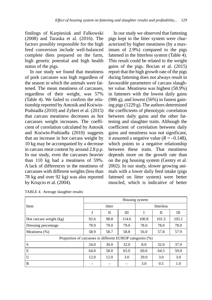findings of Karpiesiuk and Falkowski (2008) and Taraska et al. (2016). The factors possibly responsible for the high feed conversion include well-balanced complete diets prepared on the farm, high genetic potential and high health status of the pigs.

In our study we found that meatiness of pork carcasses was high regardless of the season in which the animals were fattened. The mean meatiness of carcasses, regardless of their weight, was 57% (Table 4). We failed to confirm the relationship reported by Antosik and Koćwin-Podsiadła (2010) and Zybert et al. (2015) that carcass meatiness decreases as hot carcasses weight increases. The coefficient of correlation calculated by Antosik and Koćwin-Podsiadła (2010) suggests that an increase in hot carcass weight by 10 kg may be accompanied by a decrease in carcass meat content by around 2.8 p.p. In our study, even the carcasses heavier than 110 kg had a meatiness of 59%. A lack of differences in the meatiness of carcasses with different weights (less than 78 kg and over 92 kg) was also reported by Krzęcio et al. (2004).

In our study we observed that fattening pigs kept in the litter system were characterized by higher meatiness (by a maximum of 2.9%) compared to the pigs fattened in the litterless system (Table 4). This result could be related to the weight gains of the pigs. Bocian et al. (2015) report that the high growth rate of the pigs during fattening does not always result in favourable parameters of carcass slaughter value. Meatiness was highest (58.9%) in fatteners with the lowest daily gains  $(986 \text{ g})$ , and lowest  $(56\%)$  in fastest gaining pigs (1229 g). The authors determined the coefficients of phenotypic correlation between daily gains and the other fattening and slaughter traits. Although the coefficient of correlation between daily gains and meatiness was not significant, it assumed a negative value  $(R = -0.148)$ , which points to a negative relationship between these traits. That meatiness depends more on the growth rate than on the pig housing system (Gentry et al. 2002). In our study, slower growing animals with a lower daily feed intake (pigs fattened on litter system) were better muscled, which is indicative of better

|                                                           | Housing system |        |       |            |             |       |  |
|-----------------------------------------------------------|----------------|--------|-------|------------|-------------|-------|--|
| Item                                                      |                | litter |       | litterless |             |       |  |
|                                                           | I              | П      | Ш     | I          | $_{\rm II}$ | Ш     |  |
| Hot carcass weight (kg)                                   | 92.6           | 98.8   | 114.6 | 100.8      | 101.5       | 105.1 |  |
| Dressing percentage                                       | 78.9           | 79.0   | 79.0  | 78.0       | 78.0        | 78.0  |  |
| Meatiness $(\%)$                                          | 58.9           | 58.7   | 58.8  | 56.0       | 57.8        | 57.9  |  |
| Proportion of carcasses in different EUROP categories (%) |                |        |       |            |             |       |  |
| S                                                         | 24.0           | 30.0   | 32.0  | 8.0        | 32.0        | 37.0  |  |
| E                                                         | 64.0           | 58.0   | 65.0  | 60.0       | 64.5        | 59.0  |  |
| U                                                         | 12.0           | 12.0   | 3.0   | 29.0       | 3.0         | 3.0   |  |
| R                                                         |                |        |       | 3.0        | 0.5         | 1.0   |  |

TABLE 4. Average slaughter results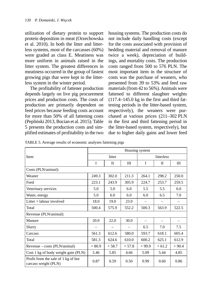utilization of dietary protein to support protein deposition in meat (Orzechowska et al. 2010). In both the litter and litterless systems, most of the carcasses (60%) were graded as class E. Meatiness was more uniform in animals raised in the litter system. The greatest differences in meatiness occurred in the group of fastest growing pigs that were kept in the litterless system in the winter period.

The profitability of fattener production depends largely on live pig procurement prices and production costs. The costs of production are primarily dependent on feed prices because feeding costs account for more than 50% of all fattening costs (Pepliński 2013, Bocian et al. 2015). Table 5 presents the production costs and simplified estimates of profitability in the two

housing systems. The production costs do not include daily handling costs (except for the costs associated with provision of bedding material and removal of manure twice a week), depreciation of buildings, and mortality costs. The production costs ranged from 500 to 576 PLN. The most important item in the structure of costs was the purchase of weaners, who presented from 39 to 53% and feed raw materials (from 42 to 56%). Animals were fattened to different slaughter weights (117.4–145.0 kg in the first and third fattening periods in the litter-based system, respectively), the weaners were purchased at various prices (211–302 PLN in the first and third fattening period in the litter-based system, respectively), but due to higher daily gains and lower feed

|                                                             | Housing system |         |         |                                |            |         |  |  |
|-------------------------------------------------------------|----------------|---------|---------|--------------------------------|------------|---------|--|--|
| <b>Item</b>                                                 |                | litter  |         |                                | litterless |         |  |  |
|                                                             | $\mathbf{I}$   | П       | Ш       | I                              | П          | Ш       |  |  |
| Costs (PLN/animal):                                         |                |         |         |                                |            |         |  |  |
| Weaner                                                      | 249.3          | 302.0   | 211.3   | 264.1                          | 298.2      | 250.0   |  |  |
| Feed                                                        | 223.1          | 243.9   | 305.9   | 224.7                          | 253.7      | 259.5   |  |  |
| Veterinary services                                         | 5.0            | 5.0     | 6.0     | 5.5                            | 5.5        | 6.0     |  |  |
| Water, energy                                               | 5.0            | 6.0     | 6.0     | 6.0                            | 6.5        | 7.0     |  |  |
| Litter $+$ labour involved                                  | 18.0           | 19.0    | 23.0    | $\qquad \qquad \longleftarrow$ |            |         |  |  |
| Total                                                       | 500.4          | 575.9   | 552.2   | 500.3                          | 563.9      | 522.5   |  |  |
| Revenue (PLN/animal):                                       |                |         |         |                                |            |         |  |  |
| Manure                                                      | 20.0           | 22.0    | 30.0    |                                |            |         |  |  |
| Slurry                                                      |                |         |         | 6.5                            | 7.0        | 7.5     |  |  |
| Carcass                                                     | 561.3          | 612.6   | 580.0   | 593.7                          | 618.1      | 605.4   |  |  |
| Total                                                       | 581.3          | 624.6   | 610.0   | 600.2                          | 625.1      | 612.9   |  |  |
| Revenue – costs (PLN/animal)                                | $+80.9$        | $+58.7$ | $+57.8$ | $+99.9$                        | $+61.2$    | $+90.4$ |  |  |
| Cost 1 kg of body weight gain (PLN)                         | 5.46           | 5.85    | 4.66    | 5.09                           | 5.44       | 4.85    |  |  |
| Profit from the sale of 1 kg of hot<br>carcass weight (PLN) | 0.87           | 0.59    | 0.50    | 0.99                           | 0.60       | 0.86    |  |  |

TABLE 5. Average results of economic analyses fattening pigs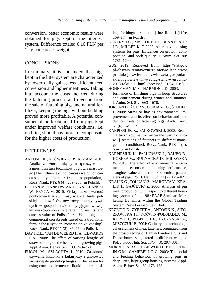conversion, better economic results were obtained for pigs kept in the litterless system. Difference totaled 0.16 PLN per 1 kg hot carcass weight.

#### **CONCLUSIONS**

In summary, it is concluded that pigs kept in the litter system are characterized by lower daily gains, less efficient feed conversion and higher meatiness. Taking into account the costs incurred during the fattening process and revenue from the sale of fattening pigs and natural fertilizer, keeping the pigs without bedding proved more profitable. A potential consumer of pork obtained from pigs kept under improved welfare conditions, i.e. on litter, should pay more to compensate for the higher costs of production.

#### **REFERENCES**

- ANTOSIK K., KOĆWIN-PODSIADŁA M. 2010: Analiza zależności między masą tuszy ciepłej a mięsności tusz tuczników pogłowia masowego [The influence of hot carcass weight on carcass quality of fatteners from mass population]. Rocz. Nauk. PTZ 6 (4): 259–268 [in Polish].
- BOCIAN M., JANKOWIAK H., KAPELAŃSKI W., FRYCA M. 2015: Efekty tuczu i wartość poubojowa tusz świń rasy wielkiej białej polskiej i mieszańców towarowych utrzymywanych w gospodarstwie tradycyjnym w woj. kujawsko-pomorskim [Fattening results and carcass value of Polish Large White pigs and commercial crossbreeds raised on a traditional farm in the Kuyavian-Pomeranian Voivodship]. Rocz. Nauk. PTZ 11 (2): 37–45 [in Polish].
- DAY J.E.L., VAN DE WEERD H.A., EDWARDS S.A., 2008: The effect of varying lengths of straw bedding on the behavior of growing pigs. Appl. Anim. Behav. Sci. 109: 249–260.
- FUGOL M., SZLACHTA J. 2010: Zasadność używania kiszonki z kukurydzy i gnojowicy świńskiej do produkcji biogazu [The reason for using corn and fermented liquid manure ensi-

lage for biogas production]. Inż. Roln. 1 (119): 169–174 [in Polish].

- GENTRY J.C., McGLONE J.J., BLANTON JR J.R., MILLER M.F. 2002: Alternative housing systems for pigs: Influences on growth, composition, and pork quality. J. Anim. Sci. 80: 1781–1790.
- GUS, 2019. Retrieved from: https://stat.gov. pl/obszary-tematyczne/rolnictwo-lesnictwo/ produkcja-zwierzeca-zwierzeta-gospodarskie/poglowie-swin-wedlug-stanu-w-grudniu-2018-roku,7,11.html [accessed: 01.04.2019].
- HONEYMAN M.S., HARMON J.D. 2003: Performance of finishing pigs in hoop structures and confinement during winter and summer. J. Anim. Sci. 81: 1663–1670.
- JORDAN D., ŽGUR S., GORJANC G., ŠTUHEC I. 2008: Straw or hay as environmental improvement and its effect on behavior and production traits of fattening pigs. Arch. Tierz. 51 (6): 549–559.
- KARPIESIUK K., FALKOWSKI J. 2008: Reakcja tuczników na zróżnicowane warunki chowu [Reactions of fatteners to different management conditions]. Rocz. Nauk. PTZ 4 (4): 65–75 [in Polish].
- KARPIESIUK K., FALKOWSKI J., RAUBO B., KOZERA W., BUGNACKA D., MILEWSKA W. 2016: The effect of environmental enrichment and season on the fattening performance, slaughter value and serum biochemical parameters of pigs. Pol. J. Natur. Sc. 31 (2): 179–189.
- KRALIK G., TOLUŠIĆ Z., MARGETA V., KRA-LIK I., GAJČEVIĆ Z. 2006: Analysis of pig meat production with respect to different housing systems of pigs. 98<sup>th</sup> EAAE Seminar "Marketing Dynamics within the Global Trading System: New Perspectives", 1–10.
- KRZĘCIO E., ZYBERT A., ANTOSIK K., SIEC-ZKOWSKA H., KOĆWIN-PODSIADŁA M., KURYŁ J., POSPIECH E., ŁYCZYŃSKI A., MISZCZUK B. 2004: Culinary and technological usefulness of meat fatteners, originated from the crossbreeding of Danish Landrace gilts and Duroc boars, slaughtered at different weights. Pol. J. Food Nutr. Sci. 13/54 (3): 297–301.
- MORRISON R.S., HEMSWORTH P.H., CRON-IN G.M., CAMPBELL R.G. 2003: The social and feeding behaviour of growing pigs in deep-litter, large group housing systems. Appl. Anim. Behav. Sci. 82: 173–188.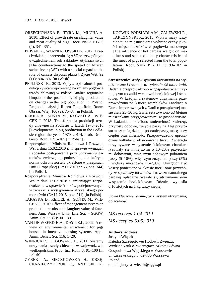- ORZECHOWSKA B., TYRA M., MUCHA A. 2010: Effect of growth rate on slaughter value and meat quality of pigs. Rocz. Nauk. PTZ 6 (4): 341–351.
- PEJSAK Z., WOŹNIAKOWSKI G. 2017: Przeciwdziałanie szerzeniu się ASF ze szczególnym uwzględnieniem roli zakładów utylizacyjnych [The counteractions to the spread of African swine fever (ASF) with a special regard to the role of carcass disposal plants]. Życie Wet. 92 (11): 804–807 [in Polish].
- PEPLIŃSKI B., 2013: Wpływ opłacalności produkcji żywca wieprzowego na zmiany pogłowia trzody chlewnej w Polsce. Analiza regionalna [Impact of the profitability of pig production on changes in the pig population in Poland. Regional analysis]. Roczn. Ekon. Roln. Rozw. Obszar. Wiej. 100 (2): 75–87 [in Polish].
- REKIEL A., SOŃTA M., RYCZKO A., WIĘ-CEK J. 2018: Transformacja produkcji trzody chlewnej na Podlasiu w latach 1970–2010 [Developments in pig production in the Podlasie region the years 1970–2010]. Prob. Drob. Gosp. Roln. 2: 93–105 [in Polish].
- Rozporządzenie Ministra Rolnictwa i Rozwoju Wsi z dnia 15.02.2010 r. w sprawie wymagań i sposobu postępowania przy utrzymaniu gatunków zwierząt gospodarskich, dla których normy ochrony zostały określone w przepisach Unii Europejskiej (Dz.U. 2010 nr 56, poz. 344) [in Polish].
- Rozporządzenie Ministra Rolnictwa i Rozwoju Wsi z dnia 13.02.2018 r. zmieniające rozporządzenie w sprawie środków podejmowanych w związku z wystąpieniem afrykańskiego pomoru świń (Dz.U. 2015, poz. 711) [in Polish].
- TARASKA D., REKIEL A., SOŃTA M., WIĘ-CEK J., 2016: Effect of management system on production results and slaughter value of fatteners. Ann. Warsaw Univ. Life Sci. – SGGW. Anim. Sci. 55 (2): 301–307.
- VAN DE WEERD H.A., DAY J.E.L, 2009: A review of environmental enrichment for pigs housed in intensive housing systems. Appl. Anim. Behav. Sci. 116: 1–20.
- WINNICKI S., JUGOWAR J.L., 2011: Systemy utrzymania trzody chlewnej w województwie wielkopolskim. Prob. Inż. Roln. 3: 91–100 [in Polish].
- ZYBERT A., SIECZKOWSKA H., KRZĘ-CIO-NIECZYPORUK E., ANTOSIK K.,

KOĆWIN-PODSIADŁA M., ZALEWSKI R., TARCZYŃSKI K., 2015: Wpływ masy tuszy ciepłej na mięsność oraz wybrane cechy jakości mięsa tuczników z pogłowia masowego [The influence of hot carcass weight on meatiness and selected quality characteristics of the meat of pigs selected from the total population]. Rocz. Nauk. PTZ 11 (1): 93–102 [in Polish].

**Streszczenie:** *Wpływ systemu utrzymania na wyniki tuczne i rzeźne oraz opłacalność tuczu świń.*  Badania przeprowadzono w gospodarstwie utrzymującym tuczniki w chlewni bezściołowej i ściołowej. W każdym z systemów utrzymania przeprowadzono po 3 tucze warchlaków Landrace × Duroc importowanych z Danii o początkowej masie ciała 25–30 kg. Zwierzęta żywiono *ad libitum* mieszankami przygotowanymi w gospodarstwie. W badaniach określono śmiertelność zwierząt, przyrosty dobowe, zużycie paszy na 1 kg przyrostu masy ciała, dzienne pobranie paszy, masę tuszy ciepłej oraz mięsność. Przeprowadzono uproszczoną kalkulację ekonomiczną tuczu. Zwierzęta utrzymywane w systemie ściołowym charakteryzowały się mniejszymi o 10–20% przyrostami dobowymi, mniejszym dobowym pobraniem paszy (5–10%), większym zużyciem paszy (5%) i większą mięsnością (1–2,9%). Uwzględniając koszty poniesione w okresie tuczu oraz przychody ze sprzedaży tuczników i nawozu naturalnego bardziej opłacalne okazało się utrzymanie świń w systemie bezściołowym. Różnica wynosiła 0,16 złotych na 1 kg tuszy ciepłej.

*Słowa kluczowe*: świnie, tucz, system utrzymania, opłacalność

*MS received 1.04.2019 MS accepted 6.05.2019*

#### **Authors' address:**

Justyna Więcek

Katedra Szczegółowej Hodowli Zwierząt Wydział Nauk o Zwierzętach Szkoła Główna Gospodarstwa Wiejskiego w Warszawie ul. Ciszewskiego 8, 02-786 Warszawa Poland e-mail: justyna\_wiecek@sggw.pl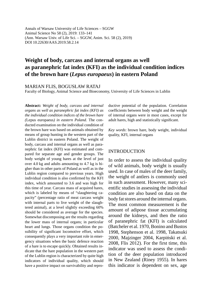Annals of Warsaw University of Life Sciences – SGGW Animal Science No 58 (2), 2019: 133–141 (Ann. Warsaw Univ. of Life Sci. – SGGW, Anim. Sci. 58 (2), 2019) DOI 10.22630/AAS.2019.58.2.14

# **Weight of body, carcass and internal organs as well as paranephric fat index (KFI) as the individual condition indices of the brown hare (***Lepus europaeus***) in eastern Poland**

MARIAN FLIS, BOGUSŁAW RATAJ

Faculty of Biology, Animal Science and Bioeconomy, University of Life Sciences in Lublin

**Abstract:** *Weight of body, carcass and internal organs as well as paranephric fat index (KFI) as the individual condition indices of the brown hare (*Lepus europaeus*) in eastern Poland.* The conducted examination on the individual condition of the brown hare was based on animals obtained by means of group hunting in the western part of the Lublin district in eastern Poland. The weight of body, carcass and internal organs as well as paranephric fat index (KFI) was estimated and compared for separate age and gender groups. The body weight of young hares at the level of just over 4.0 kg and adults amounting to 4.7 kg is higher than in other parts of Poland as well as in the Lublin region compared to previous years. High individual condition is also confirmed by the KFI index, which amounted to 3.6 and was high for this time of year. Carcass mass of acquired hares, which is labeled by means of "slaughtering capacity" (percentage ratio of meat carcass weight with internal parts to live weight of the slaughtered animal), at a level slightly exceeding 60% should be considered as average for the species. Somewhat discomposing are the results regarding the lower mass of internal organs; in particular heart and lungs. Those organs condition the possibility of significant locomotive effort, which consequently plays a very important role in emergency situations when the basic defence reaction of a hare is to escape quickly. Obtained results indicate that the hare population in the western part of the Lublin region is characterized by quite high indicators of individual quality, which should have a positive impact on survivability and reproductive potential of the population. Correlation coefficients between body weight and the weight of internal organs were in most cases, except for adult hares, high and statistically significant.

*Key words*: brown hare, body weight, individual quality, KFI, internal organs

#### INTRODUCTION

In order to assess the individual quality of wild animals, body weight is usually used. In case of males of the deer family, the weight of antlers is commonly used in such assessment. However, many scientific studies in assessing the individual condition are also based on data on the body fat stores around the internal organs. The most common measurement is the amount of adipose tissue accumulating around the kidneys, and then the ratio of paranephric fat (KFI) is calculated (Batcheler et al. 1970, Bonino and Bustos 1998, Stephenson et al. 1998, Takatsuki 2000, Majzinger 2004, Karpiński et al. 2008, Flis 2012). For the first time, this indicator was used to assess the condition of the deer population introduced in New Zealand (Riney 1955). In hares this indicator is dependent on sex, age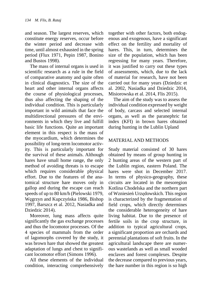and season. The largest reserves, which constitute energy reserves, occur before the winter period and decrease with time, until almost exhausted in the spring period (Flux 1971, Pepin 1987, Bonino and Bustos 1998).

The mass of internal organs is used in scientific research as a rule in the field of comparative anatomy and quite often in clinical diagnostics. The size of the heart and other internal organs affects the course of physiological processes, thus also affecting the shaping of the individual condition. This is particularly important in wild animals that face the multidirectional pressures of the environments in which they live and fulfill basic life functions. Quite an important element in this respect is the mass of the myocardium, which determines the possibility of long-term locomotor activity. This is particularly important for the survival of these animals. Although hares have small home range, the only method of avoiding threats is to escape which requires considerable physical effort. Due to the features of the anatomical structure hare moves only in gallop and during the escape can reach speeds of up to 80 km/h (Pielowski 1979, Węgrzyn and Kupczyńska 1986, Bishop 1997, Barszcz et al. 2012, Nasiadka and Dziedzic 2014).

Moreover, lung mass affects quite significantly the gas exchange processes and thus the locomotor processes. Of the 4 species of mammals from the order of lagomorphs covered by the study, it was brown hare that showed the greatest adaptation of lungs and chest to significant locomotor effort (Simons 1996).

All these elements of the individual condition, interacting comprehensively together with other factors, both endogenous and exogenous, have a significant effect on the fertility and mortality of hares. This, in turn, determines the size of the population, which has been regressing for many years. Therefore, it was justified to carry out these types of assessments, which, due to the lack of material for research, have not been carried out for many years (Dziedzic et al. 2002, Nasiadka and Dziedzic 2014, Misiorowska et al. 2014, Flis 2015).

The aim of the study was to assess the individual condition expressed by weight of body, carcass and selected internal organs, as well as the paranephric fat index (KFI) in brown hares obtained during hunting in the Lublin Upland

# MATERIAL AND METHODS

Study material consisted of 30 hares obtained by means of group hunting in 2 hunting areas of the western part of the Lublin region, eastern Poland. The hares were shot in December 2017. In terms of physico-geography, these circuits are located in the mesoregion Kotlina Chodelska and the northern part of Wzniesień Urzędowskich. This region is characterized by the fragmentation of field crops, which directly determines the considerable heterogeneity of hare living habitat. Due to the presence of fertile soils in the crop structure, in addition to typical agricultural crops, a significant proportion are orchards and perennial plantations of soft fruits. In the agricultural landscape there are numerous wastelands as well as small wooded enclaves and forest complexes. Despite the decrease compared to previous years, the hare number in this region is so high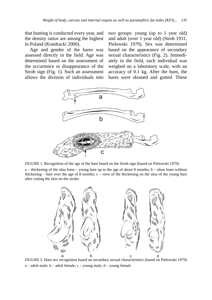that hunting is conducted every year, and the density ratios are among the highest in Poland (Kondracki 2000).

Age and gender of the hares was assessed directly in the field. Age was determined based on the assessment of the occurrence or disappearance of the Stroh sign (Fig. 1). Such an assessment allows the division of individuals into

after cutting the skin on the stroke

two groups: young (up to 1 year old) and adult (over 1 year old) (Stroh 1931, Pielowski 1979). Sex was determined based on the appearance of secondary sexual characteristics (Fig. 2). Immediately in the field, each individual was weighed on a laboratory scale, with an accuracy of 0.1 kg. After the hunt, the hares were skinned and gutted. These



FIGURE 1. Recognition of the age of the hare based on the Stroh sign (based on Pielowski 1979) a – thickening of the ulna bone – young hare up to the age of about 8 months; b – ulnar bone without thickening – hare over the age of 8 months;  $c -$  view of the thickening on the ulna of the young hare



FIGURE 2. Hare sex recognition based on secondary sexual characteristics (based on Pielowski 1979)  $a - adult male$ ;  $b - adult female$ ;  $c - young male$ ;  $d - young female$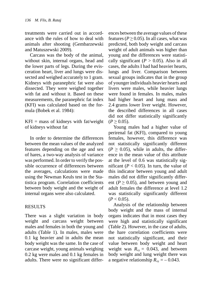treatments were carried out in accordance with the rules of how to deal with animals after shooting (Gembarzewski and Matuszewski 2009).

Carcass was the body of the animal, without skin, internal organs, head and the lower parts of legs. During the evisceration heart, liver and lungs were dissected and weighed accurately to 1 gram. Kidneys with paranephric fat were also dissected. They were weighed together with fat and without it. Based on these measurements, the paranephric fat index (KFI) was calculated based on the formula (Bobek et al. 1984):

 $KFI = mass of kidneys with fat/weight$ of kidneys without fat

In order to determine the differences between the mean values of the analyzed features depending on the age and sex of hares, a two-way analysis of variance was performed. In order to verify the possible occurrence of differences between the averages, calculations were made using the Newman Keuls test in the Statistica program. Correlation coefficients between body weight and the weight of internal organs were also calculated.

## RESULTS

There was a slight variation in body weight and carcass weight between males and females in both the young and adults (Table 1). In males, males were 0.1 kg heavier and in adults the mean body weight was the same. In the case of carcase weight, young animals weighing 0.2 kg were males and 0.1 kg females in adults. There were no significant differences between the average values of these features ( $P \ge 0.05$ ). In all cases, what was predicted, both body weight and carcass weight of adult animals was higher than young and the differences were statistically significant  $(P > 0.05)$ . Also in all cases, the adults I had had heavier hearts, lungs and liver. Comparison between sexual groups indicates that in the group of younger individuals heavier hearts and livers were males, while heavier lungs were found in females. In males, males had higher heart and lung mass and 2.4 grams lower liver weight. However, the described differences in all cases did not differ statistically significantly  $(P \ge 0.05)$ .

Young males had a higher value of perirenal fat (KFI), compared to young females, however, this difference was not statistically significantly different  $(P > 0.05)$ , while in adults, the difference in the mean value of this attribute at the level of 0.6 was statistically significant ( $P < 0.05$ ). In turn, the value of this indicator between young and adult males did not differ significantly different ( $P \ge 0.05$ ), and between young and adult females the difference at level 1.2 was statistically significantly different  $(P < 0.05)$ .

Analysis of the relationship between body weight and the mass of internal organs indicates that in most cases they were high and statistically significant (Table 2). However, in the case of adults, the hare correlation coefficients were not statistically significant, and their value between body weight and heart weight was  $R_{xy} = 0.043$ , and between body weight and lung weight there was a negative relationship  $R_{xy} = -0.043$ .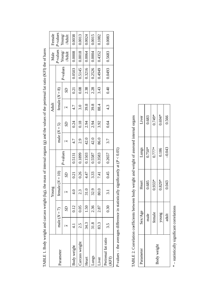|  | Female                                 | P-values            | $\frac{\text{Young}}{\text{Adult}}$ | 0.0038        | 0.0013         | 0.0024 | 0.0015        | 0.1082 | 0.0083                      |                |      |      |      |      |      |      |
|--|----------------------------------------|---------------------|-------------------------------------|---------------|----------------|--------|---------------|--------|-----------------------------|----------------|------|------|------|------|------|------|
|  | P-values<br>Male<br>Young/<br>  /Adult |                     |                                     | 0.0008        | 0.0018         | 0.0064 | 0.0004        | 0.4352 | 0.5683                      |                |      |      |      |      |      |      |
|  |                                        |                     | P-values                            | 0.0503        | 0.5145         | 0.3216 | 0.2526        | 0.4949 | 0.0493                      |                |      |      |      |      |      |      |
|  | Adult                                  | female $(N = 8)$    | S <sub>D</sub>                      | 0.21          | 0.08           | 2.38   | 2.28          | 3.43   | 0.40                        |                |      |      |      |      |      |      |
|  |                                        |                     |                                     | 4.7           | $\dot{3.0}$    | 39.8   | 39.8          | 88.4   | $4.\overline{3}$            |                |      |      |      |      |      |      |
|  |                                        |                     |                                     |               |                |        |               |        |                             | S <sub>D</sub> | 0.24 | 0.18 | 2.94 | 2.94 | 3.92 | 0.64 |
|  |                                        | male $(N = 5)$      |                                     | 4.7           | 2.9            | 42.0   | 42.0          | 86.0   | 3.7                         |                |      |      |      |      |      |      |
|  | Young                                  | P-values            |                                     | 0.5131        | 0.1899         | 0.1503 | 0.5587        | 0.3583 | 0.2657                      |                |      |      |      |      |      |      |
|  |                                        | female ( $N = 10$ ) | S                                   | 0.21          | 0.26           | 4.47   | 3.33          | 7.41   | 0.45                        |                |      |      |      |      |      |      |
|  |                                        |                     |                                     |               |                | 1×     | $\frac{1}{4}$ | 2.3    | 31.0                        | 32.9           | 80.0 | 3.1  |      |      |      |      |
|  |                                        |                     | S <sub>D</sub>                      | 0.12          | 0.05           | 1.50   | 2.36          | 2.87   | 0.30                        |                |      |      |      |      |      |      |
|  |                                        | male $(N = 7)$      |                                     | $\frac{1}{4}$ | 2.5            | 34.3   | 31.8          | 83.3   | 3.5                         |                |      |      |      |      |      |      |
|  |                                        | Parameter           |                                     | ody weight    | Carcass weight | Heart  | Lungs         | iver   | Perirenal fat ratio<br>(KF) |                |      |      |      |      |      |      |

TABLE 1. Body weight and carcass weight (kg), the mass of internal organs (g) and the values of the periremal fat ratio (KFI) the of hares TABLE 1. Body weight and carcass weight (kg), the mass of internal organs (g) and the values of the perirenal fat ratio (KFI) the of hares

*P*-values – the averages difference in statistically significantly at (  $P$ -values – the averages difference in statistically significantly at ( $P < 0.05$ )

| i<br>١<br>l                                                                                              |
|----------------------------------------------------------------------------------------------------------|
| Ĭ                                                                                                        |
| č                                                                                                        |
| $\frac{1}{3}$                                                                                            |
| j<br>}<br>}<br><b>A CAR THAIR</b><br>)                                                                   |
|                                                                                                          |
| $\frac{1}{2}$<br>)                                                                                       |
|                                                                                                          |
| $\ddot{\phantom{a}}$<br>2777700                                                                          |
| ֦֖֖֧֧֧֧֧֧֪ׅ֧֧֧֧֚֚֚֚֚֚֚֚֚֚֚֚֚֚֚֚֚֚֚֚֚֚֚֚֚֝֬֝֓֝֓֝֬֝֓֝֬֓֝֓֝֬֓֝֬֝֬֝֬֝֬<br>$\sim$ $\sim$ $\sim$ $\sim$ $\sim$ |
| $\sim$ 0.40 $\sim$                                                                                       |
|                                                                                                          |
| i<br>I                                                                                                   |
| てっここく<br>⊨ אוצו                                                                                          |
| i                                                                                                        |

| Parameter   | Sex/Age | Heart    | Lungs    | Liver    |
|-------------|---------|----------|----------|----------|
|             | male    | 0.685    | $0.750*$ | 0.683    |
|             | female  | $0.933*$ | $0.777*$ | $0.749*$ |
| Body weight | young   | $0.829*$ | 0.186    | $0.694*$ |
|             | adult   | 0.043    | $-0.043$ | 0.566    |
|             |         |          |          |          |

\*- statistically significant correlations \* – statistically signifi cant correlations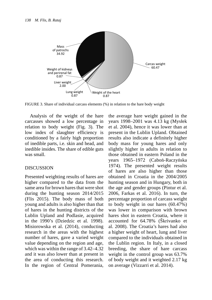

FIGURE 3. Share of individual carcass elements (%) in relation to the hare body weight

Analysis of the weight of the hare carcasses showed a low percentage in relation to body weight (Fig. 3). The low index of slaughter efficiency is conditioned by a fairly high proportion of inedible parts, i.e. skin and head, and inedible insides. The share of edible guts was small.

#### DISCUSSION

Presented weighting results of hares are higher compared to the data from the same area for brown hares that were shot during the hunting season 2014/2015 (Flis 2015). The body mass of both young and adults is also higher than that of hares in the hunting districts of the Lublin Upland and Podlasie, acquired in the 1990's (Dziedzic et al. 1998). Misiorowska et al. (2014), conducting research in the areas with the highest number of hares, gave a varied weight value depending on the region and age, which was within the range of 3.42–4.32 and it was also lower than at present in the area of conducting this research. In the region of Central Pomerania, the average hare weight gained in the years 1998–2001 was 4.13 kg (Mysłek et al. 2004), hence it was lower than at present in the Lublin Upland. Obtained results also indicate a definitely higher body mass for young hares and only slightly higher in adults in relation to those obtained in eastern Poland in the years 1965–1972 (Caboń-Raczyńska 1974). The presented weight results of hares are also higher than those obtained in Croatia in the 2004/2005 hunting season and in Hungary, both in the age and gender groups (Pintur et al. 2006, Farkas et al. 2016). In turn, the percentage proportion of carcass weight to body weight in our hares (60.47%) was lower in comparison with brown hares shot in eastern Croatia, where it accounted for 64.78% (Škrivanko et al. 2008). The Croatia's hares had also a higher weight of heart, lung and liver compared to the individuals obtained in the Lublin region. In Italy, in a closed breeding, the share of hare carcass weight in the control group was 63.7% of body weight and it weighted 2.17 kg on average (Vizzarri et al. 2014).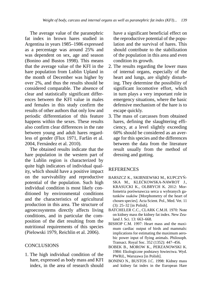The average value of the paranephric fat index in brown hares studied in Argentina in years 1985–1986 expressed as a percentage was around 25% and was dependent on sex, age and season (Bonino and Bustos 1998). This means that the average value of the KFI in the hare population from Lublin Upland in the month of December was higher by over 2%, and thus the results should be considered comparable. The absence of clear and statistically significant differences between the KFI value in males and females in this study confirm the results of other authors that only low and periodic differentiation of this feature happens within the sexes. These results also confirm clear differences in the rate between young and adult hares regardless of gender (Flux 1971, Farfán et al. 2004, Fernández et al. 2010).

The obtained results indicate that the hare population in the western part of the Lublin region is characterized by quite high indicators of individual quality, which should have a positive impact on the survivability and reproductive potential of the population. Such high individual condition is most likely conditioned by environmental conditions and the characteristics of agricultural production in this area. The structure of agroecosystems directly affects living conditions, and in particular the composition of the diet resulting from the nutritional requirements of this species (Pielowski 1979, Reichlin et al. 2006).

## **CONCLUSIONS**

1. The high individual condition of the hare, expressed as body mass and KFI index, in the area of research should have a significant beneficial effect on the reproductive potential of the population and the survival of hares. This should contribute to the stabilization of the population in this area and even condition its growth.

- 2. The results regarding the lower mass of internal organs, especially of the heart and lungs, are slightly disturbing. They determine the possibility of significant locomotive effort, which in turn plays a very important role in emergency situations, where the basic defensive mechanism of the hare is to escape quickly.
- 3. The mass of carcasses from obtained hares, defining the slaughtering efficiency, at a level slightly exceeding 60% should be considered as an average for this species and the differences between the data from the literature result usually from the method of dressing and gutting.

## **REFERENCES**

- BARSZCZ K., SKIBNIEWSKI M., KUPCZYŃ-SKA M., KLEĆKOWSKA-NAWROT J., KRASUCKI K., OLBRYCH K. 2012: Morfometria porównawcza serca u wybranych gatunków ssaków [Morphometry of the heart of chosen species]. Acta Scient. Pol., Med. Vet. 11 (3): 25–32 [in Polish].
- BATCHELER C.C., CLARK C.M.H. 1970: Note on kidney mass the kidney fat index. New Zealand J. Sci. 13: 663–668.
- BISHOP C.M. 1997: Heart mass and the maximum cardiac output of birds and mammals: implications for estimating the maximum aerobic power input of flying animals. Philosoph. Transact. Royal Soc. 352 (1352): 447–456.
- BOBEK B., MOROW K., PERZANOWSKI K. 1984: Ekologiczne podstawy łowiectwa. Wyd. PWRiL, Warszawa [in Polish].
- BONINO N., BUSTOS J.C. 1998: Kidney mass and kidney fat index in the European Hare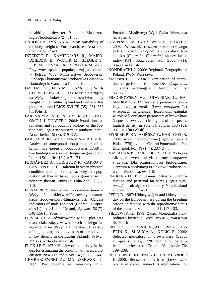inhabiting northwestern Patagonia. Mastozoologia Neotropical 5 (2): 81–85.

- CABOŃ-RACZYŃSKA K. 1974: Variability of the body weight of European hares. Acta Theriol. 19 (5): 69–80.
- DZIEDZIC R., KAMIENIARZ R., MAJER-DZIEDZIC B., WÓJCIK M., BEEGER S., FLIS M., OLSZAK K., ŻONTAŁA M. 2002: Przyczyny spadku populacji zająca szaraka w Polsce. Wyd. Ministerstwo Środowiska. Fundacja Ekonomistów Środowiska i Zasobów Naturalnych. Warszawa [in Polish].
- DZIEDZIC R., FLIS M., OLSZAK K., WÓJ-CIK M., BEEGER S. 1998: Masa ciała zajęcy na Wyżynie Lubelskiej i Podlasiu [Hare body weight in the Lublin Upland and Podlasie Region]. Annales UMCS XVI EE (35): 261–267 [in Polish].
- FARFÁN M.A., VARGAS J.M., REAL R., PAL-OMO L.J, DUARTE J. 2004: Population parameters and reproductive biology of the Iberian hare *Lepus granatensis* in southern Iberia. Acta Theriol. 49 (3): 319–335.
- FARKAS P., KUSZA S., MAJZINGER I. 2016: Analysis of some population parameters of the brown hare (*Lepus europaeus* Pallas, 1758) in two hunting areas on the Hungarian great plain. Lucrări Stiințifice 18 (1): 71–74.
- FERNÁNDEZ A., SORIGUER R., CARRO F., CASTIÉN E. 2010: Ralation between physical condition and reproductive activity in a population of Iberian hare, Lepus granatensis in northern Iberian Peninsula. Folia Zool. 59 (1): 1–8.
- FLIS M. 2012: Jakość osobnicza samców saren na Wyżynie Lubelskiej w zróżnicowanych warunkach środowiskowo-klimatycznych [Carcass indicators of male roe deer (Capreolus capreolus L.) in the Lublin Upland]. Sylwan 156 (7): 548–556 [in Polish].
- FLIS M. 2015: Zróżnicowanie wieku, płci oraz masy ciała zajęcy w warunkach niskiego zagęszczenia na Wyżynie Lubelskiej [Diversity of age, gender, and body mass of hares living in low density in the Lublin Upland]. Sylwan 159 (7): 579–585 [in Polish].
- FLUX J.E.C. 1971: Validity of the kidney fat index for estimating the condition of hares: a discussion. New Zealand J. Sci. 14 (2): 238–244.
- GEMBARZEWSKI A., MATUSZEWSKI G. 2009: Postępowanie ze zwierzyną ubitą.

Poradnik Myśliwego. Wyd. Świat. Warszawa [in Polish].

- KARPIŃSKI M., CZYŻOWSKI P., DROZD L. 2008: Wskaźnik tłuszczu okołonerkowego (KFI) u kozłów (*Capreolus capreolus*) [Roebuck's (*Capreolus Capreolus*) kidney factor index (KFI)]. Acta Scient. Pol., Zoot. 7 (1): 33–38 [in Polish].
- KONDRACKI J. 2000: Regional Geography of Poland. PWN, Warszawa.
- MAJZINGER I. 2004: Examination of reproductive performance of Roe Deer (*Capreolus capreolus*) in Hungary. J. Agricul. Sci. 15: 33–38.
- MISIOROWSKA M., LUDWISIAK Ł., NA-SIADKA P. 2014: Wybrane parametry populacyjne zająca szaraka (*Lepus europaeus* L.) w rejonach największej liczebności gatunku w Polsce [Population parameters of brown hare (*Lepus europaeus* L.) in regions of the species highest density in Poland]. Sylwan 158 (12): 901–910 [in Polish].
- MYSŁEK P., KALASIŃSKA E., BARTYZEL B. 2004: Size of the brown hare (*Lepus europaeus*  Pallas 1778) living in Central Pomerania in Poland. Zool. Pol. 49 (1–4): 237–244.
- NASIADKA P., DZIEDZIC R. 2014: Podręcznik najlepszych praktyk ochrony kuropatwy i zająca. Dla różnorodności biologicznej. Centrum Koordynacji Projektów Środowiskowych. Warszawa: 66–118.
- PARKERS J.P. 1989: Annual patterns in reproduction and perirenal fat hares (*Lepus europaeus*) in sub-alpine Canterbury, New Zealand J. Zool. 217 (1): 9–21.
- PEPIN D. 1987: Kidney weight and kidney fat index on the European hare during the breeding season, in relation with the reproductive status of the animals. Mammalian 51: 117–123.
- PIELOWSKI Z. 1979: Zając. Monografia przyrodniczo-łowiecka. Wyd. PWRiL, Warszawa [in Polish].
- PINTUR K., POPOVIĆ N., ALEGRO A., SEV-ERIN K., SLAVICA A., KOLIĆ E. 2006: Selected indicators of brown hare (Lepus europaeus Pallas, 1778) population dynamics in northwestern Croatia. Vet. Arhiv 76: 199–209.
- REICHLIN T., KLANSEK E., HACKLÄNDER K. 2006: Diet selection by hares (*Lepus europaeus*) in arable landand its implications for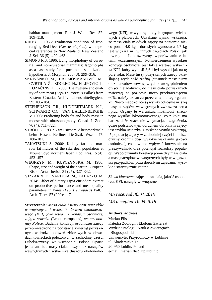habitat management. Eur. J. Wildl. Res. 52: 109–118.

- RINEY T. 1955: Evaluation condition of freeranging Red Deer (*Cervus elaphus*), with special references to New Zealand. New Zealand J. Sci. 36 (5): 429–463.
- SIMONS R.S. 1996: Lung morphology of cursorial and non-cursorial mammals: lagomorphs as a case study for a pneumatic stabilization hypothesis. J. Morphol. 230 (3): 299–316.
- ŠKRIVANKO M., HADŽIOSMANOVIĆ M., CVRTILA Ž., ZDOLEC N., FILIPOVIĆ I., KOZAČINSKI L. 2008: The hygiene and quality of hare meat (*Lepus europaeus* Pallas) from Eastern Croatia. Archiv Lebensmittelhygiene 59: 180–184.
- STEPHENSON T.R., HUNDERTMARK K.J., SCHWARTZ C.C., VAN BALLENBERGHE V. 1998: Predicting body fat and body mass in moose with ultrasonography. Canad. J. Zool. 76 (4): 711–722.
- STROH G. 1931: Zwei sichere Altersmerkmale beim Hasen. Berliner Tierärztl. Wschr 47: 180–181.
- TAKATSUKI S. 2000: Kidney fat and marrow fat indices of the sika deer population at Mount Goyo, northern Japan. Ecol. Res. 15 (4): 453–457.
- WĘGRZYN M., KUPCZYŃSKA M. 1986: Shape, size and weight of the heart in European Bison. Acta Theriol. 31 (25): 327–342.
- VIZZARRI F., NARDOIA M., PALAZZO M. 2014: Effect of dietary Lipia citriodora extract on productive performance and meat quality parameters in hares (*Lepus europaeus* Pall.). Arch. Tierz. 57 (200): 1–7.

**Streszczenie:** *Masa ciała i tuszy oraz narządów wewnętrznych i wskaźnik tłuszczu okołonerkowego (KFI) jako wskaźnik kondycji osobniczej zająca szaraka (*Lepus europaeus*), we wschodniej Polsce.* Badania kondycji osobniczej zajęcy przeprowadzono na podstawie zwierząt pozyskanych w drodze polowań zbiorowych w obwodach łowieckich położonych w zachodniej części Lubelszczyzny, we wschodniej Polsce. Oparto je na analizie masy ciała, tuszy oraz narządów wewnętrznych i wskaźnika tłuszczu okołonerkowego (KFI), w wyodrębnionych grupach wiekowych i płciowych. Uzyskane wyniki wskazują, że masa ciała młodych zajęcy na poziomie nieco ponad 4,0 kg i dorosłych wynosząca 4,7 kg jest większa niż w innych częściach Polski, jak i w rejonie Lubelszczyzny, w porównaniu z latami wcześniejszymi. Potwierdzeniem wysokiej kondycji osobniczej jest także wartość wskaźnika KFI, który wynosił 3,6 i był wysoki jak na tę porę roku. Masę tuszy pozyskanych zajęcy określającą wydajność rzeźną (stosunek masy tuszy oraz narządów wewnętrznych z uwzględnieniem części niejadalnych, do masy ciała pozyskanych zwierząt) na poziomie nieco przekraczającym 60%, należy uznać za przeciętną dla tego gatunku. Nieco niepokojące są wyniki odnośnie niższej masy narządów wewnętrznych zwłaszcza serca i płuc. Organy te warunkują możliwość znacznego wysiłku lokomotorycznego, co z kolei ma bardzo duże znaczenie w sytuacjach zagrożenia, gdzie podstawowym odruchem obronnym zajęcy jest szybka ucieczka. Uzyskane wyniki wskazują, iż populację zajęcy w zachodniej części Lubelszczyzny cechują dość wysokie wskaźniki jakości osobniczej, co powinno wpływać korzystnie na przeżywalność oraz potencjał rozrodczy populacji. Współczynniki korelacji pomiędzy masą ciała a masą narządów wewnętrznych były w większości przypadków, poza dorosłymi zającami, wysokie i statystycznie istotne.

*Słowa kluczowe*: zając, masa ciała, jakość osobnicza, KFI, narządy wewnętrzne

# *MS received 30.01.2019 MS accepted 16.04.2019*

#### **Authors' address**:

Marian Flis Katedra Zoologii i Ekologii Zwierząt Wydział Biologii, Nauk o Zwierzętach i Biogospodarki Uniwersytet Przyrodniczy w Lublinie ul. Akademicka 13 20-950 Lublin, Poland e-mail: marian.flis@up.lublin.pl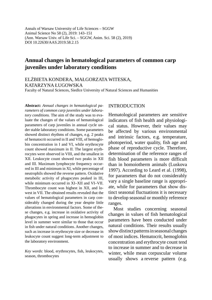Annals of Warsaw University of Life Sciences – SGGW Animal Science No 58 (2), 2019: 143–151 (Ann. Warsaw Univ. of Life Sci. – SGGW, Anim. Sci. 58 (2), 2019) DOI 10.22630/AAS.2019.58.2.15

## **Annual changes in hematological parameters of common carp juveniles under laboratory conditions**

ELŻBIETA KONDERA, MAŁGORZATA WITESKA, KATARZYNA ŁUGOWSKA

Faculty of Natural Sciences, Siedlce University of Natural Sciences and Humanities

**Abstract:** *Annual changes in hematological parameters of common carp juveniles under laboratory conditions.* The aim of the study was to evaluate the changes of the values of hematological parameters of carp juveniles in annual cycle under stable laboratory conditions. Some parameters showed distinct rhythms of changes, e.g. 2 peaks of hematocrit occurred in II and VIII, of hemoglobin concentration in I and VI, while erythrocyte count showed maximum in II. The largest erythrocytes were observed in VIII, and the smallest in XII. Leukocyte count showed two peaks in XII and III. Maximum lymphocyte frequency occurred in III and minimum in XI, while percentage of neutrophils showed the reverse pattern. Oxidative metabolic activity of phagocytes peaked in III, while minimum occurred in XI–XII and VI–VII. Thrombocyte count was highest in XII, and lowest in VII. The obtained results revealed that the values of hematological parameters in carp considerably changed during the year despite little alterations in environmental factors. Some of these changes, e.g. increase in oxidative activity of phagocytes in spring and increase in hemoglobin level in summer were similar to those that occur in fish under natural conditions. Another changes, such as increase in erythrocyte size or decrease in leukocyte count suggest long-term adjustment to the laboratory environment.

Key words: blood, erythrocytes, fish, leukocytes, season, thrombocytes

### INTRODUCTION

Hematological parameters are sensitive indicators of fish health and physiological status. However, their values may be affected by various environmental and intrinsic factors, e.g. temperature, photoperiod, water quality, fish age and phase of reproductive cycle. Therefore, determination of the reference ranges of fish blood parameters is more difficult than in homoiotherm animals (Luskova 1997). According to Leard et al. (1998), for parameters that do not considerably vary a single baseline range is appropriate, while for parameters that show distinct seasonal fluctuations it is necessary to develop seasonal or monthly reference ranges.

Most studies concerning seasonal changes in values of fish hematological parameters have been conducted under natural conditions. Their results usually show distinct patterns in seasonal changes of most indices. Hematocrit, hemoglobin concentration and erythrocyte count tend to increase in summer and to decrease in winter, while mean corpuscular volume usually shows a reverse pattern (e.g.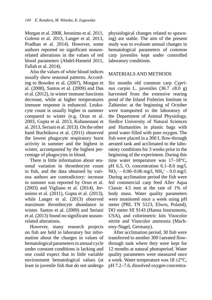Morgan et al. 2008, Jeronimo et al. 2011, Golemi et al. 2013, Langer et al. 2013, Pradhan et al. 2014). However, some authors reported no significant seasonrelated alterations in the values of red blood parameters (Abdel-Hameid 2011, Fallah et al. 2014).

Also the values of white blood indices usually show seasonal patterns. According to Bowden et al. (2007), Morgan et al. (2008), Santos et al. (2009) and Das et al. (2012), in winter immune functions decrease, while at higher temperatures immune response is enhanced. Leukocyte count is usually higher in summer compared to winter (e.g. Orun et al. 2003, Gupta et al. 2013, Kohanestani et al. 2013, Seriani et al. 2013). On the other hand Buchtikova et al. (2011) observed the lowest phagocyte respiratory burst activity in summer and the highest in winter, accompanied by the highest percentage of phagocytes in blood.

There is little information about seasonal variation in thrombocyte count in fish, and the data obtained by various authors are contradictory: increase in summer was reported by Orun et al. (2003) and Vigliano et al. (2014), Jeronimo et al. (2011), Gupta et al. (2013), while Langer et al. (2013) observed maximum thrombocyte abundance in winter. Santos et al. (2009) and Seriani et al. (2013) found no significant seasonrelated alterations.

However, many research projects on fish are held in laboratory but information about the changes in values of hematological parameters in annual cycle under constant conditions is lacking and one could expect that in little variable environment hematological values (at least in juvenile fish that do not undergo

physiological changes related to spawning) are stable. The aim of the present study was to evaluate annual changes in hematological parameters of common carp juveniles kept under controlled laboratory conditions.

### MATERIALS AND METHODS

Six months old common carp *Cyprinus carpio* L. juveniles  $(36.7 \pm 8.0 \text{ g})$ harvested from the extensive rearing pond of the Inland Fisheries Institute in Żabieniec at the beginning of October were transported to the laboratory of the Department of Animal Physiology, Siedlce University of Natural Sciences and Humanities in plastic bags with pond water filled with pure oxygen. The fish were placed in a 300 L flow-through aerated tank and acclimated to the laboratory conditions for 3 weeks prior to the beginning of the experiment. During this time water temperature was 17–18°C, pH 6.5,  $O_2$  concentration 6.1–8.0 mg/l,  $NO<sub>2</sub><sup>-</sup> - 0.00 - 0.06$  mg/l,  $NH<sub>4</sub><sup>+</sup> - 0.0$  mg/l. During acclimation period the fish were fed commercial carp feed Aller Aqua Classic 4.5 mm at the rate of 1% of body mass. Water quality parameters were monitored once a week using pH meter (PRL TN 5123, Elwro, Poland), DO meter HI 9143 (Hanna Instruments, USA), and colorimetric kits Visocolor nitrite and Visocolor ammonia (Macherey-Nagel, Germany).

After acclimation period, 30 fish were transferred to another 300 l aerated flowthrough tank where they were kept for 12 months at natural photoperiod. Water quality parameters were measured once a week. Water temperature was  $18 \pm 2^{\circ}$ C, pH 7.2–7.6, dissolved oxygen concentra-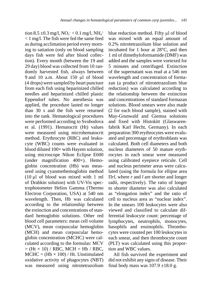tion 8.5 ±0.3 mg/l, NO2<sup>-</sup> < 0.1 mg/l, NH<sub>4</sub>+ < 1 mg/l. The fish were fed the same feed as during acclimation period every morning to satiation (only on blood sampling days fish were fed after blood collection). Every month (between the 19 and 29 day) blood was collected from 10 randomly harvested fish, always between 9 and 10 a.m. About 150 μl of blood (4 drops) were sampled by heart puncture from each fish using heparinized chilled needles and heparinized chilled plastic Eppendorf tubes. No anesthesia was applied, the procedure lasted no longer than 30 s and the fish were returned into the tank. Hematological procedures were performed according to Svobodova et al. (1991). Hematocrit (Ht) values were measured using microhematocrit method. Erythrocyte (RBC) and leukocyte (WBC) counts were evaluated in blood diluted 100× with Hayem solution, using microscope Nikon Eclipse E600 (under magnification  $400\times$ ). Hemoglobin concentration (Hb) was measured using cyanmethemoglobin method (10 μl of blood was mixed with 1 ml of Drabkin solution) with UV-Vis spectrophotometer Helios Gamma (Thermo Electron Corporation, USA) at 540 nm wavelength. Then, Hb was calculated according to the relationship between the extinction and concentrations of standard hemoglobin solutions. Other red blood cell parameters: mean cell volume (MCV), mean corpuscular hemoglobin (MCH) and mean corpuscular hemoglobin concentration (MCHC) were calculated according to the formulas: MCV  $=$  (Ht  $\times$  10) / RBC, MCH  $=$  Hb / RBC,  $MCHC = (Hb \times 100) / Ht$ . Unstimulated oxidative activity of phagocytes (NBT) was measured using nitrotetrazolium blue reduction method. Fifty μl of blood was mixed with an equal amount of 0.2% nitrotetrazolium blue solution and incubated for 1 hour at 28°C, and then 1 ml of dimethyloformamide (DMF) was added and the samples were vortexed for 5 minutes and centrifuged. Extinction of the supernatant was read at a 546 nm wavelength and concentration of formazan (a product of nitrotetrazolium blue reduction) was calculated according to the relationship between the extinction and concentrations of standard formazan solutions. Blood smears were also made (2 for each blood sample), stained with May-Grunwald and Giemsa solutions and fixed with Histokitt (Glaswarenfabrik Karl Hecht, Germany). In each preparation 300 erythrocytes were evaluated and percentage of erythroblasts was calculated. Both cell diameters and both nucleus diameters of 50 mature erythrocytes in each smear were measured using calibrated eyepiece reticule. Cell and nucleus perimeter areas were calculated (using the formula for ellipse area Π*rl*, where *r* and *l* are shorter and longer radii, respectively). The ratio of longer to shorter diameter was also calculated as "elongation index" and the ratio of cell to nucleus area as "nuclear index". In the smears 100 leukocytes were also viewed and classified to calculate differential leukocyte count: percentage of lymphocytes, neutrophils, monocytes, basophils and eosinophils. Thrombocytes were counted per 100 leukocytes in each smear, and then thrombocyte count (PLT) was calculated using this proportion and WBC values.

All fish survived the experiment and did not exhibit any signs of disease. Their final body mass was  $107.9 \pm 18.0$  g.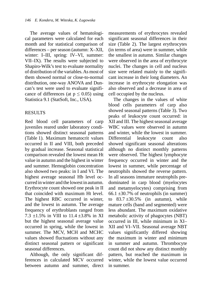The average values of hematological parameters were calculated for each month and for statistical comparison of differences – per season (autumn: X–XII, winter: I–III, spring: IV–VI, summer: VII–IX). The results were subjected to Shapiro-Wilk's test to evaluate normality of distribution of the variables. As most of them showed normal or close-to-normal distribution, one-way ANOVA and Duncan's test were used to evaluate significance of differences (at  $p \leq 0.05$ ) using Statistica 9.1 (StatSoft, Inc., USA).

## RESULTS

Red blood cell parameters of carp juveniles reared under laboratory conditions showed distinct seasonal patterns (Table 1). Maximum hematocrit values occurred in II and VIII, both preceded by gradual increase. Seasonal statistical comparison revealed the lowest mean Ht value in autumn and the highest in winter and summer. Hemoglobin concentration also showed two peaks: in I and VI. The highest average seasonal Hb level occurred in winter and the lowest in autumn. Erythrocyte count showed one peak in II that coincided with maximum Ht level. The highest RBC occurred in winter, and the lowest in autumn. The average frequency of erythroblasts ranged from 7.3  $\pm$ 1.5% in VIII to 11.4  $\pm$ 3.8% in XI but the highest seasonal average value occurred in spring, while the lowest in summer. The MCV, MCH and MCHC values showed fluctuations without any distinct seasonal pattern or significant seasonal differences.

Although, the only significant differences in calculated MCV occurred between autumn and summer, direct measurements of erythrocytes revealed significant seasonal differences in their size (Table 2). The largest erythrocytes (in terms of area) were in summer, while the smallest in autumn. Similar changes were observed in the area of erythrocyte nuclei. The changes in cell and nucleus size were related mainly to the significant increase in their long diameters. An increase in erythrocyte elongation was also observed and a decrease in area of cell occupied by the nucleus.

The changes in the values of white blood cells parameters of carp also showed seasonal patterns (Table 3). Two peaks of leukocyte count occurred: in XII and III. The highest seasonal average WBC values were observed in autumn and winter, while the lowest in summer. Differential leukocyte count also showed significant seasonal alterations although no distinct monthly patterns were observed. The highest lymphocyte frequency occurred in winter and the lowest in summer, while percentage of neutrophils showed the reverse pattern. In all seasons immature neutrophils predominated in carp blood (myelocytes and metamyelocytes) comprising from 66.1  $\pm$ 30.7% of neutrophils (in summer) to  $83.7 \pm 30.5\%$  (in autumn), while mature cells (band and segmented) were less abundant. The maximum oxidative metabolic activity of phagocytes (NBT) occurred in III, while minimum in XI– XII and VI–VII. Seasonal average NBT values significantly differed showing the maximum in winter and minimum in summer and autumn. Thrombocyte count did not show any distinct monthly pattern, but reached the maximum in winter, while the lowest value occurred in summer.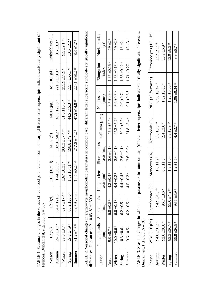| Erythroblasts (%)         | $9.6 \pm 3.3$                  | $9.5 \pm 2.1$ ab            | $10.5 + 2.2$ a                 | $8.3 + 1.7$ <sup>b</sup>      |                                                                                                                                                                                                            | Nuclear index<br>(96)        | $19 + 2$ <sup>a</sup>        |
|---------------------------|--------------------------------|-----------------------------|--------------------------------|-------------------------------|------------------------------------------------------------------------------------------------------------------------------------------------------------------------------------------------------------|------------------------------|------------------------------|
| MCHC $(g/1)$              | $221.5 \pm 79.9$ <sup>ab</sup> | $255.9 + 57.9$ <sup>b</sup> | $222.7 \pm 55.1$ ac            | $220.1 + 58.2$ <sup>ac</sup>  |                                                                                                                                                                                                            | Elongation<br>index          | $1.65 \pm 0.15$ <sup>a</sup> |
| MCH (pg)                  | $40.5 + 20.5$                  | $51.6 \pm 16.0^{\circ}$     | $44.5 + 15.3$ ab               | $47.5 \pm 14.0$ <sup>ab</sup> |                                                                                                                                                                                                            | Nucleus area<br>$(\mu m^2)$  | $8.7 \pm 0.9$ a              |
|                           |                                |                             |                                |                               |                                                                                                                                                                                                            | Cell area (um <sup>2</sup> ) | $45.9 \pm 5.4$ <sup>a</sup>  |
| MCV(fl)                   | $182.9 + 50.2$                 | $200.3 \pm 37.4$ ab         | $198.8 \pm 49.4$ <sup>ab</sup> | $217.6 \pm 41.2$ <sup>b</sup> |                                                                                                                                                                                                            | Short nucleus<br>axis (nm)   | $2.6 \pm 0.1$ a              |
| RBC (10 <sup>6</sup> .ul) | $1.44 \pm 0.33$ <sup>a</sup>   | $1.67 + 0.31$ b             | $1.52 \pm 0.31$ <sup>abc</sup> | $1.47 \pm 0.26$ as            |                                                                                                                                                                                                            | Long nucleus<br>axis (µm)    | $4.3 \pm 0.4$ <sup>a</sup>   |
| Hb(g/l)                   | 54.4 $\pm$ 21.8 a              | $82.7 \pm 17.4$             | $66.2 \pm 23.6$                | 69.7 $\pm$ 23.0 $\degree$     |                                                                                                                                                                                                            | Short cell axis<br>$(\mu m)$ | $6.0 \pm 0.5$ <sup>a</sup>   |
| Ht $(\%)$                 | $24.5 + 3.$                    | $32.6 + 3.7$                | $29.2 + 4.9$                   | $31.2 + 4.7$ <sup>bc</sup>    | TABLE 2. Seasonal changes in erythrocyte morphometric parameters in common carp (different letter superscripts indicate statistically significant<br>differences, Duncan test, $P \le 0.05$ , $N = 1500$ ) | Long cell axis<br>$(\mu m)$  | $9.8 \pm 0.7$                |
| Season                    | Autumn                         | Winter                      | Spring                         | Summer                        |                                                                                                                                                                                                            | Season                       | Autunn                       |

| Nuclear index<br>(%)                               | $19 + 2^{a}$                 | $19 \pm 2^{\mathrm{a}}$    | $18 + 2^{b}$                 | $18 + 3$ <sup>b</sup>       |
|----------------------------------------------------|------------------------------|----------------------------|------------------------------|-----------------------------|
| Elongation<br>index                                | $1.65 \pm 0.15$ <sup>a</sup> | $1.68 + 0.13$ <sup>b</sup> | $1.66 \pm 0.12$ <sup>a</sup> | $1.71 \pm 0.27$ °           |
| Nucleus area<br>$(\mu m^2)$                        | $8.7 \pm 0.9$ <sup>a</sup>   | $8.9 \pm 0.8$              | $9.0 \pm 0.7$ °              | $9.1 \pm 0.6$ <sup>d</sup>  |
| Cell area (um <sup>2</sup> )                       | $45.9 \pm 5.4$ <sup>a</sup>  | $47.2 + 5.2$ <sup>b</sup>  | $50.2 + 5.7$                 | 51.8 $\pm$ 5.4 <sup>d</sup> |
| Short nucleus<br>axis (µm)                         | $2.6 \pm 0.1$ <sup>a</sup>   | $2.6 \pm 0.1$ <sup>a</sup> | $2.6 \pm 0.1$ <sup>a</sup>   | $2.6 \pm 0.0$ <sup>a</sup>  |
| axis (µm)                                          | $4.3 \pm 0.4$ <sup>a</sup>   | $4.4 \pm 0.3$              | $4.4 \pm 0.4$ b              | $4.5 \pm 0.3$               |
| axis   Short cell axis   Long nucleus<br>$(\mu m)$ | $6.0 \pm 0.5$ <sup>a</sup>   | $6.0 \pm 0.4$ <sup>a</sup> | $6.2 \pm 0.5$                | $6.2 \pm 0.5$               |
| ong cell<br>्<br>स                                 | $9.8 \pm 0.7$                | $0.0 + 0.$                 | $0.3 = 0.$                   | $0.6 \pm 0.5$               |
| Season                                             | utum                         | Winter                     | Spring                       | ummer                       |

TABLE 3. Seasonal changes in white blood parameters in common carp (different letter superscripts indicate statistically signifi cant differences, Duncan test, *P* ≤ 0.05, *N* = 30)

| eason | $\frac{1}{2}$<br>VBC (10        | Lymphocytes (%)             | Monocytes (%)              | Neutrophils (%)            | NBT (g/l formazan)           | $\Gamma$ hrombocytes (10 <sup>3</sup> · $\mu$ I <sup>-1</sup> ) |
|-------|---------------------------------|-----------------------------|----------------------------|----------------------------|------------------------------|-----------------------------------------------------------------|
|       | 0.2 <sup>a</sup><br>$94.8 + 5.$ | 94.9 $\pm$ 4.6 ab           | $1.0 \pm 1.2$ <sup>a</sup> | $3.6 + 3.8$ ab             | $0.90 \pm 0.47$ <sup>a</sup> | 13.7 $\pm$ 9.3 ab                                               |
|       | $92.0 \pm 38.8$ <sup>a</sup>    | $96.7 \pm 3.6$ <sup>a</sup> | $0.8 + 1.3$ <sup>a</sup>   | $2.4 \pm 3.0$ <sup>a</sup> | $1.62 \pm 0.63$ <sup>b</sup> | $15.2 \pm 6.9$ <sup>a</sup>                                     |
|       | $6.7^{\circ}$<br>$83.3 + 3.$    | 95.0 $\pm$ 4.2 ab           | $1.3 \pm 1.6$ <sup>a</sup> | $3.3 + 2.9$ <sup>ab</sup>  | $1.25 \pm 0.60$              | 13.0 $\pm$ 8.3 ab                                               |
| ummer | $6.8^{\circ}$<br>59.8 $\pm$ 2   | $93.5 + 3.9$                | $1.2 \pm 1.5$ <sup>a</sup> | $4.4 \pm 2.7$ b            | $1.06 \pm 0.34$ as           | $9.9 \pm 6.7$ <sup>b</sup>                                      |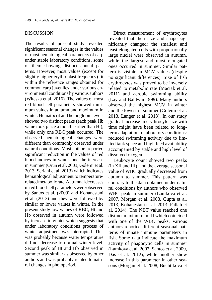#### DISCUSSION

The results of present study revealed significant seasonal changes in the values of most hematological parameters of carp under stable laboratory conditions, some of them showing distinct annual patterns. However, most values (except for slightly higher erythroblast frequency) fit within the reference ranges obtained for common carp juveniles under various environmental conditions by various authors (Witeska et al. 2016). The values of most red blood cell parameters showed minimum values in autumn and maximum in winter. Hematocrit and hemoglobin levels showed two distinct peaks (each peak Hb value took place a month earlier than Ht), while only one RBC peak occurred. The observed hematological changes were different than commonly observed under natural conditions. Most authors reported significant reduction in the values of red blood indices in winter and the increase in summer (Orun et al. 2003, Golemi et al. 2013, Seriani et al. 2013) which indicates hematological adjustment to temperaturerelated metabolic rate. Autumnal decreases in red blood cell parameters were observed by Santos et al. (2009) and Kohanestani et al. (2013) and they were followed by similar or lower values in winter. In the present study low values of RBC, Ht and Hb observed in autumn were followed by increase in winter which suggests that under laboratory conditions process of winter adjustment was interrupted. This was probably because water temperature did not decrease to normal winter level. Second peak of Ht and Hb observed in summer was similar as observed by other authors and was probably related to natural changes in photoperiod.

Direct measurement of erythrocytes revealed that their size and shape significantly changed: the smallest and least elongated cells with proportionally large nuclei were observed in autumn, while the largest and most elongated ones occurred in summer. Similar pattern is visible in MCV values (despite no significant differences). Size of fish erythrocytes was proved to be inversely related to metabolic rate (Maciak et al. 2011) and aerobic swimming ability (Lay and Baldwin 1999). Many authors observed the highest MCV in winter and the lowest in summer (Golemi et al. 2013, Langer et al. 2013). In our study gradual increase in erythrocyte size with time might have been related to longterm adaptation to laboratory conditions: reduced swimming activity due to limited tank space and high feed availability accompanied by stable and high level of dissolved oxygen.

Leukocyte count showed two peaks (in XII and III), and the average seasonal value of WBC gradually decreased from autumn to summer. This pattern was contrary to the data obtained under natural conditions by authors who observed WBC peak in summer (Lamkova et al. 2007, Morgan et al. 2008, Gupta et al. 2013, Kohanestani et al. 2013, Fallah et al. 2014). The NBT value reached one distinct maximum in III which coincided with one of the WBC peaks. Various authors reported different seasonal patterns of innate immune parameters in fish. Some data indicate the maximum activity of phagocytic cells in summer (Lamkova et al. 2007, Santos et al. 2009, Das et al. 2012), while another show increase in this parameter in other seasons (Morgan et al. 2008, Buchtikova et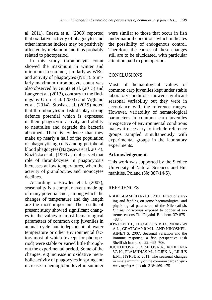al. 2011). Cuesta et al. (2008) reported that oxidative activity of phagocytes and other immune indices may be positively affected by melatonin and thus probably related to photoperiod.

In this study thrombocyte count showed the maximum in winter and minimum in summer, similarly as WBC and activity of phagocytes (NBT). Similarly maximum thrombocyte count was also observed by Gupta et al. (2013) and Langer et al. (2013), contrary to the findings by Orun et al. (2003) and Vigliano et al. (2014). Stosik et al. (2019) noted that thrombocytes in fish display strong defence potential which is expressed in their phagocytic activity and ability to neutralise and degrade the bacteria absorbed. There is evidence that they make up nearly a half of the population of phagocytising cells among peripheral blood phagocytes (Nagasawa et al. 2014). Kozińska et all. (1999 a, b) observed that role of thrombocytes in phagocytosis increases at low temperatures, when the activity of granulocytes and monocytes declines.

According to Bowden et al. (2007), seasonality is a complex event made up of many potential cues, among which the changes of temperature and day length are the most important. The results of present study showed significant changes in the values of most hematological parameters of common carp juveniles in annual cycle but independent of water temperature or other environmental factors most of which (except for photoperiod) were stable or varied little throughout the experimental period. Some of the changes, e.g increase in oxidative metabolic activity of phagocytes in spring and increase in hemoglobin level in summer

were similar to those that occur in fish under natural conditions which indicates the possibility of endogenous control. Therefore, the causes of these changes still are to be elucidated, with particular attention paid to photoperiod.

## **CONCLUSIONS**

Most of hematological values of common carp juveniles kept under stable laboratory conditions showed significant seasonal variability but they were in accordance with the reference ranges. However, variability of hematological parameters in common carp juveniles irrespective of environmental conditions makes it necessary to include reference groups sampled simultaneously with experimental groups in the laboratory experiments.

## **Acknowledgements**

This work was supported by the Siedlce University of Natural Sciences and Humanities, Poland (No 387/14/S).

## **REFERENCES**

- ABDEL-HAMEID N-A.H. 2011: Effect of starving and feeding on some haematological and physiological parameters of the Nile catfish, *Clarias gariepinus* exposed to copper at extreme seasons Fish Physiol. Biochem. 37: 875– –884.
- BOWDEN T.J., THOMPSON K.D., MORGAN A.L., GRATACAP R.M.L. AND NIKOSKEL-AINEN S. 2007: Seasonal variation and the immune response: a fish perspective Fish Shellfish Immunol. 22: 695–706.
- BUCHTIKOVA S., SIMKOVA A., ROHLENO-VA K., FLAJSHNAS M., LOJEK A., LILIUS E.M., HYRSL P. 2011: The seasonal changes in innate immunity of the common carp (*Cyprinus carpio*) Aquacult. 318: 169–175.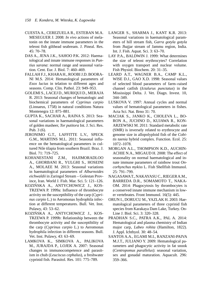- CUESTA A., CEREZUELA R., ESTEBAN M.A. MESEGUER J. 2008: *In vivo* actions of melatonin on the innate immune parameters in the teleost fish gilthead seabream. J. Pineal. Res. 45: 70–78.
- DAS A., JENA J.K., SAHOO P.K. 2012: Haematological and innate immune responses in *Puntius sarana*: normal range and seasonal variation. Cent. Eur. J. Biol. 7: 460–469.
- FALLAH F.J., KHARA H., ROOBI J.D. BOORA-NI M.S. 2014: Hematological parameters of *Esox lucius* in telation to different ages and seasons. Comp. Clin. Pathol. 23: 949–953.
- GOLEMI S., LACEJ D., MURIQUI D., MERAJA R. 2013: Seasonal changes of hematologic and biochemical parameters of *Cyprinus carpio* (Linnaeus, 1758) in natural conditions Natura Montenegra 12: 875–881.
- GUPTA K., SACHAR A., RAINA S. 2013: Seasonal variations in haematological parameters of golden masheer, *Tor putitora* Int. J. Sci. Res. Pub. 3 (6).
- JERONIMO G.T., LAFFITTE L.V., SPECK G.M., MARTINS M.L. 2011: Seasonal influence on the hematological parameters in cultured Nile tilapia from southern Brazil. Braz. J. Biol. 71: 719–725.
- KOHANESTANI Z.M., HAJIMORADLOO A., GHORBANI R., YULGHI S., HOSEINI A., MOLAEE M. 2013: Seasonal variations in haematological parameters of *Alburnoides eichwaldii* in Zaringol Stream – Golestan Province, Iran. World J. Fish. Mar. Sci. 5: 121–126.
- KOZIŃSKA A., ANTYCHOWICZ J., KOS-TRZEWA P. 1999a: Influence of thrombocyte activity on the susceptibility of the carp (*Cyprinus carpio* L.) to Aeromonas hydrophila infection at different temperatures. Bull. Vet. Inst. Pulawy, 43: 53–62.
- KOZIŃSKA A., ANTYCHOWICZ J., KOS-TRZEWA P. 1999b: Relationship between the thrombocyte activity and the susceptibility of the carp (*Cyprinus carpio* L.) to Aeromonas hydrophila infection in different seasons. Bull. Vet. Inst. Pulawy, 43: 63–69.
- LAMKOVA K., SIMKOVA A., PALIKOVA M., JURAJDA P., LOJEK A. 2007: Seasonal changes in immunocompetence and parasitism in chub (*Leuciscus cephalus*), a freshwater cyprinid fish. Parasitol. Res. 101: 775–789.
- LANGER S., SHARMA J., KANT K.R. 2013: Seasonal variations in haematological parameters of hill stream fish, *Garra gotyla gotyla* from Jhajjar stream of Jammu region, India. Int. J. Fish. Aquat. Sci. 3: 63–70.
- LAY P.A., BALDWIN J. 1999: What determines the size of teleost erythrocytes? Correlation with oxygen transport and nuclear volume. Fish Physiol. Biochem. 20: 31–35.
- LEARD A.T., WAGNER B.A., CAMP K.L., WISE D.J., GAO X.D. 1998: Seasonal values of selected blood parameters of farm–raised channel catfish (*Ictalurus punctatus*) in the Mississippi Delta. J. Vet. Diagn. Invest. 10, 344–349.
- LUSKOVA V. 1997: Annual cycles and normal values of hematological parameters in fishes. Acta Sci. Nat. Brno 31: 70.
- MACIAK S., JANKO K., CHOLEVA L., BO-RON A., JUCHNO D., KUJAWA R., KON-ARZEWSKI M. 2011: Standard metabolic rate (SMR) is inversely related to erythrocyte and genome size in allopolyploid fish of the *Cobitis taenia* hybrid complex. Function. Ecol. 25: 1072–1078.
- MORGAN A.L., THOMPSON K.D., AUCHIN-ACHIE N.A., MIGAUD H. 2008: The effect of seasonality on normal haematological and innate immune parameters of rainbow trout *Oncorhynchus mykiss* L. Fish Shellfish Immunol. 25: 791–799.
- NAGASAWA T., NAKAYASU C., RIEGER A.M., BARREDA D.R., SOMAMOTO T., NAKA-OM. 2014: Phagocytosis by thrombocytes is a conserved innate immune mechanism in lower vertebrates. Front Immunol. 16(5): 445.
- ORUN I., DORUCU M., YAZLAK H. 2003: Haematological parameters of three cyprinid fish species from Karakaya Dam Lake, Turkey. On-Line J. Biol. Sci. 3: 320–328.
- PRADHAN S.C., PATRA A.K., PAL A. 2014: Hematological and plasma chemistry of Indian major carp, *Labeo rohita* (Hamilton, 1822). J. Appl. Ichthyol. 30: 48–54.
- SANTOS A.A., EGAMI M.I., RANZANI-PAIVA M.J.T., JULIANO Y. 2009: Hematological parameters and phagocytic activity in fat snook (*Centropomus parallelus*): seasonal variation, sex and gonadal maturation. Aquacult. 296: 359–366.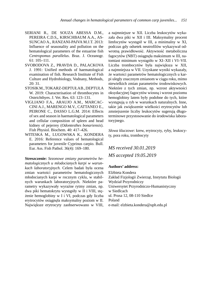- SERIANI R., DE SOUZA ABESSA D.M., PEREIRA C.D.S,, KIRSCHBAUM A.A., AS-SUNCAO A., RANZANI-PAIVA M.J.T. 2013: Influence of seasonality and pollution on the hematological parameters of the estuarine fish *Centropomus parallelus*. Braz. J. Oceanogr. 61: 105–111.
- SVOBODOVA Z., PRAVDA D., PALACKOVA J. 1991: Unified methods of haematological examination of fish. Research Institute of Fish Culture and Hydrobiology, Vodnany, Methods, 20: 31.
- STOSIK M., TOKARZ-DEPTUŁA B., DEPTUŁA W. 2019: Characterisation of thrombocytes in Osteichthyes. J. Vet. Res. 63: 123–131.
- VIGLIANO F.A., ARAUJO A.M., MARCAC-CINI A.J., MARENGO M.V., CATTANEO E., PEIRONE C., DASSO L.G.M. 2014: Effects of sex and season in haematological parameters and cellular composition of spleen and head kidney of pejerrey (*Odontesthes bonariensis*). Fish Physiol. Biochem. 40: 417–426.
- WITESKA M., LUGOWSKA K., KONDERA E. 2016: Reference values of hematological parameters for juvenile Cyprinus carpio. Bull. Eur. Ass. Fish Pathol. 36(4): 169–180.

**Streszczenie:** *Sezonowe zmiany parametrów hematologicznych u młodocianych karpi w warunkach laboratoryjnych.* Celem badań była ocena zmian wartości parametrów hematologicznych młodocianych karpi w rocznym cyklu, w stabilnych warunkach laboratoryjnych. Niektóre parametry wykazywały wyraźne rytmy zmian, np. dwa piki hematokrytu wystąpiły w II i VIII, stężenie hemoglobiny w I i VI, podczas gdy liczba erytrocytów osiągnęła maksymalny poziom w II. Największe erytrocyty zaobserwowano w VIII,

a najmniejsze w XII. Liczba leukocytów wykazała dwa piki w XII i III. Maksymalny procent limfocytów wystąpił w III, a minimalny w XI, podczas gdy odsetek neutrofilów wykazywał odwrotną prawidłowość. Aktywność metaboliczna fagocytów (NBT) osiągnęła maksimum w III, natomiast minimum wystąpiło w XI–XII i VI–VII. Liczba trombocytów była największa w XII, a najmniejsza w VII. Uzyskane wyniki wykazały, że wartości parametrów hematologicznych u karpi uległy znacznym zmianom w ciągu roku, mimo niewielkich zmian parametrów środowiskowych. Niektóre z tych zmian, np. wzrost aktywności oksydacyjnej fagocytów wiosną i wzrost poziomu hemoglobiny latem były podobne do tych, które występują u ryb w warunkach naturalnych. Inne, takie jak zwiększenie wielkości erytrocytów lub zmniejszenie liczby leukocytów sugerują długoterminowe przystosowanie do środowiska laboratoryjnego.

*Słowa kluczowe*: krew, erytrocyty, ryby, leukocyty, pora roku, trombocyty

# *MS received 30.01.2019 MS accepted 19.05.2019*

#### **Authors' address:**

Elżbieta Kondera Zakład Fizjologii Zwierząt, Instytutu Biologii Wydział Przyrodniczy Uniwersytet Przyrodniczo-Humanistyczny w Siedlcach ul. Prusa 12, 08-110 Siedlce Poland e-mail: elzbieta.kondera@uph.edu.pl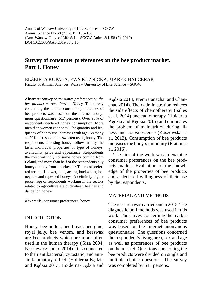Annals of Warsaw University of Life Sciences – SGGW Animal Science No 58 (2), 2019: 153–158 (Ann. Warsaw Univ. of Life Sci. – SGGW, Anim. Sci. 58 (2), 2019) DOI 10.22630/AAS.2019.58.2.16

# **Survey of consumer preferences on the bee product market. Part 1. Honey**

ELŻBIETA KOPAŁA, EWA KUŹNICKA, MAREK BALCERAK Faculty of Animal Sciences, Warsaw University of Life Science – SGGW

**Abstract:** *Survey of consumer preferences on the bee product market. Part 1. Honey.* The survey concerning the market consumer preferences of bee products was based on the internet anonymous questionnaire (517 persons). Over 95% of respondents declared honey consumption. More men than women eat honey. The quantity and frequency of honey use increases with age. As many as 70% of respondents sweeten using honey. The respondents choosing honey follow mainly the taste, individual properties of type of honeys, availability, price and appearance. Respondents the most willingly consume honey coming from Poland, and more than half of the respondents buy honey directly from a beekeeper. The most preferred are multi-flower, lime, acacia, buckwheat, honeydew and rapeseed honeys. A definitely higher percentage of respondents working in the sectors related to agriculture ate buckwheat, heather and dandelion honeys.

*Key words*: consumer preferences, honey

### INTRODUCTION

Honey, bee pollen, bee bread, bee glue, royal jelly, bee venom, and beeswax are bee products which are more often used in the human therapy (Giza 2004, Narkiewicz-Jodko 2014). It is connected to their antibacterial, cytostatic, and anti- -inflammatory effect (Hołderna-Kędzia and Kędzia 2013, Hołderna-Kędzia and Kędzia 2014, Premratanachai and Chanchao 2014). Their administration reduces the side effects of chemotherapy (Salles et al. 2014) and radiotherapy (Hołderna Kędzia and Kędzia 2015) and eliminates the problem of malnutrition during illness and convalescence (Koszowska et al. 2013). Consumption of bee products increases the body's immunity (Fratini et al. 2016).

The aim of the work was to examine consumer preferences on the bee products market. Evaluation of the knowledge of the properties of bee products and a declared willingness of their use by the respondents.

### MATERIAL AND METHODS

The research was carried out in 2018. The diagnostic poll methods was used in this work. The survey concerning the market consumer preferences of bee products was based on the Internet anonymous questionnaire. The questions concerned the respondent's living area, sex and age as well as preferences of bee products on the market. Questions concerning the bee products were divided on single and multiple choice questions. The survey was completed by 517 persons.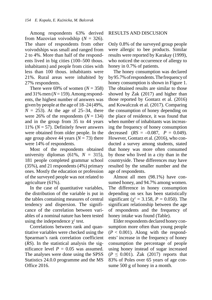Among respondents 63% derived from Mazovian voivodship  $(N = 326)$ . The share of respondents from other voivodships was small and ranged from 2 to 4%. More than half of the respondents lived in big cities (100–500 thous. inhabitants) and people from cities with less than 100 thous. inhabitants were 21%. Rural areas were inhabited by 27% respondents.

There were 69% of women  $(N = 358)$ and 31% men  $(N=159)$ . Among respondents, the highest number of answers was given by people at the age of 18–24 (49%,  $N = 253$ ). At the age of 25–34, there were 26% of the respondents  $(N = 134)$ and in the group from 35 to 44 years 11% ( $N = 57$ ). Definitely fewer answers were obtained from older people. In the age group above 44 years  $(N = 73)$  there were 14% of respondents.

Most of the respondents obtained university diplomas (61%,  $N = 315$ ), 181 people completed grammar school (35%), and 21 respondents (4%) primary ones. Mostly the education or profession of the surveyed people was not related to agriculture (61%).

In the case of quantitative variables, the distribution of the variable is put in the tables containing measures of central tendency and dispersion. The significance of the correlation between variables of a nominal nature has been tested using the independence  $\chi^2$  test.

Correlations between rank and quantitative variables were checked using the Spearman's rank correlation coefficient (*RS*). In the statistical analysis the significance level  $P = 0.05$  was assumed. The analyses were done using the SPSS Statistics 24.0.0 programme and the MS Office 2016.

### RESULTS AND DISCUSION

Only 0.8% of the surveyed group people were allergic to bee products. Similar results were reported by Karakay (1999), who noticed the occurrence of allergy to honey in 0.7% of patients.

The honey consumption was declared by 95.7% of respondents. The frequency of honey consumption is shown in Figure 1. The obtained results are similar to those showed by Żak (2017) and higher than those reported by Gontarz et al. (2016) and Kowalczuk et al. (2017). Comparing the consumption of honey depending on the place of residence, it was found that when number of inhabitants was increasing the frequency of honey consumption decreased  $(RS = -0.087, P = 0.049)$ . However, Gontarz et al. (2016), who conducted a survey among students, stated that honey was more often consumed by those who lived in a city than in the countryside. These differences may have resulted by the smaller number and the age of respondents.

Almost all men (98.1%) have consumed honey, and 94.7% among women. The difference in honey consumption depending on sex has been statistically significant ( $\chi^2 = 3.158$ ,  $P = 0.050$ ). The significant relationship between the age of respondents and the frequency of honey intake was found (Table).

Elder respondents declared honey consumption more often than young people  $(P < 0.001)$ . Along with the respondents' increase in the frequency of honey consumption the percentage of people using honey instead of sugar increased  $(P \le 0.001)$ . Żak (2017) reports that 83% of Poles over 65 years of age consume 500 g of honey in a month.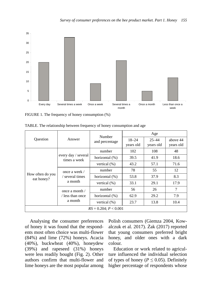

FIGURE 1. The frequency of honey consumption (%)

|                                |                                                                         | Number          |                        | Age                    |                       |  |  |  |  |
|--------------------------------|-------------------------------------------------------------------------|-----------------|------------------------|------------------------|-----------------------|--|--|--|--|
| Ouestion                       | Answer                                                                  | and percentage  | $18 - 24$<br>years old | $25 - 44$<br>years old | above 44<br>years old |  |  |  |  |
|                                |                                                                         | number          | 102                    | 108                    | 48                    |  |  |  |  |
| How often do you<br>eat honey? | every day / several<br>times a week                                     | horizontal (%)  | 39.5                   | 41.9                   | 18.6                  |  |  |  |  |
|                                |                                                                         | vertical $(\%)$ | 43.2                   | 57.1                   | 71.6                  |  |  |  |  |
|                                | once a week /                                                           | number          | 78                     | 55                     | 12                    |  |  |  |  |
|                                | / several times<br>a month<br>once a month $\prime$<br>/ less than once | horizontal (%)  | 53.8                   | 37.9                   | 8.3                   |  |  |  |  |
|                                |                                                                         | vertical $(\%)$ | 33.1                   | 29.1                   | 17.9                  |  |  |  |  |
|                                |                                                                         | number          | 56                     | 26                     | 7                     |  |  |  |  |
|                                |                                                                         | horizontal (%)  | 62.9                   | 29.2                   | 7.9                   |  |  |  |  |
|                                | a month                                                                 | vertical $(\%)$ | 23.7                   | 13.8                   | 10.4                  |  |  |  |  |
|                                | $RS = 0.204$ ; $P < 0.001$                                              |                 |                        |                        |                       |  |  |  |  |

TABLE. The relationship between frequency of honey consumption and age

Analysing the consumer preferences of honey it was found that the respondents most often choice was multi-flower (84%) and lime (72%) honeys. Acacia (40%), buckwheat (40%), honeydew (39%) and rapeseed (31%) honeys were less readily bought (Fig. 2). Other authors confirm that multi-flower and lime honeys are the most popular among Polish consumers (Giemza 2004, Kowalczuk et al. 2017). Żak (2017) reported that young consumers preferred bright honey, and older ones with a dark colour.

Education or work related to agriculture influenced the individual selection of types of honey ( $P \leq 0.05$ ). Definitely higher percentage of respondents whose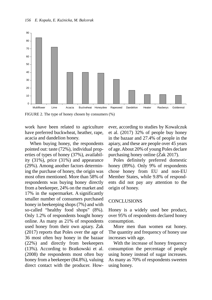

FIGURE 2. The type of honey chosen by consumers (%)

work have been related to agriculture have preferred buckwheat, heather, rape, acacia and dandelion honey.

When buying honey, the respondents pointed out: taste (72%), individual properties of types of honey (37%), availability (31%), price (31%) and appearance (29%). Among another factors determining the purchase of honey, the origin was most often mentioned. More than 58% of respondents was buying honey directly from a beekeeper, 24% on the market and 17% in the supermarket. A significantly smaller number of consumers purchased honey in beekeeping shops (7%) and with so-called "healthy food shops" (8%). Only 1.2% of respondents bought honey online. As many as 21% of respondents used honey from their own apiary. Żak (2017) reports that Poles over the age of 36 most often buy honey in the bazaar (22%) and directly from beekeepers (13%). According to Bratkowski et al. (2008) the respondents most often buy honey from a beekeeper (84.8%), valuing direct contact with the producer. However, according to studies by Kowalczuk et al. (2017) 32% of people buy honey in the bazaar and 27.4% of people in the apiary, and these are people over 45 years of age. About 20% of young Poles declare purchasing honey online (Żak 2017).

Poles definitely preferred domestic honey (89%). Only 9% of respondents chose honey from EU and non-EU Member States, while 9.8% of respondents did not pay any attention to the origin of honey.

#### CONCLUSIONS

Honey is a widely used bee product, over 95% of respondents declared honey consumption.

More men than women eat honey. The quantity and frequency of honey use increases with age.

With the increase of honey frequency consumption the percentage of people using honey instead of sugar increases. As many as 70% of respondents sweeten using honey.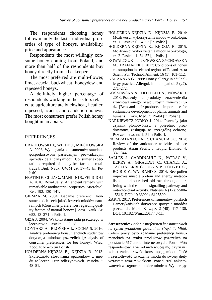The respondents choosing honey follow mainly the taste, individual properties of type of honeys, availability, price and appearance.

Respondents the most willingly consume honey coming from Poland, and more than half of the respondents buy honey directly from a beekeeper.

The most preferred are multi-flower, lime, acacia, buckwheat, honeydew and rapeseed honeys.

A definitely higher percentage of respondents working in the sectors related to agriculture ate buckwheat, heather, rapeseed, acacia, and dandelion honeys. The most consumers prefer Polish honey bought in an apiary.

#### **REFERENCES**

- BRATKOWSKI J., WILDE J., MIEĆKOWSKA A. 2008: Wymagania konsumentów stawiane gospodarstwom pasiecznym prowadzącym sprzedaż detaliczną miodu [Consumer expectations required of honey bee farms at retail trade]. Biul. Nauk. UWM 29: 37–43 [in Polish].
- FRATINI F., CILIA G., MANCINI S., FELICIOLI A. 2016: Royal Jelly: An ancient remedy with remarkable antibacterial properties. Microbiol. Res. 192: 130–141.
- GIEMZA M. 2004: Badanie preferencji konsumenckich cech jakościowych miodów naturalnych [Consumer preferences regarding quality factors of natural honeys]. Zesz. Nauk. AE 653: 13–27 [in Polish].
- GIZA J. 2004: Wykorzystanie jadu pszczelego w lecznictwie. Pasieka 3: 36–38.
- GONTARZ A., BŁOŃSKA I., SOCHA S. 2016: Analiza preferencji konsumenckich studentów dotycząca miodów pszczelich [Analysis of consumer preferences for bee honey]. Wiad. Zoot. 4: 61–76 [in Polish].
- HOŁDERNA-KĘDZIA E., KĘDZIA B. 2013: Skuteczność stosowania opatrunków z miodu w leczeniu ran odleżynowych. Pasieka 3: 48–51.
- HOŁDERNA-KĘDZIA E., KĘDZIA B. 2014: Możliwości wykorzystania miodu w onkologii, cz. 1. Pasieka 6: 54–57 [in Polish].
- HOŁDERNA-KĘDZIA E., KĘDZIA B. 2015: Możliwości wykorzystania miodu w onkologii, cz. 2. Pasieka 1: 54–57 [in Polish].
- KOWALCZUK I., JEŻEWSKA-ZYCHOWSKA M., TRAFIAŁEK J. 2017: Conditions of honey consumption in selected regions of Poland. Acta Scient. Pol. Technol. Aliment. 16 (1): 101–112.
- KARAKAYA G. 1999: Honey allergy in adult allergy practice. Allergol. Immunopathol. 5 (27): 271–272.
- KOSZOWSKA A., DITTFELD A., NOWAK J. 2013: Pszczoły i ich produkty – znaczenie dla zrównoważonego rozwoju roślin, zwierząt i ludzi [Bees and their products – importance for sustainable development of plants, animals and humans]. Envir. Med. 2: 79–84 [in Polish].
- NARKIEWICZ-JODKO J. 2014: Pszczoły jako czynnik plonotwórczy, a pośrednio prozdrowotny, zasługują na szczególną ochronę. Pszczelarstwo nr. 1: 5 [in Polish].
- PREMRATANACHAI P., CHANCHAO C. 2014: Review of the anticancer activities of bee products. Asian Pacific J. Tropic. Biomed. 4: 337–344.
- SALLES J., CARDINAULT N., PATRAC V., BERRY A., GIRAUDET C., CHANET A., TAGLIAFERRI C., DENIS P., POUYET C., BOIRIE Y., WALRAND S. 2014: Bee pollen improves muscle protein and energy metabolism in malnourished old rats through interfering with the motor signalling pathway and mitochondrial activity. Nutriens 6 (12): 5500– –5516. DOI: 10.3390/nu6125500.
- ŻAK N. 2017: Preferencje konsumentów polskich i amerykańskich dotyczące spożycia miodów pszczelich. Mark. Zarządz. 2 (48): 117–130. DOI: 10.18276/miz.2017.48-11.

**Streszczenie:** *Badanie preferencji konsumenckich na rynku produktów pszczelich, Część 1. Miód.* Celem pracy było zbadanie preferencji konsumenckich na rynku produktów pszczelich na podstawie 517 ankiet internetowych. Ponad 95% respondentów, a wśród nich więcej mężczyzn niż kobiet zadeklarowało konsumpcję miodu. Ilość i częstotliwość włączania miodu do swojej diety wzrastała wraz z wiekiem. Ponad 70% ankietowanych zastępowała cukier miodem. Wybierając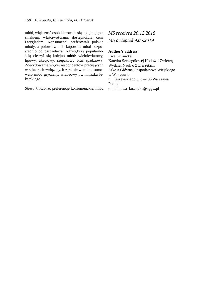miód, większość osób kierowała się kolejno jego: smakiem, właściwościami**,** dostępnością, ceną i wyglądem. Konsumenci preferowali polskie miody, a połowa z nich kupowała miód bezpośrednio od pszczelarza. Największą popularnością cieszył się kolejno miód: wielokwiatowy, lipowy, akacjowy, rzepakowy oraz spadziowy. Zdecydowanie więcej respondentów pracujących w sektorach związanych z rolnictwem konsumowało miód gryczany, wrzosowy i z mniszka lekarskiego.

*Słowa kluczowe*: preferencje konsumenckie, miód

# *MS received 20.12.2018 MS accepted 9.05.2019*

#### **Author's address:**

Ewa Kuźnicka Katedra Szczegółowej Hodowli Zwierząt Wydział Nauk o Zwierzętach Szkoła Główna Gospodarstwa Wiejskiego w Warszawie ul. Ciszewskiego 8, 02-786 Warszawa Poland e-mail: ewa\_kuznicka@sggw.pl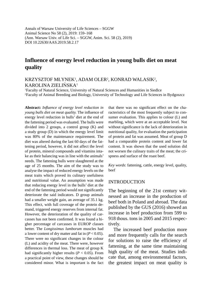Annals of Warsaw University of Life Sciences – SGGW Animal Science No 58 (2), 2019: 159–168 (Ann. Warsaw Univ. of Life Sci. – SGGW, Anim. Sci. 58 (2), 2019) DOI 10.22630/AAS.2019.58.2.17

# **Influence of energy level reduction in young bulls diet on meat quality**

KRZYSZTOF MŁYNEK1 , ADAM OLER2 , KONRAD WALASIK2 , KAROLINA ZIELIŃSKA1

1 Faculty of Natural Science, University of Natural Sciences and Humanities in Siedlce 2 Faculty of Animal Breeding and Biology, University of Technology and Life Sciences in Bydgoszcz

**Abstract:** *Infl uence of energy level reduction in young bulls diet on meat quality.* The influence of energy level reduction in bulls' diet at the end of the fattening period was evaluated. The bulls were divided into 2 groups, a control group (K) and a study group (D) in which the energy level limit was 80% of the maintenance requirement. The diet was altered during the last 60 days of the fattening period, however, it did not affect the level of protein, mineral compounds and vitamins intake as their balancing was in line with the animals' needs. The fattening bulls were slaughtered at the age of 25 months. The aim of the study was to analyse the impact of reduced energy levels on the meat traits which proved its culinary usefulness and nutritional value. An assumption was made that reducing energy level in the bulls' diet at the end of the fattening period would not significantly deteriorate the said indicators. D group animals had a smaller weight gain, an average of 35.1 kg. This effect, with full coverage of the protein demand, triggered energy reserves from internal fat. However, the deterioration of the quality of carcasses has not been confirmed. It was found a higher percentage of carcasses in EUROP classes better. The *Longissimus lumborum* muscles had a lower content of dry matter and fat in  $(P < 0.05)$ . There were no significant changes in the colour (L) and acidity of the meat. There were, however differences in thermal loss. The meat of group K had significantly higher results ( $P < 0.05$ ). From a practical point of view, these changes should be considered minor. What is important is the fact that there was no significant effect on the characteristics of the most frequently subject to consumer evaluation. This applies to colour (L) and marbling, which were at an acceptable level. Not without significance is the lack of deterioration in nutritional quality, for evaluation the participation of protein and fat was assumed. Meat of group D had a comparable protein content and lower fat content. It was shown that the used solution did not worsen the culinary traits of the meat; the crispness and surface of the roast beef.

*Key words*: fattening, cattle, energy level, quality, beef

### INTRODUCTION

The beginning of the 21st century witnessed an increase in the production of beef both in Poland and abroad. The data published by the GUS (2016) showed an increase in beef production from 599 to 918 thous. tons in 2005 and 2015 respectively.

The increased beef production more and more frequently calls for the search for solutions to raise the efficiency of fattening, at the same time maintaining high quality of the meat. Studies indicate that, among environmental factors, the greatest impact on meat quality is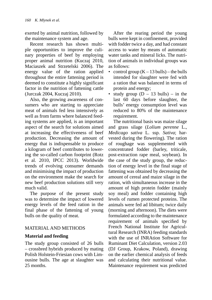exerted by animal nutrition, followed by the maintenance system and age.

Recent research has shown multiple opportunities to improve the culinary properties of beef by employing proper animal nutrition (Kuczaj 2010, Maciaszek and Strzetelski 2006). The energy value of the ration applied throughout the entire fattening period is deemed to constitute a highly significant factor in the nutrition of fattening cattle (Jurczak 2004, Kuczaj 2010).

Also, the growing awareness of consumers who are starting to appreciate meat of animals fed less intensively as well as from farms where balanced feeding systems are applied, is an important aspect of the search for solutions aimed at increasing the effectiveness of beef production. Decreasing the amount of energy that is indispensable to produce a kilogram of beef contributes to lowering the so-called carbon footprint (Rotz et al. 2010, IPCC 2013). Worldwide trends of evolving consumer demands and minimising the impact of production on the environment make the search for new beef production solutions still very much valid.

The purpose of the present study was to determine the impact of lowered energy levels of the feed ration in the final phase of the fattening of young bulls on the quality of meat.

## MATERIAL AND METHODS

## **Material and feeding**

The study group consisted of 26 bulls – crossbred hybrids produced by mating Polish Holstein-Friesian cows with Limousine bulls. The age at slaughter was 25 months.

After the rearing period the young bulls were kept in confinement, provided with fodder twice a day, and had constant access to water by means of automatic water tanks and mineral licks. The nutrition of animals in individual groups was as follows:

- control group  $(K 13$  bulls) the bulls intended for slaughter were fed with a ration that was balanced in terms of protein and energy;
- study group  $(D 13$  bulls) in the last 60 days before slaughter, the bulls' energy consumption level was reduced to 80% of the maintenance requirement.

The nutritional basis was maize silage and grass silage (*Lolium perenne* L., *Medicago sativa* L. ssp. *Sativa*; harvested during the flowering). The ration of roughage was supplemented with concentrated fodder (barley, triticale, post-extraction rape meal, soybean). In the case of the study group, the reduction of energy level in the final stage of fattening was obtained by decreasing the amount of cereal and maize silage in the ration, with simultaneous increase in the amount of high protein fodder (mainly soy meal) and fodder containing high levels of rumen protected proteins. The animals were fed ad libitum; twice daily (morning and afternoon). The diets were formulated according to the maintenance requirement of animals specified by French National Institute for Agricultural Research (INRA) feeding standards with the use of INRAtion Software for Ruminant Diet Calculation, version 2.03 (DJ Group, Krakow, Poland), drawing on the earlier chemical analysis of feeds and calculating their nutritional value. Maintenance requirement was predicted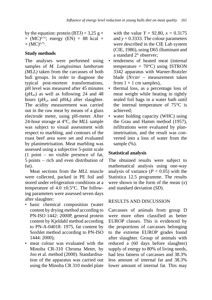by the equation: protein (BTJ) = 3,25 g  $\times$  $\times$  (MC)<sup>0,75</sup>; energy (EN) = 88 kcal  $\times$  $\times$  (MC)<sup>0,75</sup>.

## **Study methods**

The analyses were performed using samples of *M. Longissimus lumborum (MLL)* taken from the carcasses of both bull groups. In order to diagnose the typical post-mortem transformations, pH level was measured after 45 minutes  $(pH<sub>45</sub>)$  as well as following 24 and 48 hours ( $pH_{24}$  and  $pH_{8}$ ) after slaughter. The acidity measurement was carried out in the raw meat by means of a glass electrode meter, using pH-meter. After 24-hour storage at 4°C, the *MLL* sample was subject to visual assessment with respect to marbling, and contours of the roast beef area were set and evaluated by planimetrisation. Meat marbling was assessed using a subjective 5-point scale (1 point – no visible presence of fat, 5 points – rich and even distribution of fat).

Meat sections from the *MLL* muscle were collected, packed in PE foil and stored under refrigeration conditions at a temperature of  $4.0 \pm 0.5$ °C. The following parameters were assessed seven days after slaughter:

- basic chemical composition (water content by drying method according to PN-ISO 1442: 2000P, general protein content by Kjeldahl method according to PN-A-04018: 1975, fat content by Soxhlet method according to PN-ISO 1444: 2000);
- meat colour was evaluated with the Minolta CR-310 Chroma Meter, by Joo et al. method (2000). Standardisation of the apparatus was carried out using the Minolta CR 310 model plate

with the value  $Y = 92.80$ ,  $x = 0.3175$ and  $y = 0.3333$ . The colour parameters were described in the CIE Lab system (CIE, 1986), using D65 illuminant and a standard 2° observer;

- tenderness of heated meat (internal temperature  $+ 70^{\circ}$ C) using ISTRON 3342 apparatus with Warner-Bratzler blade (*N*/cm2 – measurement taken from  $1 \times 1$  cm samples).
- thermal loss, as a percentage loss of meat weight while heating in tightly sealed foil bags in a water bath until the internal temperature of 75°C is achieved;
- water holding capacity (WHC) using the Grau and Hamm method (1957), infiltrations were evaluated by planimetrisation, and the result was converted into a loss of water from the sample  $(\% )$ .

## **Statistical analysis**

The obtained results were subject to mathematical analysis using one-way analysis of variance  $(P < 0.05)$  with the Statistica 12.5 programme. The results were shown in the form of the mean (*x*) and standard deviation (*SD*).

## RESULTS AND DISCUSSION

Carcasses of animals from group D were more often classified as better EUROP classes. This is evidenced by the proportions of carcasses belonging to the extreme EUROP grades found after slaughter. Group of animals with reduced a (60 days before slaughter) supply of energy to 80% of living needs, had less fatness of carcasses and 38.3% less amount of internal fat and 38.3% lower amount of internal fat. This may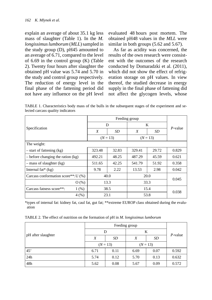explain an average of about 35.1 kg less mass of slaughter (Table 1). In the *M. longissimus lumborum* (*MLL*) sampled in the study group (D), pH45 amounted to an average of 6.71, compared to the level of  $6.69$  in the control group  $(K)$  (Table 2). Twenty four hours after slaughter the obtained pH value was 5.74 and 5.70 in the study and control group respectively. The reduction of energy level in the final phase of the fattening period did not have any influence on the pH level evaluated 48 hours post mortem. The obtained pH48 values in the *MLL* were similar in both groups  $(5.62$  and  $5.67)$ .

As far as acidity was concerned, the results of the own research were consistent with the outcomes of the research conducted by Domaradzki et al. (2011), which did not show the effect of refrigeration storage on pH values. In view thereof, the studied decrease in energy supply in the final phase of fattening did not affect the glycogen levels, whose

TABLE 1. Characteristics body mass of the bulls in the subsequent stages of the experiment and selected carcass quality indicators

|                                       |        | Feeding group |        |            |            |  |
|---------------------------------------|--------|---------------|--------|------------|------------|--|
| Specification                         |        | D             |        | K          | $P$ -value |  |
|                                       | X      | SD            | X      | SD         |            |  |
|                                       |        | $(N = 13)$    |        | $(N = 13)$ |            |  |
| The weight:                           |        |               |        |            |            |  |
| $-$ start of fattening (kg)           | 323.48 | 32.83         | 329.41 | 29.72      | 0.829      |  |
| $-$ before changing the ration $(kg)$ | 492.21 | 48.25         | 487.29 | 45.59      | 0.621      |  |
| $-$ mass of slaughter (kg)            | 511.65 | 42.25         | 541.79 | 51.92      | 0.358      |  |
| Internal $fat*(kg)$                   | 9.78   | 2.22          | 13.53  | 2.98       | 0.042      |  |
| Carcass conformation score**: $U(\%)$ |        | 40.0          |        | 20.0       |            |  |
| O(%)                                  |        | 13.3          |        | 33.3       |            |  |
| Carcass fatness score**:<br>1(%)      |        | 38.5          |        | 15.4       |            |  |
| 4(%)                                  |        | 23.1          |        | 53.8       | 0.038      |  |

\* types of internal fat: kidney fat, caul fat, gut fat; \*\*extreme EUROP class obtained during the evaluation

TABLE 2. The effect of nutrition on the formation of pH in *M. longissimus lumborum*

| pH after slaughter | D          |      |            | K    | $P$ -value |  |
|--------------------|------------|------|------------|------|------------|--|
|                    | X          | SD   | Χ          | SD   |            |  |
|                    | $(N = 13)$ |      | $(N = 13)$ |      |            |  |
| 45'                | 6.71       | 0.11 | 6.69       | 0.07 | 0.592      |  |
| 24h                | 5.74       | 0.12 | 5.70       | 0.13 | 0.632      |  |
| 48h                | 5.62       | 0.08 | 5.67       | 0.09 | 0.572      |  |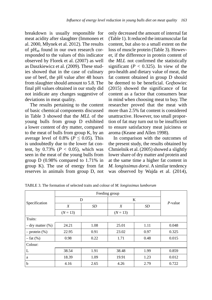breakdown is usually responsible for meat acidity after slaughter (Immonen et al. 2000, Młynek et al. 2012). The results of  $pH_{48}$  found in our own research corresponded to the values of this indicator observed by Florek et al. (2007) as well as Daszkiewicz et al. (2009). These studies showed that in the case of culinary use of beef, the pH value after 48 hours from slaughter should amount to 5.8. The final pH values obtained in our study did not inidicate any changes suggestive of deviations in meat quality.

The results pertaining to the content of basic chemical components discussed in Table 3 showed that the *MLL* of the young bulls from group D exhibited a lower content of dry matter, compared to the meat of bulls from group K, by an average level of 0.8% ( $P \leq 0.05$ ). This is undoubtedly due to the lower fat content, by  $0.73\%$  ( $P < 0.05$ ), which was seen in the meat of the young bulls from group D (0.98% compared to 1.71% in group K). The use of energy from fat reserves in animals from group D, not only decreased the amount of internal fat (Table 1). It reduced the intramuscular fat content, but also to a small extent on the loss of muscle protein (Table 3). However, if the difference in protein content of the *MLL* not confirmed the statistically significant ( $P < 0.325$ ). In view of the pro-health and dietary value of meat, the fat content obtained in group D should be deemed to be beneficial. Grębowiec (2015) showed the significance of fat content as a factor that consumers bear in mind when choosing meat to buy. The researcher proved that the meat with more than 2.5% fat content is considered unattractive. However, too small proportion of fat may turn out to be insufficient to ensure satisfactory meat juiciness or aroma (Keane and Allen 1998).

In comparison with the outcomes of the present study, the results obtained by Chmielnik et al. (2005) showed a slightly lower share of dry matter and protein and at the same time a higher fat content in *M. longissimus dorsi*. A similar tendency was observed by Wajda et al. (2014),

| Specification         |            | D    | K          | $P$ -value |       |
|-----------------------|------------|------|------------|------------|-------|
|                       | X          | SD   | X          | SD         |       |
|                       | $(N = 13)$ |      | $(N = 13)$ |            |       |
| Traits:               |            |      |            |            |       |
| $-$ dry matter $(\%)$ | 24.21      | 1.08 | 25.01      | 1.11       | 0.048 |
| $-$ protein $(\%)$    | 22.95      | 0.91 | 23.02      | 0.97       | 0.325 |
| $-$ fat $(\%)$        | 0.98       | 0.22 | 1.71       | 0.48       | 0.015 |
| Colour:               |            |      |            |            |       |
| L                     | 38.54      | 1.91 | 38.48      | 1.99       | 0.859 |
| a                     | 18.39      | 1.09 | 19.91      | 1.23       | 0.012 |
| b                     | 4.16       | 2.65 | 4.26       | 2.79       | 0.722 |

TABLE 3. The formation of selected traits and colour of *M. longissimus lumborum*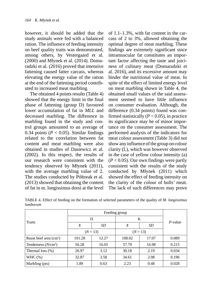however, it should be added that the study animals were fed with a balanced ration. The influence of feeding intensity on beef quality traits was demonstrated, among others, by Vestergaard et al. (2000) and Młynek et al. (2014). Domaradzki et al. (2016) proved that intensive fattening caused fatter carcass, whereas elevating the energy value of the ration at the end of the fattening period contributed to increased meat marbling.

The obtained 4 points results (Table 4) showed that the energy limit in the final phase of fattening (group D) favoured lower accumulation of fat in *MLL* and decreased marbling. The difference in marbling found in the study and control groups amounted to an average of 0.34 points ( $P < 0.05$ ). Similar findings related to the correlation between fat content and meat marbling were also obtained in studies of Dasiewicz et al. (2002). In this respect, the results of our research were consistent with the tendency observed by Młynek (2011), with the average marbling value of 2. The studies conducted by Półtorak et al. (2013) showed that obtaining the content of fat in m. longissimus dorsi at the level of 1.1–1.3%, with fat content in the carcass of 2 to 3%, allowed obtaining the optimal degree of meat marbling. These findings are extremely significant since intramuscular fat constitutes an important factor affecting the taste and juiciness of culinary meat (Domaradzki et al. 2016), and its excessive amount may hinder the nutritional value of meat. In spite of the effect of limited energy level on meat marbling shown in Table 4, the obtained small values of the said assessment seemed to have little influence on consumer evaluation. Although, the difference (0.34 points) found was confirmed statistically  $(P < 0.05)$ , in practice its significance may be of minor importance on the consumer assessment. The performed analysis of the indicators for meat colour assessment (Table 3) did not show any influence of the group on colour clarity (L), which was however observed in the case of yellow colour intensity (a)  $(P < 0.05)$ . Our own findings were partly consistent with the results of the study conducted by Młynek (2011) which showed the effect of feeding intensity on the clarity of the colour of bulls' meat. The lack of such differences may prove

| Traits                  | D      |            | K            |       | P-value |
|-------------------------|--------|------------|--------------|-------|---------|
|                         | X      | SD         | X            | SD    |         |
|                         |        | $(N = 13)$ | $(N = 13)$   |       |         |
| Roast beef area $(cm2)$ | 101.28 | 12.27      | 108.02       | 17.07 | 0.089   |
| Tenderness $(N/cm2)$    | 56.28  | 16.05      | 57.79        | 16.98 | 0.215   |
| Thermal loss $(\%)$     | 26.97  | 3.12       | 30.18        | 2.19  | 0.034   |
| WHC $(\%)$              | 32.87  | 3.58       | 34.61        | 2.98  | 0.196   |
| Marbling (pts)          | 1.89   | 0.63       | 2.23<br>0.48 |       | 0.028   |

TABLE 4. Effect of feeding on the formation of selected parameters of the quality of *M. longissimus lumborum*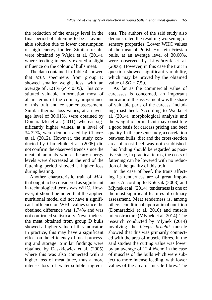the reduction of the energy level in the final period of fattening to be a favourable solution due to lower consumption of high energy fodder. Similar results were obtained by Wajda et al. (2014), where feeding intensity exerted a slight influence on the colour of bulls meat.

The data contained in Table 4 showed that *MLL* specimens from group D showed smaller weight loss, with an average of  $3.21\%$  ( $P < 0.05$ ). This constituted valuable information most of all in terms of the culinary importance of this trait and consumer assessment. Similar thermal loss values, at an average level of 30.01%, were obtained by Domaradzki et al. (2011), whereas significantly higher values, at a level of 34.32%, were demonstrated by Chavez et al. (2012). However, the study conducted by Chmielnik et al. (2005) did not confirm the observed trends since the meat of animals whose dietary energy levels were decreased at the end of the fattening period showed a higher loss during heating.

Another characteristic trait of *MLL* that ought to be considered as significant in technological terms was WHC. However, it should be noted that the applied nutritional model did not have a significant influence on WHC values since the obtained difference was 1.74% and was not confirmed statistically. Nevertheless, the meat obtained from group D bulls showed a higher value of this indicator. In practice, this may have a significant effect on the efficiency of meat processing and storage. Similar findings were obtained by Daszkiewicz et al. (2005) where this was also connected with a higher loss of meat juice, thus a more intense loss of water-soluble ingredients. The authors of the said study also demonstrated the resulting worsening of sensory properties. Lower WHC values of the meat of Polish Holstein-Friesian bulls, at an average level of 30.00%, were observed by Litwińczuk et al. (2006). However, in this case the trait in question showed significant variability, which may be proved by the obtained value of  $SD = 7.59$ .

As far as the commercial value of carcasses is concerned, an important indicator of the assessment was the share of valuable parts of the carcass, including roast beef. According to Wajda et al. (2014), morphological analysis and the weight of primal cut may constitute a good basis for carcass pricing and beef quality. In the present study, a correlation between bulls' diet and the cross-section area of roast beef was not established. This finding should be regarded as positive since, in practical terms, the costs of fattening can be lowered with no reduction of the quality of this trait.

In the case of beef, the traits affecting its tenderness are of great importance. According to Kołczak (2008) and Młynek et al. (2014), tenderness is one of the most significant features of culinary assessment. Meat tenderness is, among others, conditional upon animal nutrition (Domaradzki et al. 2010) and muscle microstructure (Młynek et al. 2014). The research conducted by Młynek (2014) involving the *biceps brachii* muscle showed that this was primarily connected with the area of muscle fibres. In the said studies the cutting value was lower by an average of 12.4 *N*/cm2 in the case of muscles of the bulls which were subject to more intense feeding, with lower values of the area of muscle fibres. The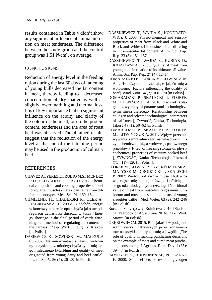results contained in Table 4 didn't show any significant influence of animal nutrition on meat tenderness. The difference between the study group and the control group was 1.51 *N*/cm2 , on average.

## **CONCLUSIONS**

Reduction of energy level in the feeding ration during the last 60 days of fattening of young bulls decreased the fat content in meat, thereby leading to a decreased concentration of dry matter as well as slightly lower marbling and thermal loss. It is of key importance that no significant influence on the acidity and clarity of the colour of the meat, or on the protein content, tenderness and the area of roast beef was observed. The obtained results suggest that the reduction of the energy level at the end of the fattening period may be used in the production of culinary beef.

## **REFERENCES**

- CHAVEZ A., PEREZ E., RUBIO M.S., MENDEZ R.D., DELGADO E.J., DIAZ D. 2012: Chemical composition and cooking properties of beef forequarter muscles of Mexican cattle from different genotypes. Meat Sci. 91: 160–164.
- CHMIELNIK H., CHABERSKI R., OLER A., DĄBROWSKA J. 2005: Niedobór energii w końcowym okresie opasu bydła jako metoda regulacji zawartości tłuszczu w tuszy [Energy shortage in the final period of cattle fattening as a method of regulating fat content in the carcass], Zesp. Wyd. i Polig. IZ Kraków [in Polish].
- DASIEWICZ K., SOWIŃSKI M., MACZUGA C. 2002: Marmurkowatość a jakość wołowiny pozyskanej z młodego bydła typu mięsnego i mlecznego [Marbling and quality of meat originated from young dairy and beef cattle], Przem. Spoż.. 56 (7): 26–28 [in Polish].
- DASZKIEWICZ T., WAJDA S., KONDRATO-WICZ J. 2005: Physio-chemical and sensory properties of meat from Black-and-White and Black-and-White x Limousine heifers differing in intramuscular fat content. Anim. Sci. Pap. Rep. 23 (3): 181–187.
- DASZKIEWICZ T., WAJDA S., KUBIAK D., KRASOWSKA J. 2009: Quality of meat from young bulls in relation to its ultimate pH value. Anim. Sci. Pap. Rep. 27 (4): 12–14.
- DOMARADZKI P., FLOREK M., LITWIŃCZUK A. 2016: Czynniki kształtujące jakość mięsa wołowego. [Factors influencing the quality of beef], Wiad. Zoot. 54 (2): 160–170 [in Polish].
- DOMARADZKI P., SKAŁECKi P., FLOREK M., LITWIŃCZUK A. 2010: Związek kolagenu z wybranymi parametrami technologicznymi mięsa cielęcego [Relationship between collagen and selected technological parameters of calf meat], Żywność, Nauka, Technologia, Jakość 4 (71): 50–62 [in Polish].
- DOMARADZKI P., SKAŁECKI P., FLOREK M., LITWIŃCZUK A. 2011: Wpływ przechowywania zamrażalniczego na właściwości fizykochemiczne mięsa wołowego pakowanego próżniowo [Effect of freezing storage on physicochemical properties of vacuum-packed beef ], ŻYWNOŚĆ, Nauka, Technologia, Jakość 4 (71): 117–126 [in Polish].
- FLOREK M., LITWIŃCZUK Z., KĘDZIERSKA-MATYSEK M., GRODZICKI T, SKAŁECKI P. 2007: Wartość odżywcza mięsa z lędźwiowej części mięśnia najdłuższego i półścięgnistego uda młodego bydła rzeźnego [Nutritional value of meat from musculus longissimus lumborum and musculus semitendinosus of young slaughter cattle], Med. Weter. 63 (2): 242–246 [in Polish].
- Rocznik Statystyczny Rolnictwa 2016 [Statistical Yearbook of Agriculture 2016], Zakł. Wyd. Statyst [in Polish].
- GRĘBOWIEC M. 2015: Rola jakości w podejmowaniu decyzji nabywczych przez konsumentów na przykładzie rynku mięsa i wędlin [The role of quality in making purchasing decisions on the example of meat and cured meat purchasing consumers], J Agribus. Rural Dev. 1 (35): 39–47 [in Polish].
- IMMONEN K., RUUSUNEN M., PUOLANNE E. 2000: Some effects of residual glycogen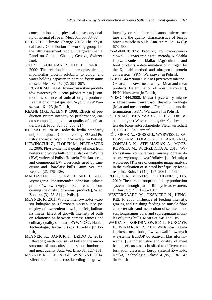concentration on the physical and sensory quality of normal pH beef. Meat Sci. 55: 33–38.

- IPCC 2013: Climate Change 2013: The physical basis*.* Contribution of working group I to the fifth assessment report. Intergovernmental Panel on Climate Change, Geneva, Switzerland.
- JOO S., KAUFFMAN R., KIM B., PARK G. 2000: The relationship of sarcoplasmic and myofibrillar protein solubility to colour and water-holding capacity in porcine *longissimus* muscle. Meat Sci. 52 (3): 291–297.
- JURCZAK M.E. 2004: Towaroznawstwo produktów zwierzęcych. Ocena jakości mięsa [Commodities science of animal origin products. Evaluation of meat quality], Wyd. SGGW Warszawa. 16–123 [in Polish].
- KEANE M.G., ALLEN P. 1998: Effects of production system intensity on performance, carcass composition and meat quality of beef cattle. Livest. Prod. Sci. 56: 203–214.
- KUCZAJ M. 2010: Hodowla bydła standardy unijne i krajowe [Cattle breeding. EU and Polish standards], Wyd. UP, Wrocław [in Polish].
- LITWIŃCZUK Z., FLOREK M., PIETRASZEK K. 2006: Physio-chemical quality of meat from heifers and young bulls of the Black-and-White (BW) variety of Polish Holstein-Friesian breed, and commercial BW crossbreds sired by Limousine and Charolaise bulls. Anim. Sci. Pap. Rep. 24 (2): 179–186.
- MACIASZEK K., STRZETELSKI J. 2006: Wymagania konsumentów odnośnie jakości produktów zwierzęcych [Requirements concerning the quality of animal products], Wiad. Zoot. 44 (3): 78–81 [in Polish].
- MŁYNEK K. 2011: Wpływ intensywności wzrostu buhajów na zależności występujące pomiędzy otłuszczeniem tusz i jakością kulinarną mięsa [Effect of growth intensity of bulls on relationships between carcass fatness and culinary quality of meat], ŻYWNOŚĆ, Nauka, Technologia, Jakość 3 (76): 130–142 [in Polish].
- MŁYNEK K., JANIUK I., DZIDO A. 2012: Effect of growth intensity of bulls on the microstructure of musculus longissimus lumborum and meat quality. Acta Vet. Brno 81: 127–131.
- MŁYNEK K., OLER A., GŁOWIŃSKA B. 2014: Effect of commercial crossbreeding and growth

intensity on slaughter indicators, microstructure and the quality characteristics of biceps brachii muscle in bulls. Ann. Anim. Sci. 14 (3): 673–683.

- PN-A-04018:1975: Produkty rolniczo-żywnościowe – Oznaczanie azotu metodą Kjeldahla i przeliczanie na białko [Agricultural and food products – determination of nitrogen by the Kjeldahl method and nitrogen-to-protein conversion], PKN, Warszawa [in Polish].
- PN-ISO 1442:2000P: Mięso i przetwory mięsne Oznaczanie zawartości wody. [Meat and meat products. Determination of moisture content], PKN, Warszawa [in Polish].
- PN-ISO 1444:2000: Mięso i przetwory mięsne – Oznaczanie zawartości tłuszczu wolnego [Meat and meat products. Free fat contents determination], PKN, Warszawa [in Polish].
- POHIA M.S., NIINIVAARA F.P. 1975: Die Bestimmung der Wasserbindung des Fleiches mittels der Konstantdruckmetode. Fleichwirtschaft 9, 193–195 [in German].
- PÓŁTORAK A., GĘBSKI J., WYRWISZ J., ZA-LEWSKA M., ŁOPACKA J., ULANICKA U., ŻONTAŁA K., STELMASIAK A., MOCZ-KOWSKA M., WIERZBICKA A. 2013: Wykorzystanie komputerowej analizy obrazu do oceny wybranych wyróżników jakości mięsa wołowego [The use of computer image analysis in the evaluation of selected beef quality features], Inż. Roln. 1 (141): 197–206 [in Polish].
- ROTZ, C.A., MONTES, F., CHIANESE, D.S. 2010: The carbon footprint of dairy production systems through partial life cycle assessment. J. Dairy Sci. 93: 1266–1282.
- VESTERGAARD M., OKSBJERG N., HENC-KEL P. 2000: Influence of feeding intensity, grazing and finishing feeding on muscle fibre characteristics and meat colour of semitendinosus, longissimus dorsi and supraspinatus muscles of young bulls. Meat Sci. 54: 177–185.
- WAJDA S., KONDRATOWICZ J., BURCZYK E., WINIARSKI R. 2014: Wydajność rzeźna i jakość tusz buhajków zakwalifikowanych w systemie EUROP do różnych klas uformowania, [Slaughter value and quality of meat from beef carcasses classified to different conformation classes in Europ system] Żywność, Nauka, Technologia, Jakość 4 (95): 136–147 [in Polish].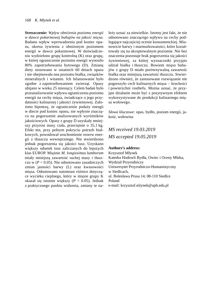**Streszczenie:** *Wpływ obniżenia poziomu energii w dawce pokarmowej buhajów na jakość mięsa*. Badano wpływ wprowadzenia pod koniec opasu, okresu żywienia z obniżonym poziomem energii w dawce pokarmowej. W doświadczeniu wydzielono grupę kontrolną (K) oraz grupę, w której ograniczenie poziomu energii wynosiło 80% zapotrzebowania bytowego (D). Zmianę diety stosowano w ostatnich 60 dniach opasu i nie obejmowała ona poziomu białka, związków mineralnych i witamin. Ich bilansowanie było zgodne z zapotrzebowaniem zwierząt. Opasy ubijano w wieku 25 miesięcy. Celem badań było przeanalizowanie wpływu ograniczenia poziomu energii na cechy mięsa, świadczące o jego przydatności kulinarnej i jakości żywieniowej. Założono hipotezę, że ograniczenie podaży energii w diecie pod koniec opasu, nie wpłynie znacząco na pogorszenie analizowanych wyróżników jakościowych. Opasy z grupy D uzyskały mniejszy przyrost masy ciała, przeciętnie o 35,1 kg. Efekt ten, przy pełnym pokryciu potrzeb białkowych, powodował uruchomienie rezerw energii z tłuszczu wewnętrznego. Nie stwierdzono jednak pogorszenia się jakości tusz. Uzyskano większy odsetek tusz zaliczanych do lepszych klas EUROP. Mięśnie *M. longissimus lumborum* miały mniejszą zawartość suchej masy i tłuszczu w (*P* < 0.05). Nie odnotowano zasadniczych zmian jasności barwy (L) oraz kwasowości mięsa. Odnotowano natomiast różnice dotyczące wycieku cieplnego, który w mięsie grupy K okazał się istotnie większy (*P* < 0.05). Jednak z praktycznego punktu widzenia, zmiany te należy uznać za niewielkie. Istotny jest fakt, że nie odnotowano znaczącego wpływu na cechy podlegające najczęściej ocenie konsumenckiej. Mianowicie barwy i marmurkowatości, które kształtowały się na akceptowalnym poziomie. Nie bez znaczenia pozostaje brak pogorszenia się jakości żywieniowej, za której wyznaczniki przyjęto udział białka i tłuszczu. Bowiem mięso buhajów z grupy D miało porównywalną zawartość białka oraz mniejszą zawartość tłuszczu. Stwierdzono również, że zastosowane rozwiązanie nie pogorszyło cech kulinarnych mięsa – kruchości i powierzchni rostbefu. Można uznać, że przyjęte działanie może być z pozytywnym efektem wykorzystywane do produkcji kulinarnego mięsa wołowego.

*Słowa kluczowe*: opas, bydło, poziom energii, jakość, wołowina

# *MS received 19.03.2019 MS accepted 19.05.2019*

#### **Authors's address:**

Krzysztof Młynek Katedra Hodowli Bydła, Owiec i Oceny Mleka, Wydział Przyrodniczy Uniwersytet Przyrodniczo-Humanistyczny w Siedlcach, ul. Bolesława Prusa 14, 08-110 Siedlce Poland e-mail: krzysztof.mlynek@uph.edu.pl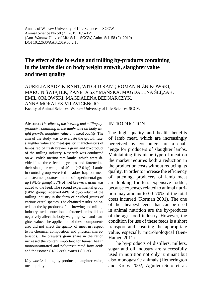Annals of Warsaw University of Life Sciences – SGGW Animal Science No 58 (2), 2019: 169–179 (Ann. Warsaw Univ. of Life Sci. – SGGW, Anim. Sci. 58 (2), 2019) DOI 10.22630/AAS.2019.58.2.18

# **The effect of the brewing and milling by-products containing in the lambs diet on body weight growth, slaughter value and meat quality**

## AURELIA RADZIK-RANT, WITOLD RANT, ROMAN NIŻNIKOWSKI, MARCIN ŚWIĄTEK, ŻANETA SZYMAŃSKA, MAGDALENA ŚLĘZAK, EMIL ORŁOWSKI, MAGDALENA BEDNARCZYK, ANNA MORALES-VILAVICENCIO

Faculty of Animal Sciences, Warsaw University of Life Sciences-SGGW

**Abstract:** *The effect of the brewing and milling byproducts containing in the lambs diet on body weight growth, slaughter value and meat quality*. The aim of the study was to evaluate the growth rate, slaughter value and meat quality characteristics of lambs fed of fresh brewer's grain and by-product of the milling industry. Research was conducted on 45 Polish merino ram lambs, which were divided into three feeding groups and fattened to their slaughter weight of 40 kg  $(\pm 2.0 \text{ kg})$ . Lambs in control group were fed meadow hay, oat meal and steamed potatoes. In one of experimental group (WBG group) 35% of wet brewer's grain was added to the feed. The second experimental group (BPM group) received 44% of by-product of the milling industry in the form of crushed grains of various cereal species. The obtained results indicated that the by-products of the brewing and milling industry used in nutrition on fattened lambs did not negatively affect the body weight growth and slaughter value. The application of these components also did not affect the quality of meat in respect to its chemical composition and physical characteristics. The brewer's grain share in the ration increased the content important for human health monounsaturated and polyunsaturated fatty acids and the isomer C18:2 *cis*9, *trans*11 (CLA).

*Key words*: lambs, by-products, slaughter value, meat quality

### INTRODUCTION

The high quality and health benefits of lamb meat, which are increasingly perceived by consumers are a challenge for producers of slaughter lambs. Maintaining this niche type of meat on the market requires both a reduction in the production costs without reducing its quality. In order to increase the efficiency of fattening, producers of lamb meat are looking for less expensive fodder, because expenses related to animal nutrition may amount to 60–70% of the total costs incurred (Korman 2001). The one of the cheapest feeds that can be used in animal nutrition are the by-products of the agri-food industry. However, the condition for use of these feeds is a short transport and ensuring the appropriate value, especially microbiological (Ben-Hamed 2011).

The by-products of distillers, millers, sugar and oil industry are successfully used in nutrition not only ruminant but also monogastric animals (Hetherington and Krebs 2002, Aguilera-Soto et al.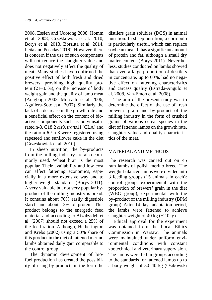2008, Essien and Udotong 2008, Homm et al. 2008, Grześkowiak et al. 2010, Borys et al. 2013, Borzuta et al. 2014, Peña and Posadas 2016). However, there is concern if the use of such components will not reduce the slaughter value and does not negatively affect the quality of meat. Many studies have confirmed the positive effect of both fresh and dried brewers, providing high quality protein (21–33%), on the increase of body weight gain and the quality of lamb meat (Anigbogu 2003, Mussatto et al. 2006, Aguilera-Soto et al. 2007). Similarly, the lack of a decrease in the growth rate and a beneficial effect on the content of bioactive components such as polyunsaturated n-3, C18:2 *cis*9, *trans*11 (CLA) and the ratio n-6 / n-3 were registered using rapeseed and sunflower cake in the diet (Grześkowiak et al. 2010).

In sheep nutrition, the by-products from the milling industry are also commonly used. Wheat bran is the most popular. Their availability and low cost can affect fattening economics, especially in a more extensive way and to higher weight standards (Borys 2011). A very valuable but not very popular byproduct of the milling industry is bread. It contains about 70% easily digestible starch and about 13% of protein. This product belongs to the energetic feed material and according to Afzalzadeh et al. (2007) should not exceed a 25% of the feed ration. Although, Hetherington and Krebs (2002) using a 50% share of this product in the diet of fattened merino lambs obtained daily gain comparable to the control group.

The dynamic development of biofuel production has created the possibility of using by-products in the form the distilers grain solubles (DGS) in animal nutrition. In sheep nutrition, a corn pulp is particularly useful, which can replace soybean meal. It has a significant amount of protein and fat, although a small dry matter content (Borys 2011). Nevertheless, studies conducted on lambs showed that even a large proportion of destilers in concentrate, up to 60%, had no negative effect on fattening characteristics and carcass quality (Estrada-Angulo et al. 2008, Van-Emon et al. 2008).

The aim of the present study was to determine the effect of the use of fresh brewer's grain and by-product of the milling industry in the form of crushed grains of various cereal species in the diet of fattened lambs on the growth rate, slaughter value and quality characteristics of the meat.

## MATERIAL AND METHODS

The research was carried out on 45 ram lambs of polish merino breed. The weight-balanced lambs were divided into 3 feeding groups (15 animals in each): control group, experimental with the proportion of brewers' grain in the diet (WBG group), experimental with the by-product of the milling industry (BPM group). After 14-days adaptation period, the lambs were fattened to achieve slaughter weight of 40 kg  $(\pm 2.0 \text{kg})$ .

Ethical approval for the experiment was obtained from the Local Ethics Commission in Warsaw. The animals were maintained under uniform environmental conditions with constant zootechnical and veterinary supervision. The lambs were fed in groups according to the standards for fattened lambs up to a body weight of 30–40 kg (Osikowski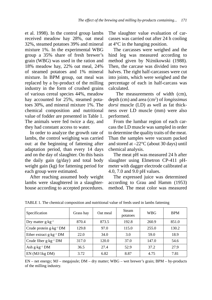et al. 1998). In the control group lambs received meadow hay 28%, oat meal 32%, steamed potatoes 39% and mineral mixture 1%. In the experimental WBG group a 35% share of fresh brewer's grain (WBG) was used in the ration and 18% meadow hay, 22% oat meal, 24% of steamed potatoes and 1% mineral mixture. In BPM group, oat meal was replaced by a by-product of the milling industry in the form of crushed grains of various cereal species 44%, meadow hay accounted for 25%, steamed potatoes 30%, and mineral mixture 1%. The chemical composition and nutritional value of fodder are presented in Table 1. The animals were fed twice a day, and they had constant access to water.

In order to analyze the growth rate of lambs, the control weighing was carried out: at the beginning of fattening after adaptation period, than every 14 days and on the day of slaughter. On this basis the daily gain (g/day) and total body weight gain (kg) for fattening period for each group were estimated.

After reaching assumed body weight lambs were slaughtered in a slaughterhouse according to accepted procedures.

The slaughter value evaluation of carcasses was carried out after 24 h cooling at 4°C in the hanging position.

The carcasses were weighed and the hind leg was measured according to method given by Niżnikowski (1988). Then, the carcase was divided into two halves. The right half-carcasses were cut into joints, which were weighed and the percentage of each in half-carcass was calculated.

 The measurements of width (cm), depth (cm) and area (cm2 ) of *longissimus dorsi* muscle (LD) as well as fat thickness over LD muscle (mm) were also performed.

From the lumbar region of each carcass the LD muscle was sampled in order to determine the quality traits of the meat. Than the samples were vacuum packed and stored at  $-22^{\circ}$ C (about 30 days) until chemical analysis.

The meat pH was measured 24 h after slaughter using Elmetron CP-411 pHmeter with dagger electrode calibrated at 4.0, 7.0 and 9.0 pH values.

The expressed juice was determined according to Grau and Hamm (1953) method. The meat color was measured

| Specification                       | Grass hay | Oat meal | Steam<br>potatoes | <b>WBG</b> | <b>BPM</b> |
|-------------------------------------|-----------|----------|-------------------|------------|------------|
| Dry matter $g \cdot kg^{-1}$        | 870.4     | 873.5    | 192.8             | 260.9      | 851.0      |
| Crude protein g·kg <sup>-1</sup> DM | 129.8     | 97.0     | 115.0             | 255.0      | 130.2      |
| Ether extract $g \cdot kg^{-1}$ DM  | 22.0      | 34.0     | 3.0               | 59.0       | 18.9       |
| Crude fiber $g \cdot kg^{-1}$ DM    | 317.0     | 120.0    | 37.0              | 147.0      | 54.6       |
| Ash $g \cdot kg^{-1}$ DM            | 36.5      | 27.4     | 52.9              | 37.2       | 27.9       |
| $EN$ (MJ/1 $kg$ DM)                 | 3.72      | 6.82     | 8.87              | 4.75       | 7.81       |

TABLE 1. The chemical composition and nutritional value of feeds used in lambs fattening

EN – net energy; MJ – megajoule; DM – dry matter; WBG – wet brewer's grain; BPM – by-products of the milling industry.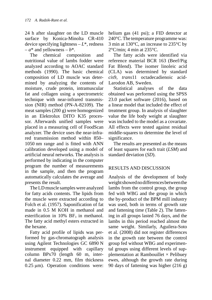24 h after slaughter on the LD muscle surface by Konica-Minolta CR-410 device specifying lightness – *L*\*, redness  $-a^*$  and yellowness  $-b^*$ .

The chemical composition and nutritional value of lambs fodder were analyzed according to AOAC standard methods (1990). The basic chemical composition of LD muscle was determined by analyzing the contents of moisture, crude protein, intramuscular fat and collagen using a spectrometric technique with near-infrared transmission (NIR) method (PN-A-82109). The meat samples (200 g) were homogenized in an Elektrolux DITO K35 processor. Afterwards unified samples were placed in a measuring cell of FoodScan analyzer. The device uses the near-infrared transmission method within 850– 1050 nm range and is fitted with ANN calibration developed using a model of artificial neural networks. The analysis is performed by indicating in the computer program the number of measurements in the sample, and then the program automatically calculates the average and presents the result.

The LD muscle samples were analyzed for fatty acids contents. The lipids from the muscle were extracted according to Folch et al. (1957). Saponification of fat made in 0.5 M KOH in methanol and esterification in 10%  $BF<sub>3</sub>$  in methanol. The fatty acid methyl esters extracted in the hexane.

Fatty acid profile of lipids was performed by gas-chromatograph analysis using Agilent Technologies GC 6890 N instrument equipped with capillary column BPx70 (length 60 m, internal diameter 0.22 mm, film thickness 0.25 μm). Operation conditions were: helium gas (41 psi); a FID detector at 240°C. The temperature programme was: 3 min at 130°C, an increase to 235°C by  $2^{\circ}$ C/min: 4 min at  $235^{\circ}$ C.

The fatty acids were identified via reference material BCR 163 (Beef/Pig Fat Blend). The isomer linoleic acid (CLA) was determined by standard *cis*9, *trans*11 octadecadienoic acid-Larodon AB, Sweden.

Statistical analyses of the data obtained was performed using the SPSS 23.0 packet software (2016), based on a linear model that included the effect of treatment group. In analysis of slaughter value the life body weight at slaughter was included to the model as a covariate. All effects were tested against residual middle-squares to determine the level of significance.

The results are presented as the means of least squares for each trait (*LSM*) and standard deviation (*SD*).

## RESULTS AND DISCUSSION

Analysis of the development of body weight showed no differences between the lambs from the control group, the group fed with WBG and the group in which the by-product of the BPM mill industry was used, both in terms of growth rate and fattening time (Table 2). The fattening in all groups lasted 76 days, and the lambs in this period reached almost the same weight. Similarly, Aguilera-Soto et al. (2008) did not register differences in the growth rate between the control group fed without WBG and experimental groups using different levels of supplementation at Rambouillet  $\times$  Pelibuey ewes, although the growth rate during 90 days of fattening was higher (216 g)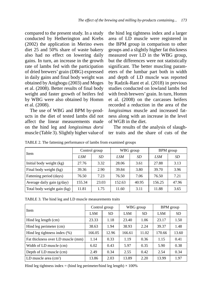compared to the present study. In a study conducted by Hetherington and Krebs (2002) the application in Merino ewes diet 25 and 50% share of waste bakery also had no effect on lowering daily gains. In turn, an increase in the growth rate of lambs fed with the participation of dried brewers' grain (DBG) expressed in daily gains and final body weight was obtained by Anigbogu (2003) and Moges et al. (2008). Better results of final body weight and faster growth of heifers fed by WBG were also obtained by Homm et al. (2008).

The use of WBG and BPM by-products in the diet of tested lambs did not affect the linear measurements made on the hind leg and *longissimus dorsi* muscle (Table 3). Slightly higher value of the hind leg tightness index and a larger area of LD muscle were registered in the BPM group in comparison to other groups and a slightly higher fat thickness measured over LD in the WBG group, but the differences were not statistically significant. The better muscling parameters of the lumbar part both in width and depth of LD muscle was reported by Radzik-Rant et al. (2018) in previous studies conducted on lowland lambs fed with fresh brewers' grain. In turn, Homm et al. (2008) on the carcasses heifers recorded a reduction in the area of the *longissimus* muscle and increased fatness along with an increase in the level of WGB in the diet.

The results of the analysis of slaughter traits and the share of cuts of the

| Item                        | Control group |       |        | WBG group | BPM group |       |
|-----------------------------|---------------|-------|--------|-----------|-----------|-------|
|                             | LSM           | SD    | LSM    | SD        | LSM       | SD    |
| Initial body weight (kg)    | 27.76         | 3.32  | 28.06  | 3.61      | 27.88     | 3.13  |
| Final body weight (kg)      | 39.36         | 2.90  | 39.84  | 3.80      | 39.70     | 3.96  |
| Fattening period (days)     | 76.50         | 7.23  | 76.50  | 7.06      | 76.50     | 7.21  |
| Average daily gain (g/day)  | 155.34        | 23.03 | 152.63 | 40.95     | 156.25    | 47.96 |
| Total body weight gain (kg) | 11.81         | 1.75  | 11.60  | 3.11      | 11.88     | 3.65  |

TABLE 2. The fattening performance of lambs from examined groups

TABLE 3. The hind leg and LD muscle measurements traits

| Item                              | Control group |           |        | WBG group | BPM group  |           |
|-----------------------------------|---------------|-----------|--------|-----------|------------|-----------|
|                                   | <b>LSM</b>    | <b>SD</b> | LSM    | <b>SD</b> | <b>LSM</b> | <b>SD</b> |
| Hind leg length (cm)              | 23.33         | 1.18      | 23.40  | 1.06      | 23.17      | 1.50      |
| Hind leg perimeter (cm)           | 38.63         | 1.94      | 38.93  | 2.24      | 39.37      | 1.48      |
| Hind leg tightness index $(\%)$   | 166.05        | 12.96     | 166.61 | 11.02     | 170.66     | 13.60     |
| Fat thickness over LD muscle (mm) | 1.14          | 0.33      | 1.19   | 0.36      | 1.15       | 0.41      |
| Width of LD muscle (cm)           | 6.02          | 0.43      | 5.97   | 0.35      | 5.90       | 0.38      |
| Depth of LD muscle (cm)           | 2.49          | 0.34      | 2.55   | 0.42      | 2.54       | 0.34      |
| LD muscle area $(cm2)$            | 13.86         | 2.03      | 13.89  | 2.20      | 13.99      | 1.97      |

Hind leg tightness index = (hind leg perimeter/hind leg length)  $\times$  100%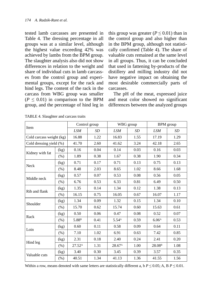tested lamb carcasses are presented in Table 4. The dressing percentage in all groups was at a similar level, although the highest value exceeding 42% was achieved by lambs from the BPM group. The slaughter analysis also did not show differences in relation to the weight and share of individual cuts in lamb carcasses from the control group and experimental groups, except for the rack and hind legs. The content of the rack in the carcass from WBG group was smaller  $(P \leq 0.01)$  in comparison to the BPM group, and the percentage of hind leg in this group was greater ( $P \leq 0.01$ ) than in the control group and also higher than in the BPM group, although not statistically confirmed (Table 4). The share of valuable cuts remained at the same level in all groups. Thus, it can be concluded that used in fattening by-products of the distillery and milling industry did not have negative impact on obtaining the most desirable commercially parts of carcasses.

The pH of the meat, expressed juice and meat color showed no significant differences between the analyzed groups

| Item                     |         |                    | Control group |                    | WBG group | <b>BPM</b> group   |           |
|--------------------------|---------|--------------------|---------------|--------------------|-----------|--------------------|-----------|
|                          |         |                    | <b>SD</b>     | <b>LSM</b>         | <b>SD</b> | <b>LSM</b>         | <b>SD</b> |
| Cold carcass weight (kg) |         | 16.88              | 1.22          | 16.83              | 1.55      | 17.19              | 1.29      |
| Cold dressing yield (%)  |         | 41.70              | 2.60          | 41.62              | 3.24      | 42.18              | 2.65      |
|                          | (kg)    | 0.16               | 0.04          | 0.14               | 0.03      | 0.16               | 0.03      |
| Kidney with fat          | $(\% )$ | 1.89               | 0.38          | 1.67               | 0.38      | 1.90               | 0.34      |
| Neck                     | (kg)    | 0.71               | 0.17          | 0.71               | 0.13      | 0.75               | 0.13      |
|                          | (% )    | 8.48               | 2.03          | 8.65               | 1.02      | 8.66               | 1.68      |
| Middle neck              | (kg)    | 0.57               | 0.07          | 0.53               | 0.08      | 0.56               | 0.05      |
|                          | $(\%)$  | 6.76               | 0.53          | 6.33               | 0.81      | 6.49               | 0.50      |
| Rib and flank            | (kg)    | 1.35               | 0.14          | 1.34               | 0.12      | 1.38               | 0.13      |
|                          | (% )    | 16.15              | 0.75          | 16.05              | 0.67      | 16.07              | 1.17      |
| Shoulder                 | (kg)    | 1.34               | 0.09          | 1.32               | 0.15      | 1.34               | 0.10      |
|                          | $(\%)$  | 15.70              | 0.62          | 15.74              | 0.60      | 15.63              | 0.61      |
| Rack                     | (kg)    | 0.50               | 0.06          | 0.47               | 0.08      | 0.52               | 0.07      |
|                          | (% )    | 5.88 <sup>B</sup>  | 0.41          | 5.54 <sup>A</sup>  | 0.59      | 6.06 <sup>A</sup>  | 0.53      |
| Loin                     | (kg)    | 0.60               | 0.11          | 0.58               | 0.09      | 0.64               | 0.11      |
|                          | (% )    | 7.10               | 1.02          | 6.91               | 0.63      | 7.42               | 0.85      |
|                          | (kg)    | 2.31               | 0.18          | 2.40               | 0.24      | 2.41               | 0.20      |
| Hind leg                 | (% )    | $27.52^{\text{A}}$ | 1.31          | 28.67 <sup>A</sup> | 1.00      | 28.08 <sup>B</sup> | 1.08      |
| Valuable cuts            | (kg)    | 3.40               | 0.30          | 3.45               | 0.39      | 3.57               | 0.35      |
|                          | $(\%)$  | 40.51              | 1.34          | 41.13              | 1.36      | 41.55              | 1.56      |

TABLE 4. Slaughter and carcass traits

Within a row, means denoted with same letters are statistically different a,  $p \le 0.05$ ; A, B  $P \le 0.01$ .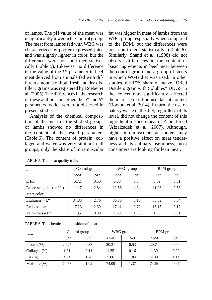of lambs. The pH value of the meat was insignificantly lower in the control group. The meat from lambs fed with WBG was characterized by poorer expressed juice and was slightly lighter in color, but the differences were not confirmed statistically (Table 5). Likewise, no difference in the value of the *L*\* parameter in beef meat derived from animals fed with different amounts of both fresh and dry distillery grains was registered by Roeber et al. (2005). The differences in the research of these authors concerned the *a*\* and *b*\* parameters, which were not observed in present studies.

Analysis of the chemical composition of the meat of the studied groups of lambs showed no differences in the content of the tested parameters (Table 6). The content of protein, collagen and water was very similar in all groups, only the share of intramuscular fat was higher in meat of lambs from the WBG group, especially when compared to the BPM, but the differences were not confirmed statistically (Table 6). Similarly, Shand et al. (1998) did not observe differences in the content of basic ingredients in beef meat between the control group and a group of steers in which WGB diet was used. In other studies, the 15% share of maize "Dried Distilers grain with Solubles" DDGS in the concentrate significantly affected the increase in intramuscular fat content (Borzuta et al. 2014). In turn, the use of bakery waste in the diet, regardless of its level, did not change the content of this ingredient in sheep meat of Zandi breed (Afzalzadeh et al. 2007). Although, higher intramuscular fat content may have a positive effect on meat tenderness and its culinary usefulness, most consumers are looking for lean meat.

| Item                                     | Control group |      |       | WBG group | BPM group  |           |
|------------------------------------------|---------------|------|-------|-----------|------------|-----------|
|                                          | <b>LSM</b>    | SD   | LSM   | SD        | <b>LSM</b> | <b>SD</b> |
| $pH_{24h}$                               | 5.72          | 0.50 | 5.80  | 0.57      | 5.89       | 0.31      |
| Expressed juice $\text{cm}^2/\text{g}$ ) | 11.17         | 2.84 | 12.56 | 4.34      | 11.03      | 2.58      |
| Meat color                               |               |      |       |           |            |           |
| Lightness $-L^*$                         | 34.83         | 2.76 | 36.30 | 3.18      | 35.82      | 3.64      |
| Redness – $a^*$                          | 17.23         | 2.69 | 17.41 | 2.70      | 16.15      | 2.17      |
| Yelowness $-b^*$                         | 1.35          | 0.99 | 1.38  | 1.08      | 1.35       | 0.81      |

| TABLE 5. The meat quality traits |  |  |  |  |
|----------------------------------|--|--|--|--|
|----------------------------------|--|--|--|--|

TABLE 6. The chemical composition of meat

| Item            | Control group |      |       | WBG group | BPM group |      |
|-----------------|---------------|------|-------|-----------|-----------|------|
|                 | LSM           | SD.  | LSM   | SD        | LSM       | SD   |
| Protein $(\%)$  | 20.25         | 0.33 | 20.31 | 0.53      | 20.74     | 0.94 |
| Collagen (%)    | 1.31          | 0.11 | 1.35  | 0.16      | 1.39      | 0.29 |
| Fat $(\%)$      | 4.64          | 1.26 | 5.06  | 1.84      | 4.00      | 1.14 |
| Moisture $(\%)$ | 74.53         | 1.02 | 74.09 | 1.37      | 74.68     | 0.97 |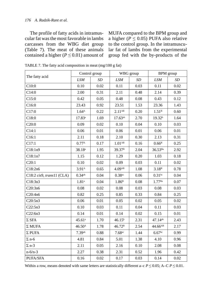The profile of fatty acids in intramuscular fat was the most favorable in lambs carcasses from the WBG diet group (Table 7). The meat of these animals contained a higher ( $P \le 0.01$ ) amount of

MUFA compared to the BPM group and a higher ( $P \le 0.05$ ) PUFA also relative to the control group. In the intramuscular fat of lambs from the experimental group fed with the by-products of the

|                           |                      | Control group | WBG group            |      | <b>BPM</b> group    |          |
|---------------------------|----------------------|---------------|----------------------|------|---------------------|----------|
| The fatty acid            | <b>LSM</b>           | <b>SD</b>     | <b>LSM</b>           | SD   | <b>LSM</b>          | SD       |
| C10:0                     | 0.10                 | 0.02          | 0.11                 | 0.03 | 0.11                | 0.02     |
| C14:0                     | 2.00                 | 0.31          | 2.11                 | 0.48 | 2.14                | 0.39     |
| C15:0                     | 0.42                 | 0.05          | 0.48                 | 0.08 | 0.43                | 0.12     |
| C16:0                     | 23.43                | 0.92          | 23.51                | 1.53 | 23.36               | 1.43     |
| C17:0                     | 1.64 <sup>A</sup>    | 0.22          | $2.11^{AB}$          | 0.20 | 1.51 <sup>B</sup>   | 0.60     |
| C18:0                     | $17.83^{a}$          | 1.69          | $17.63^{ab}$         | 2.70 | 19.32 <sup>b</sup>  | 1.64     |
| C20:0                     | 0.09                 | 0.02          | 0.10                 | 0.04 | 0.10                | 0.03     |
| C14:1                     | 0.06                 | 0.01          | 0.06                 | 0.01 | 0.06                | 0.01     |
| C16:1                     | 2.11                 | 0.18          | 2.10                 | 0.30 | 2.13                | 0.31     |
| C17:1                     | 0.77 <sup>A</sup>    | 0.17          | 1.01 <sub>AB</sub>   | 0.16 | 0.66 <sup>B</sup>   | 0.25     |
| C18:1n9                   | $38.18^{a}$          | 1.95          | 39.37 <sup>B</sup>   | 2.04 | $36.53^{Ba}$        | 2.92     |
| C18:1n7                   | 1.15                 | 0.12          | 1.29                 | 0.20 | 1.03                | 0.18     |
| C20:1                     | 0.10                 | 0.02          | 0.09                 | 0.03 | 0.11                | 0.02     |
| C18:2n6                   | 3.91 <sup>A</sup>    | 0.65          | 4.09AB               | 1.08 | 3.18 <sup>B</sup>   | 0.78     |
| C18:2 cis9, trans11 (CLA) | $0.34$ <sup>ab</sup> | 0.04          | $0.38$ <sub>ac</sub> | 0.06 | $0.31$ bc           | 0.04     |
| C18:3n3                   | 1.81 <sup>a</sup>    | 0.04          | 1.86 <sup>B</sup>    | 0.08 | 1.77 <sup>Ba</sup>  | 0.07     |
| C20:3n6                   | 0.08                 | 0.02          | 0.08                 | 0.03 | 0.08                | 0.03     |
| C20:4n6                   | 0.82                 | 0.25          | 0.85                 | 0.33 | 0.84                | 0.25     |
| C20:5n3                   | 0.06                 | 0.01          | 0.05                 | 0.02 | 0.05                | $0.02\,$ |
| C22:5n3                   | 0.10                 | 0.03          | 0.11                 | 0.04 | 0.11                | 0.03     |
| C22:6n3                   | 0.14                 | 0.01          | 0.14                 | 0.02 | 0.15                | 0.01     |
| $\Sigma$ SFA              | 45.61a               | 1.70          | $46.15^{b}$          | 2.31 | 47.14 <sup>ab</sup> | 2.43     |
| $\Sigma$ MUFA             | 46.50 <sup>A</sup>   | 1.78          | 46.72 <sup>B</sup>   | 2.54 | $44.66^{AB}$        | 2.17     |
| $\Sigma$ PUFA             | 7.39a <sub>b</sub>   | 0.88          | $7.68$ <sub>ac</sub> | 1.44 | 6.67 <sup>bc</sup>  | 0.99     |
| $\Sigma$ n-6              | 4.81                 | 0.84          | 5.01                 | 1.38 | 4.10                | 0.96     |
| $\Sigma$ n-3              | 2.11                 | 0.05          | 2.16                 | 0.10 | 2.08                | 0.08     |
| $n - 6/n - 3$             | 2.27                 | 0.38          | 2.31                 | 0.52 | 1.96                | 0.42     |
| <b>PUFA/SFA</b>           | 0.16                 | 0.02          | 0.17                 | 0.03 | 0.14                | 0.02     |

TABLE 7. The fatty acid composition in meat (mg/100 g fat)

Within a row, means denoted with same letters are statistically different a–c  $P \le 0.05$ ; A–C  $P \le 0.01$ .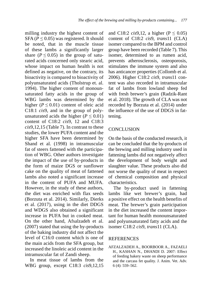milling industry the highest content of SFA ( $P \le 0.05$ ) was registered. It should be noted, that in the muscle tissue of these lambs a significantly larger share ( $P \leq 0.05$ ) in the group of saturated acids concerned only stearic acid, whose impact on human health is not defined as negative, on the contrary, its bioactivity is compared to bioactivity of polyunsaturated acids (Tholstrup et. al. 1994). The higher content of monounsaturated fatty acids in the group of WBG lambs was determined by the higher ( $P \le 0.01$ ) content of oleic acid C18:1 *cis*9, and in the group of polyunsaturated acids the higher ( $P \le 0.01$ ) content of C18:2 *cis*9, 12 and C18:3 *cis*9,12,15 (Table 7). In contrast to these studies, the lower PUFA content and the higher SFA have been determined by Shand et al. (1998) in intramuscular fat of steers fattened with the participation of WBG. Other authors investigate the impact of the use of by-products in the form of maize DGS or sunflower cake on the quality of meat of fattened lambs also noted a significant increase in the content of PUFA and MUFA. However, in the study of these authors, the diet was enriched with flax seeds (Borzuta et al. 2014). Similarly, Dierks et al. (2017), using in the diet DDGS and WDGS also obtained a significant increase in PUFA but in cooked meat. On the other hand, Afsalzadeh et al. (2007) stated that using the by-products of the baking industry did not affect the level of C16:0 content which is one of the main acids from the SFA group, but increased the linoleic acid content in the intramuscular fat of Zandi sheep.

In meat tissue of lambs from the WBG group, except C18:3 *cis*9,12,15

and C18:2 *cis*9,12, a higher ( $P \le 0.05$ ) content of C18:2 *cis*9, *trans*11 (CLA) isomer compared to the BPM and control group have been recorded (Table 7). This isomer, determined to as rumen acid, prevents atherosclerosis, osteoporosis, stimulates the immune system and also has anticancer properties (Collomb et al. 2006). Higher C18:2 *cis*9, *trans*11 content was also recorded in intramuscular fat of lambs from lowland sheep fed with fresh brewer's grain (Radzik-Rant et al. 2018). The growth of CLA was not recorded by Borzuta et al. (2014) under the influence of the use of DDGS in fattening.

#### **CONCLUSION**

On the basis of the conducted research, it can be concluded that the by-products of the brewing and milling industry used in fattening lambs did not negatively affect the development of body weight and slaughter value. These products also did not worse the quality of meat in respect of chemical composition and physical characteristics.

The by-product used in fattening lambs like wet brewer's grain, had a positive effect on the health benefits of meat. The brewer's grain participation in the diet increased the content important for human health monounsaturated and polyunsaturated fatty acids and the isomer C18:2 *cis*9, *trans*11 (CLA).

#### **REFERENCES**

AFZALZADEH A., BOORBOOR A., FAZAELI H., KASHAN N., DHANDI D. 2007: Effect of feeding bakery waste on sheep performance and the carcass fet quality. J. Anim. Vet. Adv. 6 (4): 559–562.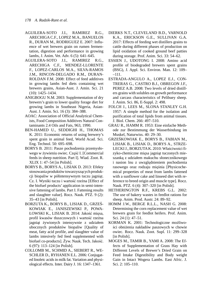- AGUILERA-SOTO J.I., RAMIREZ R.G., ARECHIGA C.F., LOPEZ M.A., BANUELOS R., DURAN M., RODRIGUEZ E. 2007: Influence of wet brewers grain on rumen fermentation, digestion and performance in growing lambs, J. Anim. Vet. Adv. 6 (5): 641–645.
- AGUILERA-SOTO J.I., RAMIREZ R.G., ARECHIGA C.F., MENDEZ-LLORENTE F., LOPEZ-CARLOS M.A., SILVA-RAMOS J.M., RINCON-DELGADO R.M., DURAN-ROLDAN F.M. 2008: Effect of feed additives in growing lambs fed diets containing wet brewers grains, Asian-Aust. J. Amin. Sci. 21 (10): 1425–1434.
- ANIGBOGU N.M. 2003: Supplementation of dry brewers's grain to lower quality forage diet for growing lambs in Southeast Nigeria, Asian-Aust. J. Amin. Sci. 16 (3): 384–388.
- AOAC: Association of Official Analytical Chemists, Food Composition Additives Natural Contaminants 2.4 Oils and Fats, 963, 1990.
- BEN-HAMED U., SEDDIGHI H., THOMAS K. 2011: Economic returns of using brewery's spent grain in animal feed, World Acad. Sci. Eng. Technol. 50: 695–698.
- BORYS B. 2011: Pasze pochodzenia przemysłowego w żywieniu owiec. Część I. [Commercial feeds in sheep nutrition. Part I]. Wiad. Zoot. R. XLIX 1: 47–54 [in Polish].
- BORYS B., BORYS A., LISIAK D. 2013: Efekty stosowania produktów towarzyszących produkcji biopaliw w półintensywnym tuczu jagniąt. Cz. I. Wyniki tuczu i wartość rzeźna [Effect of the biofuel products' application in semi-intensive fattening of lambs. Part I. Fattening results and slaughter value]. Rocz. Nauk. PTZ. 9 (2): 35–43 [in Polish].
- BORZUTA K., BORYS B., LISIAK D., GRZEŚ-KOWIAK E., JANISZEWSKI P., POWA-ŁOWSKI K., LISIAK B. 2014: Jakość mięsa, profil kwasów tłuszczowych i wartość rzeźna jagniąt żywionych intensywnie z udziałem ubocznych produktów biopaliw [Quality of meat, fatty acid profile, and slaughter value of lambs intesively fed feed supplemented with biofuel co-products]. Żyw. Nauk. Tech. Jakość. 6 (97): 113–124 [in Polish].
- COLLOMB M., SCHMID A., SIEBERT R., WE-SCHLER D., RYHANEN E.L. 2006: Conjugated linoleic acids in milk fat. Variation and physiological effects. Inter. Dairy J. 16: 1347–1361.
- DIERKS N.T., CLEVELAND B.D., VARNOLD K.A., ERICKSON G.E., SULLIVAN G.A. 2017: Effects of feeding wet distillers grains to cattle during different phases of production on lipid oxidation of cooked ground beef patties during storage. Prof. Anim. Sci. 33: 54–62.
- ESSIEN J., UDOTONG I. 2008: Amino acid profile of biodegraded brewers spent grains (BSG), J. Appl. Sci. Environ. Man. 12: 109– –111.
- ESTRADA-ANGULO A., LOPEZ E.J., CON-TRERAS G., CASTRO B.J., OBREGON J.F., PEREZ A.B. 2008: Two levels of dried distillers grains with solubles on growth performance and carcass characteristics of Pelibuey sheep. J. Anim. Sci. 86, E-Suppl. 2: 498.
- FOLCH J., LEES M., SLONA STANLEY G.H. 1957: A simple method for the isolation and purification of total lipids from animal tissues. J. Biol. Chem. 266: 497–510.
- GRAU R., HAMM R. 1953: Eine einfache Methode zur Bestimmung der Wasserbindung im Muskel, Naturwiss. 40: 29–30.
- GRZEŚKOWIAK E., BORYS B., FABIAN M., LISIAK B., LISIAK D., BORYS A., STRZE-LECKI J., BORZUTA K. 2010: Właściwości fizyko-chemiczne mięsa jagniąt tuczonych mieszanką z udziałem makuchu słonecznikowego i nasion lnu z uwzględnieniem pochodzenia rasowego oraz rodzaju mięśnia [Physicochemical properties of meat from lambs fattened with a sunflower cake and linseed diet with reference to breed origin and muscle type]. Rocz. Nauk. PTZ. 6 (4): 307–320 [in Polish].
- HETHERINGTON R.F., KREBS G.L. 2002: The use of bakery wastes in feedlot rations for sheep. Anim. Prod. Austr. 24: 89–92.
- HOMM J.W., BERGE R.L.L., NASH G. 2008: Determining the corn replacement value of wet brewers grain for feedlot heifers. Prof. Anim. Sci. 24 (1): 47–51.
- KORMAN K. 2001: Technologiczne możliwości obniżenia nakładów paszowych w chowie owiec. Rocz. Nauk. Zoot. Supl. 11: 299–328 [in Polish].
- MOGES M., TAMIR B., YAMI A. 2008: The Effects of Supplementation of Grass Hay with Different Levels of Brewer's Dried Grain on Feed Intake Digestibility and Body weight Gain in Intact Wogera Lambs. East Afric. J. Sci. 2: 105–110.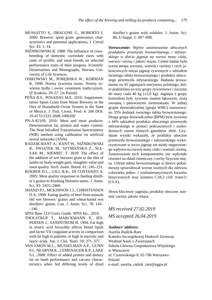- MUSSATTO S., DRAGONE G., ROBERTO I. 2006: Brewers' spent grain: generation, characteristics and potential applications, J. Cereal Sci. 43: 1–14.
- NIŻNIKOWSKI R. 1988: The Influence of crossbreeding of domestic corriedale ewes with rams of prolific and meat breeds on selected performance traits of their progeny, Scientific Dissertations and Monographs, Warsaw University of Life Sciences.
- OSIKOWSKI M., PORĘBSKA W., KORMAN K. 1998: Normy żywienia owiec. Normy żywienia bydła i owiec systemem tradycyjnym. IŻ Kraków, 29–57 [in Polish].
- PEÑA B.S., POSADAS M.E. 2016: Supplementation Spent Grain from Waste Brewery in the Diet of Household Ovine System in the State of Mexico. J. Fish. Livest. Prod. 4: 200 DOI: 10.4172/2332-2608.1000200
- PN-A-82109, 2010: Meat and meat products. Determination fat, protein and water content. The Near InfraRed Transmission Spectrometry (NIR) method using calibration on artificial neural networks (ANN).
- RADZIK-RANT A., RANT W., NIŻNIKOWSKI R., ŚWIĄTEK M., SZYMAŃSKA Ż., ŚLĘ-ZAK M., NIEMIEC T. 2018: The effect of the addition of wet brewers grain to the diet of lambs on body weight gain, slaughter value and meat quality. Arch. Anim. Breed. 61: 245–251.
- ROEBER D.L., GILL R.K., DI COSTANZO A. 2005: Meat quality responses to feeding distiller's grains to finishing Holstein steers. J. Anim. Sci. 83: 2455–2460.
- SHAND P.J., MCKINNON J.J., CHRISTENSEN D.A. 1998: Eating quality of beef from animals fed wet brewers' grains and wheat-based wet distillers' grains. Can. J. Anim. Sci. 78: 143– –146.
- SPSS Base 23.0 Users Guide. SPSS Inc., 2016.
- THOLSTRUP T., MARCKMANN P., JES-PERSEN J., SANDSTROM B. 1994: Fat high in stearic acid favorably affects blood lipids and factor VII coagulant activity in comparison with fat high in palmitic or high in myristic and lauric acids. Am. J. Clin. Nutri. 59: 371–377.
- VAN EMON M.L., MUSSELMAN A.F., GUNN P.J., NEARYM.K., LEMENAGER R.P., LAKE S.L. 2008: Effect of added protein and dietary fat on lamb performance and carcass characteristics when fed differing levels of dried

 distiller's grains with solubles. J. Anim. Sci. 86, E-Suppl. 2: 497–498.

**Streszczenie:** *Wpływ zastosowania ubocznych produktów przemysłu browarnianego i młynarskiego w diecie jagniąt na wzrost masy ciała, wartość rzeźną i jakość mięsa*. Celem badań była ocena tempa wzrostu, wartości rzeźnej i cech jakościowych mięsa jagniąt żywionych z udziałem świeżego młóta browarnianego i produktu ubocznego przemysłu młynarskiego. Badania prowadzono na 45 jagniętach merynosa polskiego, które podzielono na trzy grupy żywieniowe i tuczono do masy ciała 40 kg (±2,0 kg). Jagnięta z grupy kontrolnej były żywione sianem łąkowym, śrutą owsianą i parowanymi ziemniakami. W jednej grupie doświadczalnej (grupa WBG) zastosowano 35% dodatek świeżego młóta browarnianego. Druga grupa doświadczalna (BPM) była żywiona z 44% udziałem produktu ubocznego przemysłu młynarskiego w postaci pokruszonych i uszkodzonych ziaren różnych gatunków zbóż. Uzyskane wyniki wykazały, że produkty uboczne przemysłu browarnianego i młynarskiego wykorzystywane w tuczu jagniąt nie miały negatywnego wpływu na rozwój masy ciała i wartość rzeźną. Zastosowanie tych komponentów nie wpłynęło również na skład chemiczny i cechy fizyczne mięsa. Udział młóta browarnianego w dawce pokarmowej spowodował wzrost ważnych dla zdrowia człowieka jedno- i wielonienasyconych kwasów tłuszczowych oraz izomeru C18:2 *cis*9, *trans*11  $(CLA).$ 

*Słowa kluczowe*: jagnięta, produkty uboczne, wartość rzeźna, jakość mięsa

*MS received 27.02.2019 MS accepted 26.04.2019*

#### **Authors' address:**

Aurelia Radzik-Rant Katedra Szczegółowej Hodowli Zwierząt Wydział Nauk o Zwierzętach Szkoła Główna Gospodarstwa Wiejskiego w Warszawie ul. Ciszewskiego 8, 02-786 Warszawa Poland e-mail: aurelia\_radzik\_rant@sggw.pl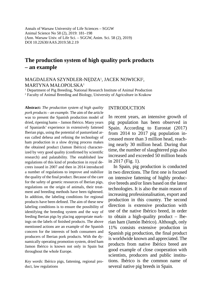Annals of Warsaw University of Life Sciences – SGGW Animal Science No 58 (2), 2019: 181–198 (Ann. Warsaw Univ. of Life Sci. – SGGW, Anim. Sci. 58 (2), 2019) DOI 10.22630/AAS.2019.58.2.19

# **The production system of high quality pork products – an example**

#### MAGDALENA SZYNDLER-NĘDZA1 , JACEK NOWICKI2 , MARTYNA MAŁOPOLSKA1

<sup>1</sup> Department of Pig Breeding, National Research Institute of Animal Production

2 Faculty of Animal Breeding and Biology, University of Agriculture in Krakow

**Abstract:** *The production system of high quality pork products – an example.* The aim of the article was to present the Spanish production model of dried, ripening hams – Jamon Ibérico. Many years of Spaniards' experience in extensively fattened Iberian pigs, using the potential of pastureland areas called dehesa and refining the technology of ham production in a slow drying process makes the obtained product (Jamon Ibérico) characterized by very good quality (confirmed by scientific research) and palatability. The established law regulations of this kind of production in royal decrees issued in 2007 and then in 2014 introduced a number of regulations to improve and stabilize the quality of the final product. Because of the care for the safety of genetic resources of Iberian pigs, regulations on the origin of animals, their treatment and breeding methods have been tightened. In addition, the labeling conditions for regional products have been defined. The aim of these new labeling conditions is to ensure the possibility of identifying the breeding system and the way of feeding Iberian pigs by placing appropriate markings on the labels of finished products. The above mentioned actions are an example of the Spanish concern for the interests of both consumers and producers of Iberian pork products. With the dynamically operating promotion system, dried ham Jamon Ibérico is known not only in Spain but throughout the whole Europe.

*Key words*: Ibérico pigs, fattening, regional product, law regulations

#### INTRODUCTION

In recent years, an intensive growth of pig population has been observed in Spain. According to Eurostat (2017) from 2014 to 2017 pig population increased more than 3 million head, reaching nearly 30 million head. During that time, the number of slaughtered pigs also increased and exceeded 50 million heads in 2017 (Fig. 1).

In Spain, pig production is conducted in two directions. The first one is focused on intensive fattening of highly productive breeds and/or lines based on the latest technologies. It is also the main reason of increasing professionalisation, export and production in this country. The second direction is extensive production with use of the native Ibérico breed, in order to obtain a high-quality product – Iberian ham (Jamón Ibérico). Although, only 11% consists extensive production in Spanish pig production, the final product is worldwide known and appreciated. The products from native Ibérico breed are good example of close cooperation with scientists, producers and public institutions. Ibérico is the common name of several native pig breeds in Spain.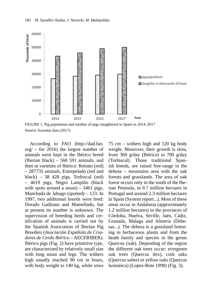

FIGURE 1. Pig population and number of pigs slaughtered in Spain in 2014–2017 Source: Eurostat data (2017).

According to FAO (http://dad.fao. org/ – for 2016) the largest number of animals were kept in the Ibérico breed (Iberian black) – 560 591 animals, and then in varieties of Ibérico: Retinto (red) – 287735 animals, Entrepelado (red and black) – 38 428 pigs, Torbiscal (red) – 4619 pigs, Negro Lampiño (black with spots around a snout)  $-3461$  pigs, Manchada de Jabugo (spotted) – 123. In 1997, two additional breeds were bred: Dorado Gaditano and Mamellado, but at present its number is unknown. The supervision of breeding herds and certification of animals is carried out by the Spanish Association of Iberian Pig Breeders (*Asociación Española de Criadores de Cerdo Ibérico* – AECERIBER). Ibérico pigs (Fig. 2) have primitive type, are characterized by relatively small size with long snout and legs. The withers high usually reached 90 cm in boars, with body weight to 140 kg, while sows 75 cm – withers high and 120 kg body weight. Moreover, their growth is slow, from 360 g/day (Ibérico) to 700 g/day (Torbiscal). Those traditional Spanish breeds, are raised free-range in the dehesa – mountains area with the oak forests and grasslands. The area of oak forest occurs only in the south of the Iberian Penisula, in 0.7 million hectares in Portugal and around 2.3 million hectares in Spain (System report...). Most of these areas occur in Andalusia (approximately 1.2 million hectares) in the provinces of Córdoba, Huelva, Seville, Jaén, Cádiz, Granada, Malaga and Almería (Dehesas...). The dehesa is a grassland featuring in herbaceous plants and from the heath family and species in the genus Quercus (oak). Depending of the region the different oak trees occur: evergreen oak trees (Quercus ilex), cork oaks (Quercus suber) or yellow oaks (Quercus lusitanica) (Lopez-Bote 1998) (Fig. 3).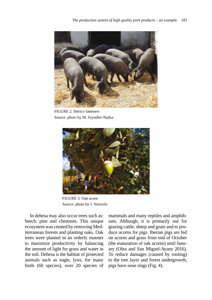

FIGURE 2. Ibérico fatteners Source: photo by M. Szyndler-Nędza



FIGURE 3. Oak acorn Source: photo by J. Nowicki

In dehesa may also occur trees such as: beech, pine and chestnuts. This unique ecosystem was created by removing Mediterranean forests and planting oaks. Oak trees were planted in an orderly manner to maximize productivity by balancing the amount of light for grass and water in the soil. Dehesa is the habitat of protected animals such as eagle, lynx, for many birds (60 species), over 20 species of mammals and many reptiles and amphibians. Although, it is primarily use for grazing cattle, sheep and goats and to produce acorns for pigs. Iberian pigs are fed on acorns and grass from end of October (the maturation of oak acorns) until January (Olea and San Miguel-Ayanz 2016). To reduce damages (caused by rooting) to the tree layer and forest undergrowth, pigs have nose rings (Fig. 4).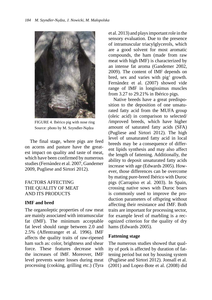

FIGURE 4. Ibérico pig with nose ring Source: photo by M. Szyndler-Nędza

The final stage, where pigs are feed on acorns and pasture have the greatest impact on quality and taste of meat, which have been confirmed by numerous studies (Fernàndez et al. 2007, Gandemer 2009, Pugliese and Sirtori 2012).

## FACTORS AFFECTING THE QUALITY OF MEAT AND ITS PRODUCTS

## **IMF and bred**

The organoleptic properties of raw meat are mainly associated with intramuscular fat (IMF). The minimum acceptable fat level should range between 2.0 and 2.5% (Affentranger et al. 1996). IMF affects the quality traits of raw-ripened ham such as: color, brightness and shear force. These features decrease with the increases of IMF. Moreover, IMF level prevents water losses during meat processing (cooking, grilling etc.) (Tyra et al. 2013) and plays important role in the sensory evaluation. Due to the presence of intramuscular triacylglycerols, which are a good solvent for most aromatic compounds, the ham (made from raw meat with high IMF) is characterized by an intense fat aroma (Gandemer 2002, 2009). The content of IMF depends on bred, sex and varies with pig' growth. Fernàndez et al. (2007) showed vide range of IMF in longissimus muscles from 3.27 to 29.21% in Ibérico pigs.

Native breeds have a great predisposition to the deposition of one unsaturated fatty acid from the MUFA group (oleic acid) in comparison to selected/ /improved breeds, which have higher amount of saturated fatty acids (SFA) (Pugliese and Sirtori 2012). The high level of unsaturated fatty acid in local breeds may be a consequence of different lipids synthesis and may also affect the length of fattening. Additionally, the ability to deposit unsaturated fatty acids increase with age (Edwards 2005). However, those differences can be overcome by mating pure-breed Ibérico with Duroc pigs (Carrapiso et al. 2003). In Spain, crossing native sows with Duroc boars is commonly used to improve the production parameters of offspring without affecting their resistance and IMF. Both traits are important for processing sector, for example level of marbling is a recognized criterion for the quality of dry hams (Edwards 2005).

## **Fattening stage**

The numerous studies showed that quality of pork is affected by duration of fattening period but not by housing system (Pugliese and Sirtori 2012). Jonsall et al. (2001) and Lopez-Bote et al. (2008) did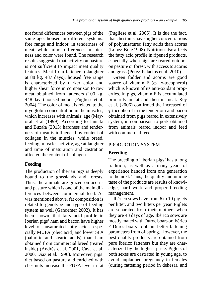not found differences between pigs of the same age, housed in different systems: free range and indoor, in tenderness of meat, while minor differences in juiciness and color were found. The research results suggested that activity on pasture is not sufficient to impact meat quality features. Meat from fatteners (slaughter at 88 kg, 487 days), housed free range is characterized by darker color and higher shear force in comparison to raw meat obtained from fatteners (100 kg, 448 days) housed indoor (Pugliese et al. 2004). The color of meat is related to the myoglobin concentration in the muscles, which increases with animals' age (Mayoral et al (1999). According to Janicki and Buzała (2013) hardness and tenderness of meat is influenced by content of collagen in the muscles, while breed, feeding, muscles activity, age at laughter and time of maturation and castration affected the content of collagen.

## **Feeding**

The production of Iberian pigs is deeply bound to the grasslands and forests. Thus, the animals are grazed on acorns and pasture which is one of the main differences between commercial feed. As was mentioned above, fat composition is related to genotype and type of feeding system as well (Gandemer 2002). It has been shown, that fatty acid profile in Iberian pigs' ham and bacon have higher level of unsaturated fatty acids, especially MUFA (oleic acid) and lower SFA (palmitic and stearic acids) than ham obtained from commercial breed (reared inside) (Andrés et al. 2001, Cava et al. 2000, Dìaz et al. 1996). Moreover, pigs' diet based on pasture and enriched with chestnuts increase the PUFA level in fat (Pugliese et al. 2005). It is due the fact, that chestnuts have higher concentrations of polyunsatured fatty acids than acorns (Lopez-Bote 1998). Nutrition also affects the fatty acid profile in ripened products, especially when pigs are reared outdoor on pasture or forest, with access to acorns and grass (Pérez-Palacios et al. 2010).

Green fodder and acorns are good source of vitamin E ( $α$ -i γ-tocopherol) which is known of its anti-oxidant properties. In pigs, vitamin E is accumulated primarily in fat and then in meat. Rey et al. (2006) confirmed the increased of γ-tocopherol in the tenderloin and bacon obtained from pigs reared in extensively system, in comparison to pork obtained from animals reared indoor and feed with commercial feed.

## PRODUCTION SYSTEM

## **Breeding**

The breeding of Iberian pigs' has a long tradition, as well as a many years of experience handed from one generation to the next. Thus, the quality and unique taste of the products are results of knowledge, hard work and proper breeding management.

Ibérico sows have from 6 to 10 piglets per litter, and two litters per year. Piglets are separated from their mothers when they are 43 days of age. Ibérico sows are mostly mated with Duroc boars or Ibérico  $\times$  Duroc boars to obtain better fattening parameters from offspring. However, the best quality products are obtained from pure Ibérico fatteners but they are characterized by the highest price. Piglets of both sexes are castrated in young age, to avoid unplanned pregnancy in females (during fattening period in dehesa), and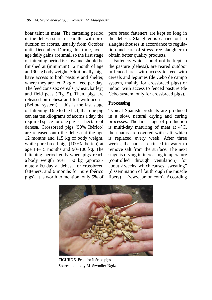boar taint in meat. The fattening period in the dehesa starts in parallel with production of acorns, usually from October until December. During this time, average daily gains are small so the first stage of fattening period is slow and should be finished at (minimum) 12 month of age and 90 kg body weight. Additionally, pigs have access to both pasture and shelter, where they are fed 2 kg of feed per day. The feed consists: cereals (wheat, barley) and field peas (Fig. 5). Then, pigs are released on dehesa and fed with acorns (Bellota system) – this is the last stage of fattening. Due to the fact, that one pig can eat ten kilograms of acorns a day, the required space for one pig is 1 hectare of dehesa. Crossbreed pigs (50% Ibérico) are released onto the dehesa at the age 12 months and 115 kg of body weight, while pure breed pigs (100% Ibérico) at age 14–15 months and 90–100 kg. The fattening period ends when pigs reach a body weigth over 150 kg (approximately 60 day at dehesa for crossbreed fatteners, and 6 months for pure Ibérico pigs). It is worth to mention, only 5% of pure breed fatteners are kept so long in the dehesa. Slaughter is carried out in slaughterhouses in accordance to regulation and care of stress-free slaughter to obtain better quality products.

Fatteners which could not be kept in the pasture (dehesa), are reared outdoor in fenced area with access to feed with cereals and legumes (de Cebo de campo system, mainly for crossbreed pigs) or indoor with access to fenced pasture (de Cebo system, only for crossbreed pigs).

#### **Processing**

Typical Spanish products are produced in a slow, natural drying and curing processes. The first stage of production is multi-day maturing of meat at  $4^{\circ}C$ , then hams are covered with salt, which is replaced every week. After three weeks, the hams are rinsed in water to remove salt from the surface. The next stage is drying in increasing temperature (controlled through ventilation) for about 2 weeks, which causes "sweating" (dissemination of fat through the muscle fibers) – (www.jamon.com). According



FIGURE 5. Feed for Ibérico pigs Source: photo by M. Szyndler-Nędza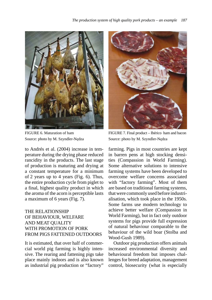

FIGURE 6. Maturation of ham Source: photo by M. Szyndler-Nędza

to Andrés et al. (2004) increase in temperature during the drying phase reduced rancidity in the products. The last stage of production is maturing and drying at a constant temperature for a minimum of 2 years up to 4 years (Fig. 6). Thus, the entire production cycle from piglet to a final, highest quality product in which the aroma of the acorn is perceptible lasts a maximum of 6 years (Fig. 7).

## THE RELATIONSHIP OF BEHAVIOUR, WELFARE AND MEAT QUALITY WITH PROMOTION OF PORK FROM PIGS FATTENED OUTDOORS

It is estimated, that over half of commercial world pig farming is highly intensive. The rearing and fattening pigs take place mainly indoors and is also known as industrial pig production or "factory"



FIGURE 7. Final product – Ibérico ham and bacon Source: photo by M. Szyndler-Nędza

farming. Pigs in most countries are kept in barren pens at high stocking densities (Compassion in World Farming). Some alternative solutions to intensive farming systems have been developed to overcome welfare concerns associated with "factory farming". Most of them are based on traditional farming systems, that were commonly used before industrialisation, which took place in the 1950s. Some farms use modern technology to achieve better welfare (Compassion in World Farming), but in fact only outdoor systems for pigs provide full expression of natural behaviour comparable to the behaviour of the wild boar (Stolba and Wood-Gush 1989).

Outdoor pig production offers animals increased environmental diversity and behavioural freedom but imposes challenges for breed adaptation, management control, biosecurity (what is especially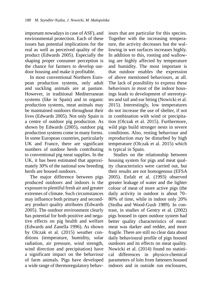important nowadays in case of ASF), and environmental protection. Each of these issues has potential implications for the real as well as perceived quality of the product (Edwards 2005). Especially the shaping proper consumer perception is the chance for farmers to develop outdoor housing and make it profitable.

In most conventional Northern European production systems, only adult and suckling animals are at pasture. However, in traditional Mediterranean systems (like in Spain) and in organic production systems, meat animals may be maintained outdoors throughout their lives (Edwards 2005). Not only Spain is a centre of outdoor pig production. As shown by Edwards (2005), outdoor pig production systems come in many forms. In some European countries, particularly UK and France, there are significant numbers of outdoor herds contributing to conventional pig meat supplies. In the UK, it has been estimated that approximately 30% of the national sow breeding herds are housed outdoors.

The major difference between pigs produced outdoors and indoors is the exposure to plentiful fresh air and greater extremes of climate. Such circumstances may influence both primary and secondary product quality attributes (Edwards 2005). The outdoor environment clearly has potential for both positive and negative effects on pig health and welfare (Edwards and Zanella 1996). As shown by Olczak et al. (2015) weather conditions (temperature, humidity, solar radiation, air pressure, wind strength, wind direction and precipitation) have a significant impact on the behaviour of farm animals. Pigs have developed a wide range of thermoregulatory behaviours that are particular for this species. Together with the increasing temperature, the activity decreases but the wallowing in wet surfaces increases highly. In addition to this, rooting and wallowing are highly affected by temperature and humidity. The most important is that outdoor enables the expression of above mentioned behaviours, at all. The lack of possibility to express these behaviours in most of the indoor housings leads to development of stereotypies and tail and ear biting (Nowicki et al. 2015). Interestingly, low temperatures do not increase the use of shelter, if not in combination with wind or precipitation (Olczak et al. 2015). Furthermore, wild pigs build stronger nests in severe conditions. Also, resting behaviour and reproduction may be disturbed by high temperature (Olczak et al. 2015) which is typical in Spain.

Studies on the relationship between housing system for pigs and meat quality characteristics were carried out, but their results are not homogenous (EFSA 2005). Enfalt et al. (1993) observed greater leakage of water and the lighter colour of meat of more active pigs (the daily activity in outdoor is about 70– 80% of time, while in indoor only 20% (Stolba and Wood-Gush 1989). In contrast, in studies of Gentry et al. (2002) pigs housed in open outdoor system had better quality characteristics of meat: meat was darker and redder, and more fragile. There are still no clear data about daily behavioural profile of pigs housed outdoors and its effects on meat quality. Nowicki et al. (2014) found no statistical differences in physico-chemical parameters of loin from fatteners housed indoors and in outside run enclosures,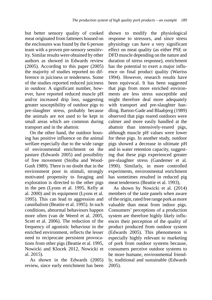but better sensory quality of cooked meat originated from fatteners housed on the enclosures was found by the 6 person team with a proven pre-sensory sensitivity. Similar results were obtained by other authors as showed in Edwards review (2005). According to this paper (2005) the majority of studies reported no difference in juiciness or tenderness. Some of the studies reported reduced juiciness in outdoor. A significant number, however, have reported reduced muscle pH and/or increased drip loss, suggesting greater susceptibility of outdoor pigs to pre-slaughter stress, probably because the animals are not used to be kept in small areas which are common during transport and in the abattoir.

On the other hand, the outdoor housing has positive influence on the animal welfare especially due to the wide range of environmental enrichment on the pasture (Edwards 2005) and possibility of free movement (Stolba and Wood-Gush 1989). There is no doubt that in the environment poor in stimuli, strongly motivated propensity to foraging and exploration is directed to the other pigs in the pen (Lyons et al. 1995, Kelly at al. 2000) and its equipment (Lyons et al. 1995). This can lead to aggression and cannibalism (Beattie et al. 1995). In such conditions, abnormal behaviours happen more often (van de Weerd et al. 2005, Scott et al. 2006). The reduction of the frequency of agonistic behaviour in the enriched environment, reflects the lesser need to reciprocate persistent provocations from other pigs (Beattie et al. 1995, Nowicki and Klocek 2012, Nowicki et al. 2015).

As shown in the Edwards (2005) review, since early enrichment has been shown to modify the physiological response to stressors, and since stress physiology can have a very significant effect on meat quality (as either PSE or DFD muscle depending on the nature and duration of stress response), enrichment has the potential to exert a major influence on final product quality (Warriss 1994). However, research results have been equivocal. It has been suggested that pigs from more enriched environments are less stress susceptible and might therefore deal more adequately with transport and pre-slaughter handling. Barton-Gade and Blaabjerg (1989) observed that pigs reared outdoors were calmer and more easily handled at the abattoir than intensively-reared pigs, although muscle pH values were lower for these pigs. In another study, outdoor pigs showed a decrease in ultimate pH and in water retention capacity, suggesting that these pigs experienced greater pre-slaughter stress (Gandemer et al. 1990). Similarly, in more controlled experiments, environmental enrichment has sometimes resulted in reduced pig meat tenderness (Beattie et al. 1993),

As shown by Nowicki et al. (2014) members of the taste panels when aware of the origin, rated free range pork as more valuable than meat from indoor pigs. Consumers' perceptions of a production system are therefore highly likely influences their perception of the quality of product produced from outdoor system (Edwards 2005). This phenomenon is especially highly relevant to marketing of pork from outdoor systems because, consumers perceive outdoor systems to be more humane, environmental friendly, traditional and sustainable (Edwards 2005).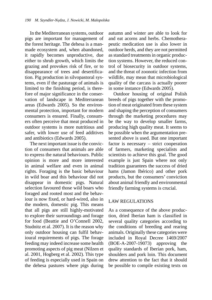In the Mediterranean systems, outdoor pigs are important for management of the forest heritage. The dehesa is a manmade ecosystem and, when abandoned, it rapidly becomes unproductive, due either to shrub growth, which limits the grazing and provokes risk of fire, or to disappearance of trees and desertification. Pig production in silvopastoral systems, even if the pasturage of animals is limited to the finishing period, is therefore of major significance in the conservation of landscape in Mediterranean areas (Edwards 2005). So the environmental protection, important for modern consumers is ensured. Finally, consumers often perceive that meat produced in outdoor systems is more nutritious and safer, with lower use of feed additives and antibiotics (Edwards 2005).

The next important issue is the conviction of consumers that animals are able to express the natural behaviours. Public opinion is more and more interested in animal welfare and even in animal rights. Foraging is the basic behaviour in wild boar and this behaviour did not disappear in domestic pigs. Natural selection favoured those wild boars who foraged and rooted most and the behaviour is now fixed, or hard-wired, also in the modern, domestic pig. This means that all pigs are still highly-motivated to explore their surroundings and forage for food (Beattie and O'Connell 2002, Studnitz et al. 2007). It is the reason why only outdoor housing can fulfil behavioural requirements of pigs. The forage feeding may indeed increase some health promoting aspects of pig meat (Nilzen et al. 2001, Hogberg et al. 2002). This type of feeding is especially used in Spain on the dehesa pastures where pigs during autumn and winter are able to look for and eat acorns and herbs. Chemotherapeutic medication use is also lower in outdoor herds, and they are not permitted as standard treatments in organic production systems. However, the reduced control of biosecurity in outdoor systems, and the threat of zoonotic infection from wildlife, may mean that microbiological quality of the carcass is actually poorer in some instance (Edwards 2005).

Outdoor housing of original Polish breeds of pigs together with the promotion of meat originated from these system and shaping the perception of consumers through the marketing procedures may be the way to develop smaller farms, producing high quality meat. It seems to be possible when the argumentation presented above is used. But one important factor is necessary – strict cooperation of farmers, marketing specialists and scientists to achieve this goal. The good example is just Spain where not only tradition guarantees the success of dried hams (Jamon Ibérico) and other pork products, but the consumers' conviction about animal friendly and environmental friendly farming systems is crucial.

#### LAW REGULATIONS

As a consequence of the above production, dried Iberian ham is classified in several quality categories according to the conditions of breeding and rearing animals. Originally these categories were included in Royal Decree 1469/2007 (BOE-A-2007-19073) approving the quality standards of Iberian pork, ham, shoulders and pork loin. This document drew attention to the fact that it should be possible to compile existing texts on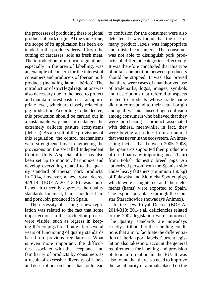the processes of producing these regional products of pork origin. At the same time, the scope of its application has been extended to the products derived from the cutting of carcasses, sold as fresh meat. The introduction of uniform regulations, especially in the area of labelling, was an example of concern for the interest of consumers and producers of Iberian pork products (including Jamon Ibérico). The introduction of strict legal regulations was also necessary due to the need to protect and maintain forest pastures at an appropriate level, which are closely related to pig production. According to the decree, this production should be carried out in a sustainable way and not endanger the extremely delicate pasture ecosystems (dehesa). As a result of the provisions of this regulation, the control mechanisms were strengthened by strengthening the provisions on the so-called Independent Control Units. A special office has also been set up to monitor, harmonize and develop everything related to the quality standard of Iberian pork products. In 2014, however, a new royal decree 4/2014 (BOE-A-2014-318) was published. It currently approves the quality standards for meat, ham, shoulder ham and pork loin produced in Spain.

The necessity of issuing a new regulation was related to the fact that some imperfections in the production process were visible, such as regress in keeping Ibérico pigs breed pure after several years of functioning of quality standards based on previous regulations. What is even more important, the difficulties associated with the acceptance and familiarity of products by consumers as a result of excessive diversity of labels and descriptions on labels that could lead to confusion for the consumer were also detected. It was found that the use of many product labels was inappropriate and misled consumers. The consumer was not able to distinguish pork products of different categories effectively. It was therefore concluded that this type of unfair competition between producers should be stopped. It was also proved that there were cases of unauthorized use of trademarks, logos, images, symbols and descriptions that referred to aspects related to products whose trade name did not correspond to their actual origin and quality. This caused huge confusion among consumers who believed that they were purchasing a product associated with dehesa, meanwhile, in fact, they were buying a product from an animal that was never in the ecosystem. An interesting fact is that between 2005–2008, the Spaniards supported their production of dried hams by importing meat (ham) from Polish domestic breed pigs. An authorized person from the Spanish side chose heavy fatteners (minimum 150 kg) of Puławska and Złotnicka Spotted pigs, which were slaughtered and their elements (hams) were exported to Spain. The export took place through the Constar Starachowice (nowadays Animex).

In the new Royal Decree (BOE-A-2014-318; 2014) all deficiencies related to the 2007 legislation were improved. The quality standards are nowadays strictly attributed to the labelling conditions that aim to facilitate the differentiation of Iberian pork labels. Current legislation also takes into account the general requirements for labelling and provision of food information in the EU. It was also found that there is a need to improve the racial purity of animals placed on the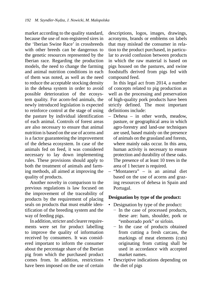market according to the quality standard, because the use of non-registered sires in the 'Iberian Swine Race' in crossbreeds with other breeds can be dangerous to the genetic resources represented by the Iberian race. Regarding the production models, the need to change the farming and animal nutrition conditions in each of them was noted, as well as the need to reduce the acceptable stocking density in the dehesa system in order to avoid possible deterioration of the ecosystem quality. For acorn-fed animals, the newly introduced legislation is expected to reinforce control at the stage of using the pasture by individual identification of each animal. Controls of forest areas are also necessary to ensure that animal nutrition is based on the use of acorns and is a factor guaranteeing the improvement of the dehesa ecosystem. In case of the animals fed on feed, it was considered necessary to lay down implementing rules. These provisions should apply to both the treatment of animals and farming methods, all aimed at improving the quality of products.

Another novelty in comparison to the previous regulations is law focused on the improvement of the traceability of products by the requirement of placing seals on products that must enable identification of the breeding system and the way of feeding pigs.

In addition, stricter and clearer requirements were set for product labelling to improve the quality of information received by consumers. It was considered important to inform the consumer about the percentage share of the Iberian pig from which the purchased product comes from. In addition, restrictions have been imposed on the use of certain descriptions, logos, images, drawings, acronyms, brands or emblems on labels that may mislead the consumer in relation to the product purchased, in particular to avoid confusion between products in which the raw material is based on pigs housed on the pastures, and swine foodstuffs derived from pigs fed with compound feed.

In this legal act from 2014, a number of concepts related to pig production as well as the processing and preservation of high-quality pork products have been strictly defined. The most important definitions include:

- Dehesa in other words, meadow, pasture, or geographical area in which agro-forestry and land-use techniques are used, based mainly on the presence of animals on the grassland and forests, where mainly oaks occur. In this area, human activity is necessary to ensure protection and durability of these oaks. The presence of at least 10 trees in the area of 1 hectare is required.
- "Montanera" is an animal diet based on the use of acorns and grazing resources of dehesa in Spain and Portugal.

#### **Designation by type of the product:**

- Designation by type of the product:
	- − In the case of processed products, these are: ham, shoulder, pork or "emborrado pork" or sirloin.
	- − In the case of products obtained from cutting a fresh carcass, the markings of meat elements (cuts) originating from cutting shall be used in accordance with accepted market names.
- Descriptive indications depending on the diet of pigs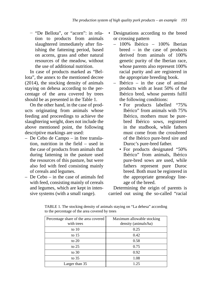− "De Bellota", or "acorn": in relation to products from animals slaughtered immediately after finishing the fattening period, based on acorns, grass and other natural resources of the meadow, without the use of additional nutrition.

In case of products marked as "Bellota", the annex to the mentioned decree (2014), the stocking density of animals staying on dehesa according to the percentage of the area covered by trees should be as presented in the Table 1.

On the other hand, in the case of products originating from animals whose feeding and proceedings to achieve the slaughtering weight, does not include the above mentioned point, the following descriptive markings are used:

- De Cebo de Campo in free translation, nutrition in the field – used in the case of products from animals that during fattening in the pasture used the resources of this pasture, but were also fed with feed consisting mainly of cereals and legumes.
- De Cebo in the case of animals fed with feed, consisting mainly of cereals and legumes, which are kept in intensive systems (with a small range).
- Designations according to the breed or crossing pattern
	- 100% Ibérico 100% Iberian breed – in the case of products derived from animals of 100% genetic purity of the Iberian race, whose parents also represent 100% racial purity and are registered in the appropriate breeding book.
	- Ibérico in the case of animal products with at least 50% of the Ibérico bred, whose parents fulfil the following conditions:
		- For products labelled "75% Ibérico" from animals with 75% Ibérico, mothers must be purebred Ibérico sows, registered in the studbook, while fathers must come from the crossbreed of the Ibérico pure-bred sire and Duroc's pure-bred father.
		- For products designated "50% Ibérico" from animals, Ibérico pure-bred sows are used, while fathers represent pure Duroc breed. Both must be registered in the appropriate genealogy lineage of the breed.

Determining the origin of parents is carried out using the so-called "racial

| Percentage share of the area covered | Maximum allowable stocking |
|--------------------------------------|----------------------------|
| with trees                           | density (animals/ha)       |
| to $10$                              | 0.25                       |
| to $15$                              | 0.42                       |
| to $20$                              | 0.58                       |
| to $25$                              | 0.75                       |
| to $30$                              | 0.92                       |
| to $35$                              | 1.08                       |
| Larger than 35                       | 1.25                       |

TABLE 1. The stocking density of animals staying on "La dehesa" according to the percentage of the area covered by trees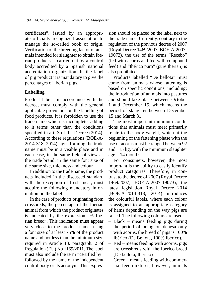certificates", issued by an appropriate officially recognized association to manage the so-called book of origin. Verification of the breeding factor of animals intended for slaughter to obtain Iberian products is carried out by a control body accredited by a Spanish national accreditation organization. In the label of pig product it is mandatory to give the percentages of Iberian pigs.

#### **Labelling**

Product labels, in accordance with the decree, must comply with the general applicable provisions on the labelling of food products. It is forbidden to use the trade name which is incomplete, adding to it terms other than the conditions specified in art. 3 of the Decree (2014). According to these regulations (BOE-A-2014-318; 2014) signs forming the trade name must be in a visible place and in each case, in the same field of view as the trade brand, in the same font size of the same size, thickness and colour.

In addition to the trade name, the products included in the discussed standard with the exception of fresh meat, must acquire the following mandatory information on the label:

In the case of products originating from crossbreds, the percentage of the Iberian animal from which the product originates is indicated by the expression "% Iberian breed". This indication must appear very close to the product name, using a font size of at least 75% of the product name and not less than the minimum size required in Article 13, paragraph. 2 of Regulation (EU) No 1169/2011. The label must also include the term "certified by" followed by the name of the independent control body or its acronym. This expression should be placed on the label next to the trade name. Currently, contrary to the regulation of the previous decree of 2007 (Royal Decree 1469/2007; BOE-A-2007- 19073), the use of the terms "Recebo" (fed with acorns and fed with compound feed) and "Ibérico puro" (pure Iberian) is also prohibited.

Products labelled "De bellota" must come from animals whose fattening is based on specific conditions, including: the introduction of animals into pastures and should take place between October 1 and December 15, which means the period of slaughter between December 15 and March 31.

The most important minimum conditions that animals must meet primarily relate to the body weight, which at the beginning of the fattening phase with the use of acorns must be ranged between 92 and 115 kg, with the minimum slaughter age – 14 months.

For consumers, however, the most important is the ability to easily identify product categories. Therefore, in contrast to the decree of 2007 (Royal Decree 1469/2007; BOE-A-2007-19073), the latest legislation Royal Decree 2014 (BOE-A-2014-318; 2014) introduces the colourful labels, where each colour is assigned to an appropriate category of hams depending on the way pigs are raised. The following colours are used:

- Black means feeding pigs during the period of being on dehesa only with acorns, the breed of pigs is 100% Ibérico (De Bellota, 100% Ibérico).
- Red means feeding with acorns, pigs are crossbreds with the Ibérico breed (De bellota, Ibérico)
- Green means feeding with commercial feed mixtures, however, animals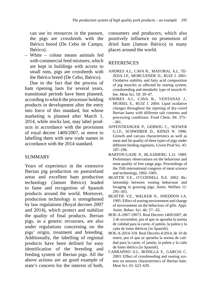can use its resources in the pasture, the pigs are crossbreds with the Ibérico breed (De Cebo de Campo, Ibérico).

– White – colour means animals fed with commercial feed mixtures, which are kept in buildings with access to small runs, pigs are crossbreds with the Ibérico breed (De Cebo, Ibérico).

Due to the fact that the process of ham ripening lasts for several years, transitional periods have been planned, according to which the processor holding products in development after the entry into force of this standard, but whose marketing is planned after March 1, 2014, while stocks last, may label products in accordance with the provisions of royal decree 1469/2007, or move to labelling them with new trade names in accordance with the 2014 standard.

## **SUMMARY**

Years of experience in the extensive Iberian pig production on pastureland areas and excellent ham production technology (Jamon Ibérico) leaded to fame and recognition of Spanish products around the world. Moreover, production technology is strengthened by law regulations (Royal decrees 2007 and 2014), which protect and stabilize the quality of final products. Iberian pigs, as a genetic recourses, are also under regulations concerning on the pigs' origin, treatment and breeding. Additionally, the labelling of regional products have been defined for easy identification of the breeding and feeding system of Iberian pigs. All the above actions are an good example of state's concern for the interest of both, consumers and producers, which also positively influence on promotion of dried ham (Jamon Ibérico) in many places around the world.

#### **REFERENCES**

- ANDRES A.I., CAVA R., MAYORAL A.I., TE-JEDA J.F., MORCUENDE D., RUIZ J. 2001: Oxidative stability and fatty acid composition of pig muscles as affected by rearing system, crossbreeding and metabolic type of muscle fibre. Meat Sci. 59: 39–47.
- ANDRES A.I., CAVA R., VENTANAS J., MURIEL E., RUIZ J. 2004: Lipid oxidative changes throughout the ripening of dry-cured Iberian hams with different salt contents and processing conditions. Food Chem. 84: 375– –381.
- AFFENTRANGER P., GERWIG C., SEEWER G.J.F., SCHWIIRER D., KIINZI N. 1996: Growth and carcass characteristics as well as meat and fat quality of three types of pigs under different feeding regimens. Livest Prod Sci. 45: 187–196.
- BARTON-GADE P., BLAABIERG L.O. 1989: Preliminary observations on the behaviour and meat quality of free range pigs. Proceedings of the 35th international congress of meat science and technology, 1002–1005.
- BEATTIE V.E., O'CONNELL N.E. 2002: Relationship between rooting behaviour and foraging in growing pigs. Anim. Welfare 11: 295–303.
- BEATTIE V.E., WALKER N., SNEDDON I.A. 1995: Effect of rearing environment and change of environment on the behaviour of gilts. Appl. Anim. Behav. Sci. 46: 57– 65.
- BOE-A-2007-19073. Real Decreto 1469/2007, de 2 de noviembre, por el que se aprueba la norma de calidad para la carne, el jamón, la paleta y la caña de lomo ibéricos [in Spanish].
- BOE-A-2014-318. Real Decreto 4/2014, de 10 de enero, por el que se aprueba la norma de calidad para la carne, el jamón, la paleta y la caña de lomo ibérico [in Spanish].
- CARRAPISO A.I., BONILLA F., GARCIA C. 2003: Effect of crossbreeding and rearing system on sensory characteristics of Iberian ham. Meat Sci. 65: 623–629.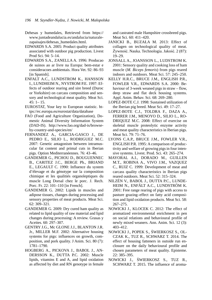- Dehesas y humedales, Retrieved from https:// www.juntadeandalucia.es/andalucia/naturalezapaisajes/dehesas\_humedales.html.
- EDWARDS S.A. 2005: Product quality attributes associated with outdoor pig production. Livest Prod Sci. 94: 5–14.
- EDWARDS S.A., ZANELLA A. 1996: Producao de suinos ao ar livre na Europa: bem-estar e consideracoes ambientais. Hora Vet. 92: 86–93 [in Spanish].
- ENFALT A.C., LUNDSTROM K., HANSSON I., LUNDHEIM N., NYSTROM P.E. 1997: Effects of outdoor rearing and sire breed (Duroc or Yorkshire) on carcass composition and sensory and technological meat quality. Meat Sci.  $45: 1 - 15.$
- EUROSTAT, Your key to European statistic. https://ec.europa.eu/eurostat/data/database
- FAO (Food and Agriculture Organization), Domestic Animal Diversity Information System (DAD-IS). http://www.fao.org/dad-is/browseby-country-and-species/en/
- FERNANDEZ A., GARCIA-GASCO J., DE PEDRO E., SILIO L., RODRIGUEZ M.C. 2007: Genetic antagonism between intramuscular fat content and primal cuts in Iberian pigs. Option Mediterranéennes. 76: 43–46.
- GANDEMER G., PICHOU D., BOUGUENNEC B., CARITEZ J.C., BERGE Ph., BRIAND E., LEGAULT C. 1990: Influence du system d'élevage et du génotype sur la composition chimique et les qualitiés organoleptiques du muscle Long Dorsal chez le porc. J. Rech. Porc. Fr. 22: 101–110 [in French].
- GANDEMER G. 2002: Lipids in muscles and adipose tissues, changes during processing and sensory properties of meat products. Meat Sci. 62: 309–321.
- GANDEMER G. 2009: Dry cured ham quality as related to lipid quality of raw material and lipid changes during processing: A review. Grasas y Aceites. 60: 297–307.
- GENTRY J.G., Mc GLONE J.J., BLANTON J.R. Jr., MILLER M.F. 2002: Alternative housing systems for pigs: influences on growth, composition, and pork quality. J Anim. Sci. 80 (7): 1781–1790.
- HOGBERG A., PICKOVA J., BABOL J., AN-DERSSON K., DUTTA P.C. 2002: Muscle lipids, vitamins E and A, and lipid oxidation as affected by diet and RN genotype in female

and castrated male Hampshire crossbreed pigs. Meat Sci. 60: 411–420.

- JANICKI B., BUZAŁA M. 2013: Effect of collagen on technological quality of meat. Żywność. Nauka. Technologia. Jakość. 2 (87): 19–29.
- JONSALL A., JOANSSON L., LUDSTROM K. 2001: Sensory quality and cooking loss of ham muscle (*M. Biceps femoris*) from pigs reared indoors and outdoors. Meat Sci. 57: 245–250.
- KELLY H.R.C., BRUCE J.M., ENGLISH P.R., FOWLER V.R., EDWARDS S.A. 2000: Behaviour of 3-week weaned pigs in straw – flow, deep straw and flat deck housing systems. Appl. Anim. Behav. Sci. 68: 269–280.
- LOPEZ-BOTE C.J. 1998: Sustained utilization of the Iberian pig breed. Meat Sci. 49: 17–27.
- LOPEZ-BOTE C.J., TOLDRA F., DAZA A., FERRER J.M., MENOYO D., SILIO L., RO-DRIQUEZ M.C. 2008: Effect of exercise on skeletal muscle proteolytic enzyme activity and meat quality characteristics in Iberian pigs. Meat Sci. 79: 71–76.
- LYONS C.A.P., BRUCE J.M., FOWLER V.R., ENGLISH P.R. 1995: A comparison of productivity and welfare of growing pigs in four intensive systems. Livest. Prod. Sci. 43: 265–274.
- MAYORAL A.I., DORADO M., GUILLEN M.T., ROBINA A., VIVO J.M., VAZQUEZ C., RUIZ C. 1999: Development of meat and carcass quality characteristics in Iberian pigs reared outdoors. Meat Sci. 52: 315–324.
- NILZÉN V., BABOL J., DUTTA P.C., LUNDE-HEIM N., ENFÄLT A.C., LUNDSTRÖM K. 2001: Free range rearing of pigs with access to pasture grazing–effect on fatty acid composition and lipid oxidation products. Meat Sci. 58: 267–275.
- NOWICKI J., KLOCEK C. 2012: The effect of aromatized environmental enrichment in pen on social relations and behavioural profile of newly mixed weaners. Ann. Anim. Sci. 12 (3): 403–412.
- NOWICKI J., POPEK S., ŚWIERKOSZ S., OL-CZAK K., TUZ R., SCHWARZ T. 2014. The effect of housing fatteners in outside run enclosure on the daily behavioural profile and chosen parameters of meat quality. Episteme. 22: 385–395.
- NOWICKI J., ŚWIERKOSZ S., TUZ R., SCHWARZ T. 2015. The influence of aroma-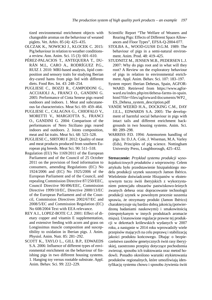tized environmental enrichment objects with changeable aromas on the behaviour of weaned piglets. Vet. Arhiv. 85 (4): 425–435.

- OLCZAK K., NOWICKI J., KLOCEK C. 2015: Pig behaviour in relation to weather conditionsa review. Ann. Anim. Sci. 15 (3): 601–610.
- PÉREZ-PALACIOS T., ANTEQUERA T., DU-RÁN M.L, CARO A., RODRÍGUEZ P.G., RUIZ J. 2010: MRI-based analysis, lipid composition and sensory traits for studying Iberian dry-cured hams from pigs fed with different diets. Food Res. Int. 43: 248–254.
- PUGLIESE C., BOZZI R., CAMPODONI G., ACCIAIOLI A., FRANCI O., GANDINI G. 2005: Performance of Cinta Senese pigs reared outdoors and indoors. 1. Meat and subcutaneous fat characteristics. Meat Sci. 69: 459–464.
- PUGLIESE C., CALAGNA G., CHIOFALO V., MORETTI V., MARGIOTTA S., FRANCI O., GANDINI G. 2004: Comparison of the performances of Nero Siciliano pigs reared indoors and outdoors. 2. Joints composition, meat and fat traits. Meat Sci. 68: 523–528.
- PUGLIESE C., SIRTORI F. 2012: Quality of meat and meat products produced from southern European pig breeds. Meat Sci. 90: 511–518.
- Regulation (EU) No 1169/2011 of the European Parliament and of the Council of 25 October 2011 on the provision of food information to consumers, amending Regulations (EC) No 1924/2006 and (EC) No 1925/2006 of the European Parliament and of the Council, and repealing Commission Directive 87/250/EEC, Council Directive 90/496/EEC, Commission Directive 1999/10/EC, Directive 2000/13/EC of the European Parliament and of the Council, Commission Directives 2002/67/EC and 2008/5/EC and Commission Regulation (EC) No 608/2004 Text with EEA relevance.
- REY A.I., LOPEZ-BOTE C.J. 2001: Effect of dietary copper and vitamin E supplementation, and extensive feeding with acorn and grass on Longissimus muscle composition and susceptibility to oxidation in Iberian pigs. J. Anim. Physiol. Anim. Nutr. 85: 281–292.
- SCOTT K., TAYLO L., GILL B.P., EDWAEDS S.A. 2006: Influence of different types of environmental enrichment on the behaviour of finishing pigs in two different housing systems. 1. Hanging toy versus rootable substrate. Appl. Anim. Behav. Sci. 99: 222–229.
- Scientific Report "The Welfare of Weaners and Rearing Pigs: Effects of Different Space Allowances and Floor Types", EFSA-Q-2004-077.
- STOLBA A., WOOD-GUSH D.G.M. 1989: The behaviour of pigs in a semi-natural environment. Anim. Prod. 48: 419–425.
- STUDNITZ M., JENSEN M.B., PEDERSEN L.J. 2007: Why do pigs root and in what will they root? A Review on the exploratory behaviour of pigs in relation to environmental enrichment. Appl. Anim. Behav. Sci. 107: 183–197.
- System report: Iberian Dehesas, Spain, AGFOR-WARD. Retrieved from https://www.agforward.eu/index.php/en/dehesa-farms-in-spain. html?file=files/agforward/documents/WP2\_ ES\_Dehesa\_system\_description.pdf
- VANDE WEERD H.A., DOCKING C.M., DAY J.E.L., EDWARDS S.A. 2005: The development of harmful social behaviour in pigs with intact tails and different enrichment backgrounds in two housing systems. Anim. Sci. 80: 289–298.
- WARRISS P.D. 1994: Antemortem handling of pigs. In: D.J.A. Cole, J. Wiseman, M.A. Varley (Eds), Principles of pig science. Nottingham University Press, Loughborough, 425–432.

**Streszczenie:** *Przykład systemu produkcji wysokojakościowych produktów z wieprzowiny.* Celem artykułu było przedstawienie hiszpańskiego modelu produkcji szynek suszonych Jamon Ibérico. Wieloletnie doświadczenie Hiszpanów w ekstensywnym tuczu świń iberyjskich z wykorzystaniem potencjału obszarów pastwiskowo-leśnych zwanych dehesa oraz dopracowanie technologii produkcji szynek w powolnym procesie suszenia sprawia, że otrzymany produkt (Jamon Ibérico) charakteryzuje się bardzo dobrą jakością (potwierdzoną badaniami naukowymi) i smakowitością (niespotykanym w innych produktach aromacie mięsa). Ustanowione regulacje prawne tej produkcji w dekretach królewskich wydanych w 2007 roku, a następnie w 2014 roku wprowadziły wiele przepisów mających na celu poprawę i stabilizację jakości produktu końcowego. Dbając o bezpieczeństwo zasobów genetycznych świń rasy iberyjskiej, zaostrzono przepisy dotyczące pochodzenia zwierząt, sposobu ich traktowania oraz metod hodowli. Ponadto określono warunki etykietowania produktów regionalnych, które umożliwiają identyfikację systemu chowu i sposobu żywienia świń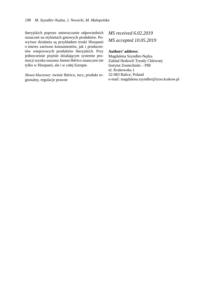iberyjskich poprzez umieszczanie odpowiednich oznaczeń na etykietach gotowych produktów. Powyższe działania są przykładem troski Hiszpanii o interes zarówno konsumentów, jak i producentów wieprzowych produktów iberyjskich. Przy jednocześnie prężnie działającym systemie promocji szynka suszona Jamon Ibérico znana jest nie tylko w Hiszpanii, ale i w całej Europie.

*Słowa kluczowe*: świnie Ibérico, tucz, produkt regionalny, regulacje prawne

## *MS received 6.02.2019 MS accepted 10.05.2019*

#### **Authors' address:**

Magdalena Szyndler-Nędza Zakład Hodowli Trzody Chlewnej Instytut Zootechniki – PIB ul. Krakowska 1 32-083 Balice, Poland e-mail: magdalena.szyndler@izoo.krakow.pl